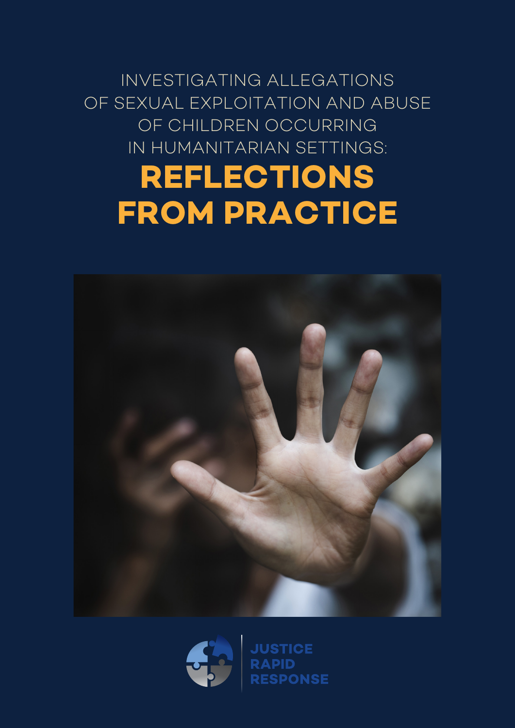



# **REFLECTIONS FROM PRACTICE**

INVESTIGATING ALLEGATIONS OF SEXUAL EXPLOITATION AND ABUSE OF CHILDREN OCCURRING IN HUMANITARIAN SETTINGS: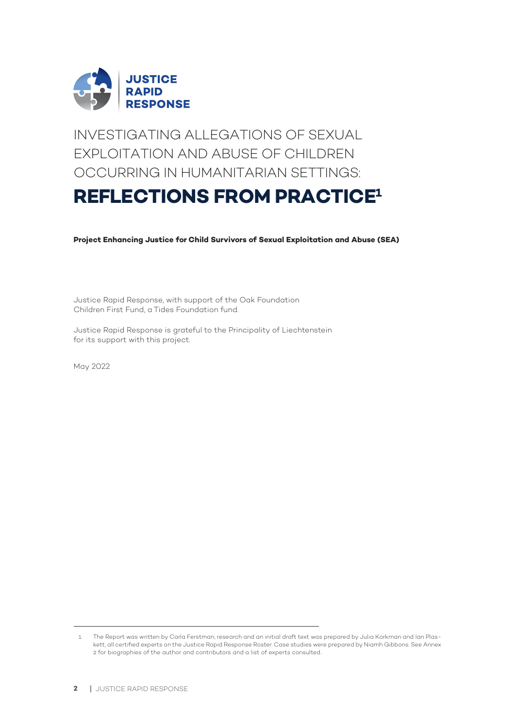

INVESTIGATING ALLEGATIONS OF SEXUAL EXPLOITATION AND ABUSE OF CHILDREN OCCURRING IN HUMANITARIAN SETTINGS:

## **REFLECTIONS FROM PRACTICE1**

**Project Enhancing Justice for Child Survivors of Sexual Exploitation and Abuse (SEA)**

Justice Rapid Response, with support of the Oak Foundation Children First Fund, a Tides Foundation fund.

Justice Rapid Response is grateful to the Principality of Liechtenstein for its support with this project.

May 2022

<sup>1</sup> The Report was written by Carla Ferstman; research and an initial draft text was prepared by Julia Korkman and Ian Plaskett, all certified experts on the Justice Rapid Response Roster. Case studies were prepared by Niamh Gibbons. See Annex 2 for biographies of the author and contributors and a list of experts consulted..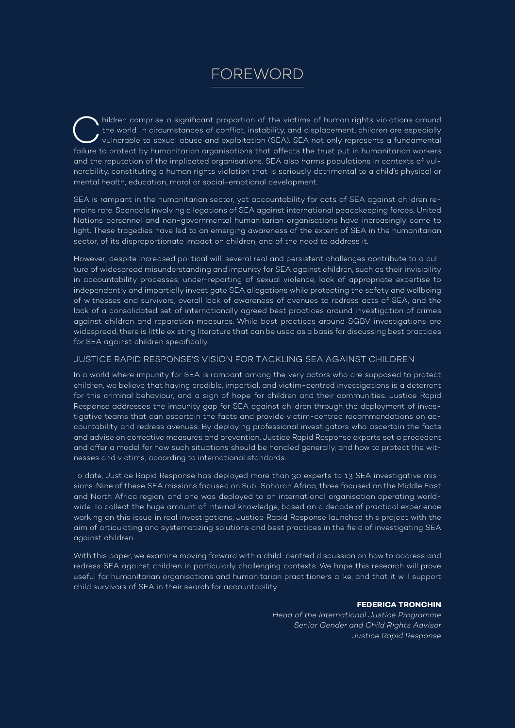## FOREWORD

hildren comprise a significant proportion of the victims of human rights violations around<br>the world. In circumstances of conflict, instability, and displacement, children are especially<br>vulnerable to sexual abuse and expl the world. In circumstances of conflict, instability, and displacement, children are especially failure to protect by humanitarian organisations that affects the trust put in humanitarian workers and the reputation of the implicated organisations. SEA also harms populations in contexts of vulnerability, constituting a human rights violation that is seriously detrimental to a child's physical or mental health, education, moral or social-emotional development.

SEA is rampant in the humanitarian sector, yet accountability for acts of SEA against children remains rare. Scandals involving allegations of SEA against international peacekeeping forces, United Nations personnel and non-governmental humanitarian organisations have increasingly come to light. These tragedies have led to an emerging awareness of the extent of SEA in the humanitarian sector, of its disproportionate impact on children, and of the need to address it.

However, despite increased political will, several real and persistent challenges contribute to a culture of widespread misunderstanding and impunity for SEA against children, such as their invisibility in accountability processes, under-reporting of sexual violence, lack of appropriate expertise to independently and impartially investigate SEA allegations while protecting the safety and wellbeing of witnesses and survivors, overall lack of awareness of avenues to redress acts of SEA, and the lack of a consolidated set of internationally agreed best practices around investigation of crimes against children and reparation measures. While best practices around SGBV investigations are widespread, there is little existing literature that can be used as a basis for discussing best practices for SEA against children specifically.

#### JUSTICE RAPID RESPONSE'S VISION FOR TACKLING SEA AGAINST CHILDREN

In a world where impunity for SEA is rampant among the very actors who are supposed to protect children, we believe that having credible, impartial, and victim-centred investigations is a deterrent for this criminal behaviour, and a sign of hope for children and their communities. Justice Rapid Response addresses the impunity gap for SEA against children through the deployment of investigative teams that can ascertain the facts and provide victim-centred recommendations on accountability and redress avenues. By deploying professional investigators who ascertain the facts and advise on corrective measures and prevention, Justice Rapid Response experts set a precedent and offer a model for how such situations should be handled generally, and how to protect the witnesses and victims, according to international standards.

To date, Justice Rapid Response has deployed more than 30 experts to 13 SEA investigative missions. Nine of these SEA missions focused on Sub-Saharan Africa, three focused on the Middle East and North Africa region, and one was deployed to an international organisation operating worldwide. To collect the huge amount of internal knowledge, based on a decade of practical experience working on this issue in real investigations, Justice Rapid Response launched this project with the aim of articulating and systematizing solutions and best practices in the field of investigating SEA against children.

With this paper, we examine moving forward with a child-centred discussion on how to address and redress SEA against children in particularly challenging contexts. We hope this research will prove useful for humanitarian organisations and humanitarian practitioners alike, and that it will support child survivors of SEA in their search for accountability.

#### **FEDERICA TRONCHIN**

*Head of the International Justice Programme Senior Gender and Child Rights Advisor Justice Rapid Response*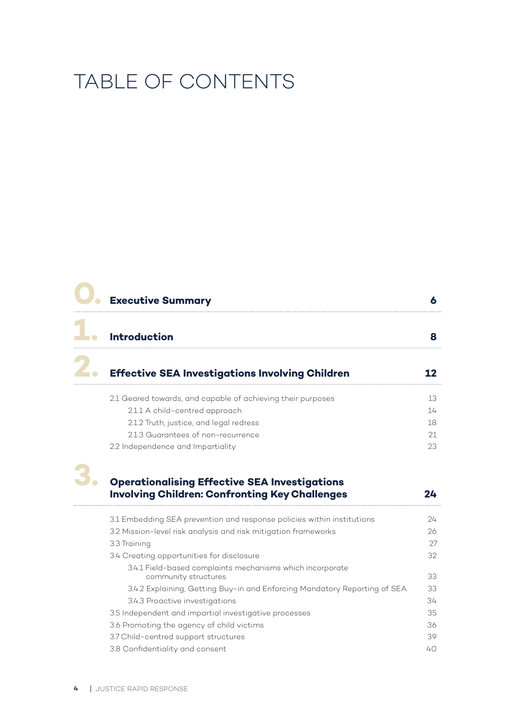## TABLE OF CONTENTS

| <b>Executive Summary</b>                                                                                      | 6  |
|---------------------------------------------------------------------------------------------------------------|----|
| <b>Introduction</b>                                                                                           | 8  |
| <b>Effective SEA Investigations Involving Children</b>                                                        | 12 |
| 2.1 Geared towards, and capable of achieving their purposes                                                   | 13 |
| 2.1.1 A child-centred approach                                                                                | 14 |
| 2.1.2 Truth, justice, and legal redress                                                                       | 18 |
| 2.1.3 Guarantees of non-recurrence                                                                            | 21 |
| 2.2 Independence and Impartiality                                                                             | 23 |
| <b>Operationalising Effective SEA Investigations</b><br><b>Involving Children: Confronting Key Challenges</b> | 24 |
| 3.1 Embedding SEA prevention and response policies within institutions                                        | 24 |
| 3.2 Mission-level risk analysis and risk mitigation frameworks                                                | 26 |
| 3.3 Training                                                                                                  | 27 |
| 3.4 Creating opportunities for disclosure                                                                     | 32 |
| 3.4.1 Field-based complaints mechanisms which incorporate<br>community structures                             | 33 |
| 3.4.2 Explaining, Getting Buy-in and Enforcing Mandatory Reporting of SEA                                     | 33 |
| 3.4.3 Proactive investigations                                                                                | 34 |
| 3.5 Independent and impartial investigative processes                                                         | 35 |
| 3.6 Promoting the agency of child victims                                                                     | 36 |
| 3.7 Child-centred support structures                                                                          | 39 |
| 3.8 Confidentiality and consent                                                                               | 40 |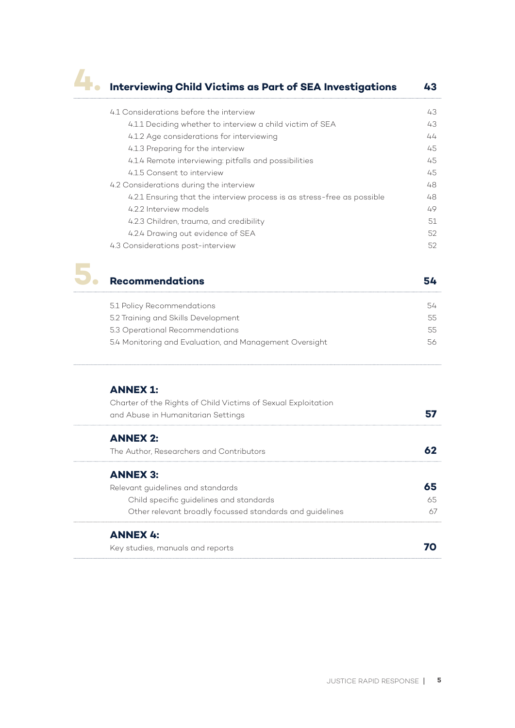## **4. Interviewing Child Victims as Part of SEA Investigations <sup>43</sup>**

| 4.1 Considerations before the interview                                 | 43 |
|-------------------------------------------------------------------------|----|
| 4.1.1 Deciding whether to interview a child victim of SEA               | 43 |
| 4.1.2 Age considerations for interviewing                               | 44 |
| 4.1.3 Preparing for the interview                                       | 45 |
| 4.1.4 Remote interviewing: pitfalls and possibilities                   | 45 |
| 4.1.5 Consent to interview                                              | 45 |
| 4.2 Considerations during the interview                                 | 48 |
| 4.2.1 Ensuring that the interview process is as stress-free as possible | 48 |
| 4.2.2 Interview models                                                  | 49 |
| 4.2.3 Children, trauma, and credibility                                 | 51 |
| 4.2.4 Drawing out evidence of SEA                                       | 52 |
| 4.3 Considerations post-interview                                       | 52 |



### **5. Recommendations <sup>54</sup>**

| 5.1 Policy Recommendations                              | 54  |
|---------------------------------------------------------|-----|
| 5.2 Training and Skills Development                     | 55. |
| 5.3 Operational Recommendations                         | 55. |
| 5.4 Monitoring and Evaluation, and Management Oversight | 56. |
|                                                         |     |

#### **ANNEX 1:**

| Charter of the Rights of Child Victims of Sexual Exploitation<br>and Abuse in Humanitarian Settings |     |
|-----------------------------------------------------------------------------------------------------|-----|
| <b>ANNEX 2:</b>                                                                                     |     |
| The Author, Researchers and Contributors                                                            |     |
| <b>ANNEX 3:</b>                                                                                     |     |
| Relevant quidelines and standards                                                                   | 65  |
| Child specific quidelines and standards                                                             | 65. |
| Other relevant broadly focussed standards and guidelines                                            |     |
| <b>ANNEX 4:</b>                                                                                     |     |
| Key studies, manuals and reports                                                                    |     |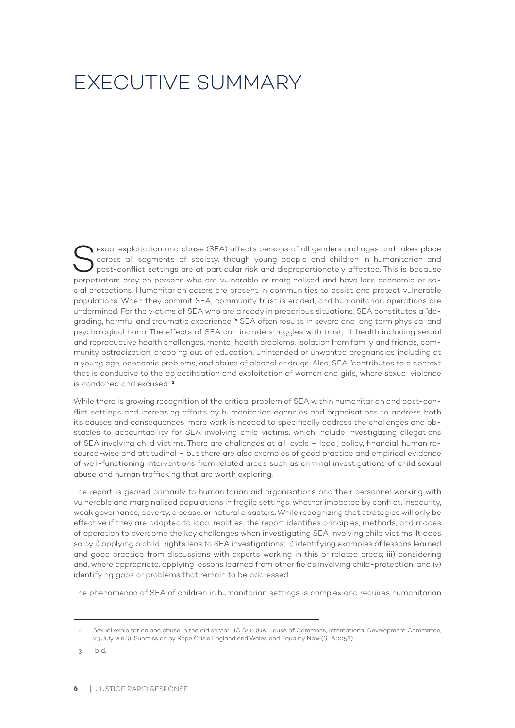## EXECUTIVE SUMMARY

Sexual exploitation and abuse (SEA) affects persons of all genders and ages and takes place<br>
across all segments of society, though young people and children in humanitarian and<br>
post-conflict settings are at particular ri across all segments of society, though young people and children in humanitarian and perpetrators prey on persons who are vulnerable or marginalised and have less economic or social protections. Humanitarian actors are present in communities to assist and protect vulnerable populations. When they commit SEA, community trust is eroded, and humanitarian operations are undermined. For the victims of SEA who are already in precarious situations, SEA constitutes a "degrading, harmful and traumatic experience."**2** SEA often results in severe and long term physical and psychological harm. The effects of SEA can include struggles with trust, ill-health including sexual and reproductive health challenges, mental health problems, isolation from family and friends, community ostracization, dropping out of education, unintended or unwanted pregnancies including at a young age, economic problems, and abuse of alcohol or drugs. Also, SEA "contributes to a context that is conducive to the objectification and exploitation of women and girls, where sexual violence is condoned and excused."**<sup>3</sup>**

While there is growing recognition of the critical problem of SEA within humanitarian and post-conflict settings and increasing efforts by humanitarian agencies and organisations to address both its causes and consequences, more work is needed to specifically address the challenges and obstacles to accountability for SEA involving child victims, which include investigating allegations of SEA involving child victims. There are challenges at all levels – legal, policy, financial, human resource-wise and attitudinal – but there are also examples of good practice and empirical evidence of well-functioning interventions from related areas such as criminal investigations of child sexual abuse and human trafficking that are worth exploring.

The report is geared primarily to humanitarian aid organisations and their personnel working with vulnerable and marginalised populations in fragile settings, whether impacted by conflict, insecurity, weak governance, poverty, disease, or natural disasters. While recognizing that strategies will only be effective if they are adapted to local realities, the report identifies principles, methods, and modes of operation to overcome the key challenges when investigating SEA involving child victims. It does so by i) applying a child-rights lens to SEA investigations; ii) identifying examples of lessons learned and good practice from discussions with experts working in this or related areas; iii) considering and, where appropriate, applying lessons learned from other fields involving child-protection; and iv) identifying gaps or problems that remain to be addressed.

The phenomenon of SEA of children in humanitarian settings is complex and requires humanitarian

3 Ibid.

<sup>2</sup> Sexual exploitation and abuse in the aid sector HC 840 (UK House of Commons, International Development Committee, 23 July 2018), Submission by Rape Crisis England and Wales and Equality Now (SEA0058).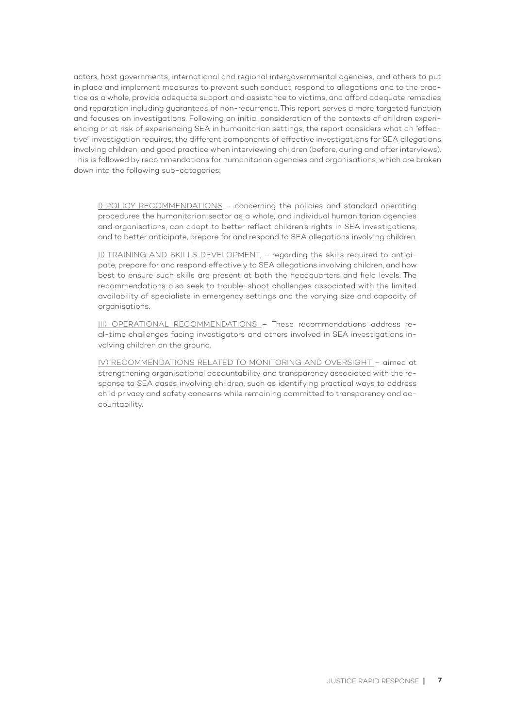actors, host governments, international and regional intergovernmental agencies, and others to put in place and implement measures to prevent such conduct, respond to allegations and to the practice as a whole, provide adequate support and assistance to victims, and afford adequate remedies and reparation including guarantees of non-recurrence. This report serves a more targeted function and focuses on investigations. Following an initial consideration of the contexts of children experiencing or at risk of experiencing SEA in humanitarian settings, the report considers what an "effective" investigation requires; the different components of effective investigations for SEA allegations involving children; and good practice when interviewing children (before, during and after interviews). This is followed by recommendations for humanitarian agencies and organisations, which are broken down into the following sub-categories:

I) POLICY RECOMMENDATIONS – concerning the policies and standard operating procedures the humanitarian sector as a whole, and individual humanitarian agencies and organisations, can adopt to better reflect children's rights in SEA investigations, and to better anticipate, prepare for and respond to SEA allegations involving children.

II) TRAINING AND SKILLS DEVELOPMENT – regarding the skills required to anticipate, prepare for and respond effectively to SEA allegations involving children, and how best to ensure such skills are present at both the headquarters and field levels. The recommendations also seek to trouble-shoot challenges associated with the limited availability of specialists in emergency settings and the varying size and capacity of organisations.

III) OPERATIONAL RECOMMENDATIONS – These recommendations address real-time challenges facing investigators and others involved in SEA investigations involving children on the ground.

IV) RECOMMENDATIONS RELATED TO MONITORING AND OVERSIGHT – aimed at strengthening organisational accountability and transparency associated with the response to SEA cases involving children, such as identifying practical ways to address child privacy and safety concerns while remaining committed to transparency and accountability.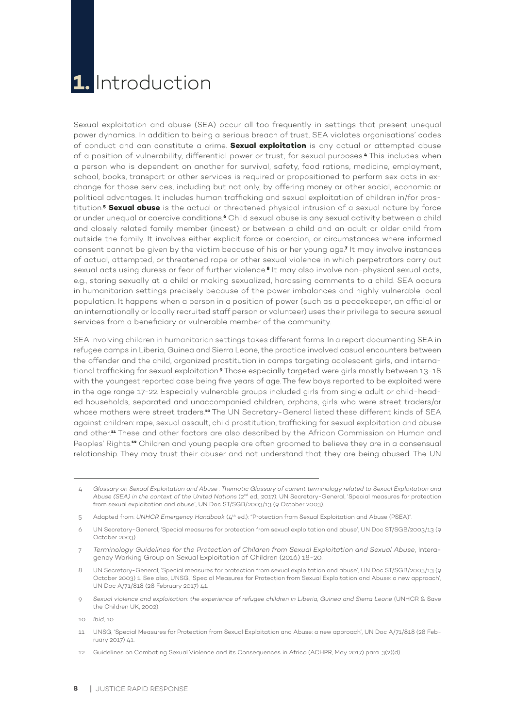## **1.** Introduction

Sexual exploitation and abuse (SEA) occur all too frequently in settings that present unequal power dynamics. In addition to being a serious breach of trust, SEA violates organisations' codes of conduct and can constitute a crime. **Sexual exploitation** is any actual or attempted abuse of a position of vulnerability, differential power or trust, for sexual purposes.**4** This includes when a person who is dependent on another for survival, safety, food rations, medicine, employment, school, books, transport or other services is required or propositioned to perform sex acts in exchange for those services, including but not only, by offering money or other social, economic or political advantages. It includes human trafficking and sexual exploitation of children in/for prostitution.**<sup>5</sup> Sexual abuse** is the actual or threatened physical intrusion of a sexual nature by force or under unequal or coercive conditions.**6** Child sexual abuse is any sexual activity between a child and closely related family member (incest) or between a child and an adult or older child from outside the family. It involves either explicit force or coercion, or circumstances where informed consent cannot be given by the victim because of his or her young age.**<sup>7</sup>** It may involve instances of actual, attempted, or threatened rape or other sexual violence in which perpetrators carry out sexual acts using duress or fear of further violence.**8** It may also involve non-physical sexual acts, e.g., staring sexually at a child or making sexualized, harassing comments to a child. SEA occurs in humanitarian settings precisely because of the power imbalances and highly vulnerable local population. It happens when a person in a position of power (such as a peacekeeper, an official or an internationally or locally recruited staff person or volunteer) uses their privilege to secure sexual services from a beneficiary or vulnerable member of the community.

SEA involving children in humanitarian settings takes different forms. In a report documenting SEA in refugee camps in Liberia, Guinea and Sierra Leone, the practice involved casual encounters between the offender and the child, organized prostitution in camps targeting adolescent girls, and international trafficking for sexual exploitation.**9** Those especially targeted were girls mostly between 13-18 with the youngest reported case being five years of age. The few boys reported to be exploited were in the age range 17-22. Especially vulnerable groups included girls from single adult or child-headed households, separated and unaccompanied children, orphans, girls who were street traders/or whose mothers were street traders.**10** The UN Secretary-General listed these different kinds of SEA against children: rape, sexual assault, child prostitution, trafficking for sexual exploitation and abuse and other.**11** These and other factors are also described by the African Commission on Human and Peoples' Rights.**<sup>12</sup>** Children and young people are often groomed to believe they are in a consensual relationship. They may trust their abuser and not understand that they are being abused. The UN

6 UN Secretary-General, 'Special measures for protection from sexual exploitation and abuse', UN Doc ST/SGB/2003/13 (9 October 2003).

7 *Terminology Guidelines for the Protection of Children from Sexual Exploitation and Sexual Abuse*, Interagency Working Group on Sexual Exploitation of Children (2016) 18-20.

- 8 UN Secretary-General, 'Special measures for protection from sexual exploitation and abuse', UN Doc ST/SGB/2003/13 (9 October 2003) 1. See also, UNSG, 'Special Measures for Protection from Sexual Exploitation and Abuse: a new approach', UN Doc A/71/818 (28 February 2017) 41.
- 9 *Sexual violence and exploitation: the experience of refugee children in Liberia, Guinea and Sierra Leone* (UNHCR & Save the Children UK, 2002).
- 10 *Ibid*, 10.
- 11 UNSG, 'Special Measures for Protection from Sexual Exploitation and Abuse: a new approach', UN Doc A/71/818 (28 February 2017) 41.
- 12 Guidelines on Combating Sexual Violence and its Consequences in Africa (ACHPR, May 2017) para. 3(2)(d).

<sup>4</sup> *Glossary on Sexual Exploitation and Abuse : Thematic Glossary of current terminology related to Sexual Exploitation and Abuse (SEA) in the context of the United Nations* (2nd ed., 2017); UN Secretary-General, 'Special measures for protection from sexual exploitation and abuse', UN Doc ST/SGB/2003/13 (9 October 2003).

<sup>5</sup> Adapted from: *UNHCR Emergency Handbook* (4th ed.): "Protection from Sexual Exploitation and Abuse (PSEA)".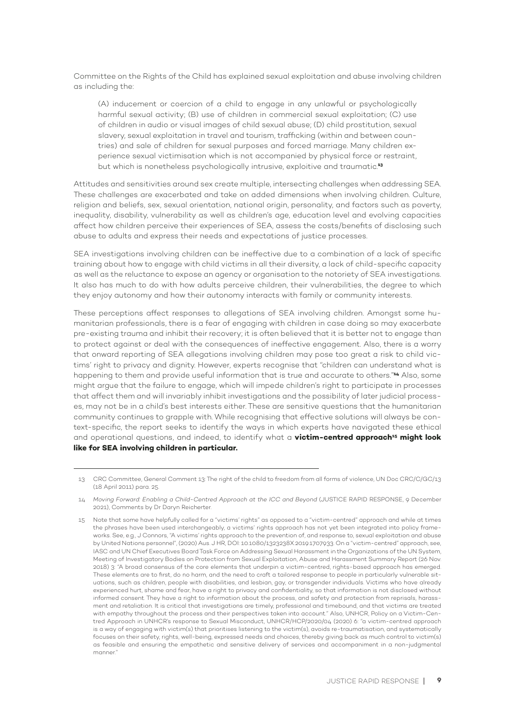Committee on the Rights of the Child has explained sexual exploitation and abuse involving children as including the:

(A) inducement or coercion of a child to engage in any unlawful or psychologically harmful sexual activity; (B) use of children in commercial sexual exploitation; (C) use of children in audio or visual images of child sexual abuse; (D) child prostitution, sexual slavery, sexual exploitation in travel and tourism, trafficking (within and between countries) and sale of children for sexual purposes and forced marriage. Many children experience sexual victimisation which is not accompanied by physical force or restraint, but which is nonetheless psychologically intrusive, exploitive and traumatic.**<sup>13</sup>**

Attitudes and sensitivities around sex create multiple, intersecting challenges when addressing SEA. These challenges are exacerbated and take on added dimensions when involving children. Culture, religion and beliefs, sex, sexual orientation, national origin, personality, and factors such as poverty, inequality, disability, vulnerability as well as children's age, education level and evolving capacities affect how children perceive their experiences of SEA, assess the costs/benefits of disclosing such abuse to adults and express their needs and expectations of justice processes.

SEA investigations involving children can be ineffective due to a combination of a lack of specific training about how to engage with child victims in all their diversity, a lack of child-specific capacity as well as the reluctance to expose an agency or organisation to the notoriety of SEA investigations. It also has much to do with how adults perceive children, their vulnerabilities, the degree to which they enjoy autonomy and how their autonomy interacts with family or community interests.

These perceptions affect responses to allegations of SEA involving children. Amongst some humanitarian professionals, there is a fear of engaging with children in case doing so may exacerbate pre-existing trauma and inhibit their recovery; it is often believed that it is better not to engage than to protect against or deal with the consequences of ineffective engagement. Also, there is a worry that onward reporting of SEA allegations involving children may pose too great a risk to child victims' right to privacy and dignity. However, experts recognise that "children can understand what is happening to them and provide useful information that is true and accurate to others."**14** Also, some might argue that the failure to engage, which will impede children's right to participate in processes that affect them and will invariably inhibit investigations and the possibility of later judicial processes, may not be in a child's best interests either. These are sensitive questions that the humanitarian community continues to grapple with. While recognising that effective solutions will always be context-specific, the report seeks to identify the ways in which experts have navigated these ethical and operational questions, and indeed, to identify what a **victim-centred approach<sup>15</sup> might look like for SEA involving children in particular.** 

<sup>13</sup> CRC Committee, General Comment 13: The right of the child to freedom from all forms of violence, UN Doc CRC/C/GC/13 (18 April 2011) para. 25.

<sup>14</sup> *Moving Forward: Enabling a Child-Centred Approach at the ICC and Beyond* (JUSTICE RAPID RESPONSE, 9 December 2021), Comments by Dr Daryn Reicherter.

<sup>15</sup> Note that some have helpfully called for a "victims' rights" as opposed to a "victim-centred" approach and while at times the phrases have been used interchangeably, a victims' rights approach has not yet been integrated into policy frameworks. See, e.g., J Connors, "A victims' rights approach to the prevention of, and response to, sexual exploitation and abuse by United Nations personnel", (2020) Aus. J HR, DOI: 10.1080/1323238X.2019.1707933. On a "victim-centred" approach, see, IASC and UN Chief Executives Board Task Force on Addressing Sexual Harassment in the Organizations of the UN System, Meeting of Investigatory Bodies on Protection from Sexual Exploitation, Abuse and Harassment Summary Report (26 Nov. 2018) 3: "A broad consensus of the core elements that underpin a victim-centred, rights-based approach has emerged. These elements are to first, do no harm, and the need to craft a tailored response to people in particularly vulnerable situations, such as children, people with disabilities, and lesbian, gay, or transgender individuals. Victims who have already experienced hurt, shame and fear, have a right to privacy and confidentiality, so that information is not disclosed without informed consent. They have a right to information about the process, and safety and protection from reprisals, harassment and retaliation. It is critical that investigations are timely, professional and timebound, and that victims are treated with empathy throughout the process and their perspectives taken into account." Also, UNHCR, Policy on a Victim-Centred Approach in UNHCR's response to Sexual Misconduct, UNHCR/HCP/2020/04 (2020) 6: "a victim-centred approach is a way of engaging with victim(s) that prioritises listening to the victim(s), avoids re-traumatisation, and systematically focuses on their safety, rights, well-being, expressed needs and choices, thereby giving back as much control to victim(s) as feasible and ensuring the empathetic and sensitive delivery of services and accompaniment in a non-judgmental manner."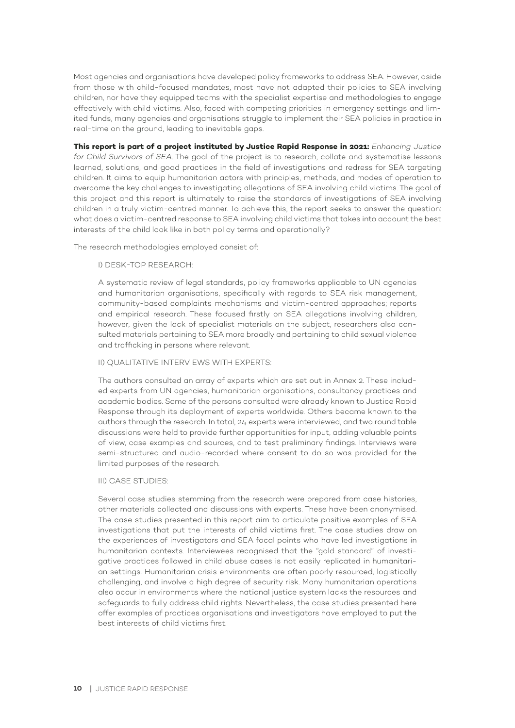Most agencies and organisations have developed policy frameworks to address SEA. However, aside from those with child-focused mandates, most have not adapted their policies to SEA involving children, nor have they equipped teams with the specialist expertise and methodologies to engage effectively with child victims. Also, faced with competing priorities in emergency settings and limited funds, many agencies and organisations struggle to implement their SEA policies in practice in real-time on the ground, leading to inevitable gaps.

**This report is part of a project instituted by Justice Rapid Response in 2021:** *Enhancing Justice for Child Survivors of SEA*. The goal of the project is to research, collate and systematise lessons learned, solutions, and good practices in the field of investigations and redress for SEA targeting children. It aims to equip humanitarian actors with principles, methods, and modes of operation to overcome the key challenges to investigating allegations of SEA involving child victims. The goal of this project and this report is ultimately to raise the standards of investigations of SEA involving children in a truly victim-centred manner. To achieve this, the report seeks to answer the question: what does a victim-centred response to SEA involving child victims that takes into account the best interests of the child look like in both policy terms and operationally?

The research methodologies employed consist of:

#### I) DESK-TOP RESEARCH:

A systematic review of legal standards, policy frameworks applicable to UN agencies and humanitarian organisations, specifically with regards to SEA risk management, community-based complaints mechanisms and victim-centred approaches; reports and empirical research. These focused firstly on SEA allegations involving children, however, given the lack of specialist materials on the subject, researchers also consulted materials pertaining to SEA more broadly and pertaining to child sexual violence and trafficking in persons where relevant.

#### II) QUALITATIVE INTERVIEWS WITH EXPERTS:

The authors consulted an array of experts which are set out in Annex 2. These included experts from UN agencies, humanitarian organisations, consultancy practices and academic bodies. Some of the persons consulted were already known to Justice Rapid Response through its deployment of experts worldwide. Others became known to the authors through the research. In total, 24 experts were interviewed, and two round table discussions were held to provide further opportunities for input, adding valuable points of view, case examples and sources, and to test preliminary findings. Interviews were semi-structured and audio-recorded where consent to do so was provided for the limited purposes of the research.

#### III) CASE STUDIES:

Several case studies stemming from the research were prepared from case histories, other materials collected and discussions with experts. These have been anonymised. The case studies presented in this report aim to articulate positive examples of SEA investigations that put the interests of child victims first. The case studies draw on the experiences of investigators and SEA focal points who have led investigations in humanitarian contexts. Interviewees recognised that the "gold standard" of investigative practices followed in child abuse cases is not easily replicated in humanitarian settings. Humanitarian crisis environments are often poorly resourced, logistically challenging, and involve a high degree of security risk. Many humanitarian operations also occur in environments where the national justice system lacks the resources and safeguards to fully address child rights. Nevertheless, the case studies presented here offer examples of practices organisations and investigators have employed to put the best interests of child victims first.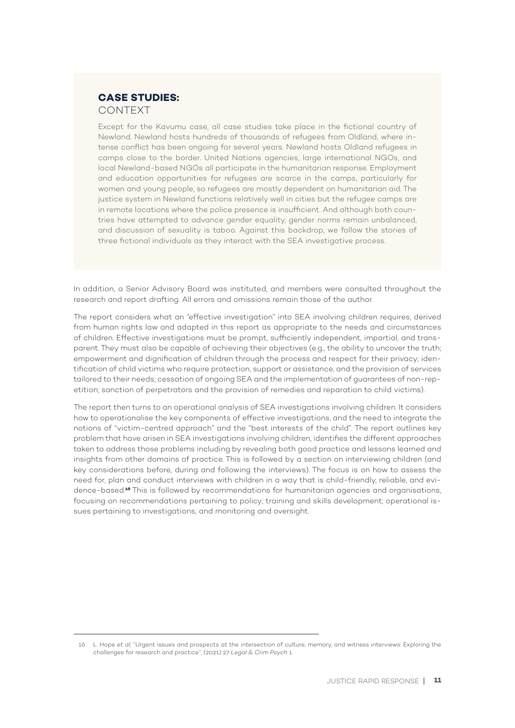#### **CASE STUDIES:**  CONTEXT

Except for the Kavumu case, all case studies take place in the fictional country of Newland. Newland hosts hundreds of thousands of refugees from Oldland, where intense conflict has been ongoing for several years. Newland hosts Oldland refugees in camps close to the border. United Nations agencies, large international NGOs, and local Newland-based NGOs all participate in the humanitarian response. Employment and education opportunities for refugees are scarce in the camps, particularly for women and young people, so refugees are mostly dependent on humanitarian aid. The justice system in Newland functions relatively well in cities but the refugee camps are in remote locations where the police presence is insufficient. And although both countries have attempted to advance gender equality, gender norms remain unbalanced, and discussion of sexuality is taboo. Against this backdrop, we follow the stories of three fictional individuals as they interact with the SEA investigative process.

In addition, a Senior Advisory Board was instituted, and members were consulted throughout the research and report drafting. All errors and omissions remain those of the author.

The report considers what an "effective investigation" into SEA involving children requires, derived from human rights law and adapted in this report as appropriate to the needs and circumstances of children. Effective investigations must be prompt, sufficiently independent, impartial, and transparent. They must also be capable of achieving their objectives (e.g., the ability to uncover the truth; empowerment and dignification of children through the process and respect for their privacy; identification of child victims who require protection, support or assistance, and the provision of services tailored to their needs; cessation of ongoing SEA and the implementation of guarantees of non-repetition; sanction of perpetrators and the provision of remedies and reparation to child victims).

The report then turns to an operational analysis of SEA investigations involving children. It considers how to operationalise the key components of effective investigations, and the need to integrate the notions of "victim-centred approach" and the "best interests of the child". The report outlines key problem that have arisen in SEA investigations involving children, identifies the different approaches taken to address those problems including by revealing both good practice and lessons learned and insights from other domains of practice. This is followed by a section on interviewing children (and key considerations before, during and following the interviews). The focus is on how to assess the need for, plan and conduct interviews with children in a way that is child-friendly, reliable, and evidence-based.**16** This is followed by recommendations for humanitarian agencies and organisations, focusing on recommendations pertaining to policy; training and skills development; operational issues pertaining to investigations; and monitoring and oversight.

<sup>16</sup> L. Hope *et al*, "Urgent issues and prospects at the intersection of culture, memory, and witness interviews: Exploring the challenges for research and practice", (2021) 27 *Legal & Crim Psych* 1.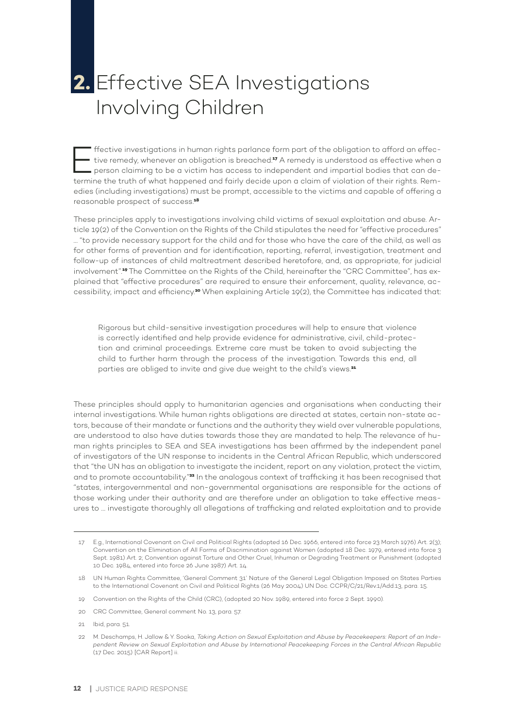## **2.** Effective SEA Investigations Involving Children

Effective investigations in human rights parlance form part of the obligation to afford an effective remedy, whenever an obligation is breached.**17** A remedy is understood as effective when a person claiming to be a victim has access to independent and impartial bodies that can determine the truth of what happened and fairly decide upon a claim of violation of their rights. Remedies (including investigations) must be prompt, accessible to the victims and capable of offering a reasonable prospect of success.**<sup>18</sup>**

These principles apply to investigations involving child victims of sexual exploitation and abuse. Article 19(2) of the Convention on the Rights of the Child stipulates the need for "effective procedures" … "to provide necessary support for the child and for those who have the care of the child, as well as for other forms of prevention and for identification, reporting, referral, investigation, treatment and follow-up of instances of child maltreatment described heretofore, and, as appropriate, for judicial involvement".**19** The Committee on the Rights of the Child, hereinafter the "CRC Committee", has explained that "effective procedures" are required to ensure their enforcement, quality, relevance, accessibility, impact and efficiency.**20** When explaining Article 19(2), the Committee has indicated that:

Rigorous but child-sensitive investigation procedures will help to ensure that violence is correctly identified and help provide evidence for administrative, civil, child-protection and criminal proceedings. Extreme care must be taken to avoid subjecting the child to further harm through the process of the investigation. Towards this end, all parties are obliged to invite and give due weight to the child's views.**<sup>21</sup>**

These principles should apply to humanitarian agencies and organisations when conducting their internal investigations. While human rights obligations are directed at states, certain non-state actors, because of their mandate or functions and the authority they wield over vulnerable populations, are understood to also have duties towards those they are mandated to help. The relevance of human rights principles to SEA and SEA investigations has been affirmed by the independent panel of investigators of the UN response to incidents in the Central African Republic, which underscored that "the UN has an obligation to investigate the incident, report on any violation, protect the victim, and to promote accountability."**22** In the analogous context of trafficking it has been recognised that "states, intergovernmental and non-governmental organisations are responsible for the actions of those working under their authority and are therefore under an obligation to take effective measures to … investigate thoroughly all allegations of trafficking and related exploitation and to provide

<sup>17</sup> E.g., International Covenant on Civil and Political Rights (adopted 16 Dec. 1966, entered into force 23 March 1976) Art. 2(3); Convention on the Elimination of All Forms of Discrimination against Women (adopted 18 Dec. 1979, entered into force 3 Sept. 1981) Art. 2; Convention against Torture and Other Cruel, Inhuman or Degrading Treatment or Punishment (adopted 10 Dec. 1984, entered into force 26 June 1987) Art. 14.

<sup>18</sup> UN Human Rights Committee, 'General Comment 31' Nature of the General Legal Obligation Imposed on States Parties to the International Covenant on Civil and Political Rights (26 May 2004) UN Doc. CCPR/C/21/Rev.1/Add.13, para. 15.

<sup>19</sup> Convention on the Rights of the Child (CRC), (adopted 20 Nov. 1989, entered into force 2 Sept. 1990).

<sup>20</sup> CRC Committee, General comment No. 13, para. 57.

<sup>21</sup> Ibid, para. 51.

<sup>22</sup> M. Deschamps, H. Jallow & Y. Sooka, *Taking Action on Sexual Exploitation and Abuse by Peacekeepers: Report of an Independent Review on Sexual Exploitation and Abuse by International Peacekeeping Forces in the Central African Republic* (17 Dec. 2015) [CAR Report] ii.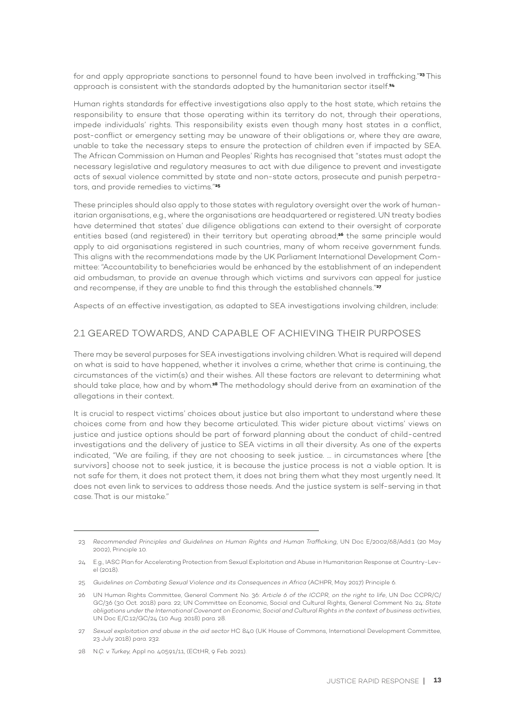for and apply appropriate sanctions to personnel found to have been involved in trafficking."**<sup>23</sup>** This approach is consistent with the standards adopted by the humanitarian sector itself.**<sup>24</sup>**

Human rights standards for effective investigations also apply to the host state, which retains the responsibility to ensure that those operating within its territory do not, through their operations, impede individuals' rights. This responsibility exists even though many host states in a conflict, post-conflict or emergency setting may be unaware of their obligations or, where they are aware, unable to take the necessary steps to ensure the protection of children even if impacted by SEA. The African Commission on Human and Peoples' Rights has recognised that "states must adopt the necessary legislative and regulatory measures to act with due diligence to prevent and investigate acts of sexual violence committed by state and non-state actors, prosecute and punish perpetrators, and provide remedies to victims."**<sup>25</sup>**

These principles should also apply to those states with regulatory oversight over the work of humanitarian organisations, e.g., where the organisations are headquartered or registered. UN treaty bodies have determined that states' due diligence obligations can extend to their oversight of corporate entities based (and registered) in their territory but operating abroad;**26** the same principle would apply to aid organisations registered in such countries, many of whom receive government funds. This aligns with the recommendations made by the UK Parliament International Development Committee: "Accountability to beneficiaries would be enhanced by the establishment of an independent aid ombudsman, to provide an avenue through which victims and survivors can appeal for justice and recompense, if they are unable to find this through the established channels."**<sup>27</sup>**

Aspects of an effective investigation, as adapted to SEA investigations involving children, include:

#### 2.1 GEARED TOWARDS, AND CAPABLE OF ACHIEVING THEIR PURPOSES

There may be several purposes for SEA investigations involving children. What is required will depend on what is said to have happened, whether it involves a crime, whether that crime is continuing, the circumstances of the victim(s) and their wishes. All these factors are relevant to determining what should take place, how and by whom.**28** The methodology should derive from an examination of the allegations in their context.

It is crucial to respect victims' choices about justice but also important to understand where these choices come from and how they become articulated. This wider picture about victims' views on justice and justice options should be part of forward planning about the conduct of child-centred investigations and the delivery of justice to SEA victims in all their diversity. As one of the experts indicated, "We are failing, if they are not choosing to seek justice. … in circumstances where [the survivors] choose not to seek justice, it is because the justice process is not a viable option. It is not safe for them, it does not protect them, it does not bring them what they most urgently need. It does not even link to services to address those needs. And the justice system is self-serving in that case. That is our mistake."

<sup>23</sup> *Recommended Principles and Guidelines on Human Rights and Human Trafficking*, UN Doc E/2002/68/Add.1 (20 May 2002), Principle 10.

<sup>24</sup> E.g., IASC Plan for Accelerating Protection from Sexual Exploitation and Abuse in Humanitarian Response at Country-Level (2018).

<sup>25</sup> *Guidelines on Combating Sexual Violence and its Consequences in Africa* (ACHPR, May 2017) Principle 6.

<sup>26</sup> UN Human Rights Committee, General Comment No. 36: *Article 6 of the ICCPR, on the right to life*, UN Doc CCPR/C/ GC/36 (30 Oct. 2018) para. 22; UN Committee on Economic, Social and Cultural Rights, General Comment No. 24: *State obligations under the International Covenant on Economic, Social and Cultural Rights in the context of business activities*, UN Doc E/C.12/GC/24 (10 Aug. 2018) para. 28.

<sup>27</sup> *Sexual exploitation and abuse in the aid sector* HC 840 (UK House of Commons, International Development Committee, 23 July 2018) para. 232.

<sup>28</sup> N*.Ç. v. Turkey,* Appl no. 40591/11, (ECtHR, 9 Feb. 2021).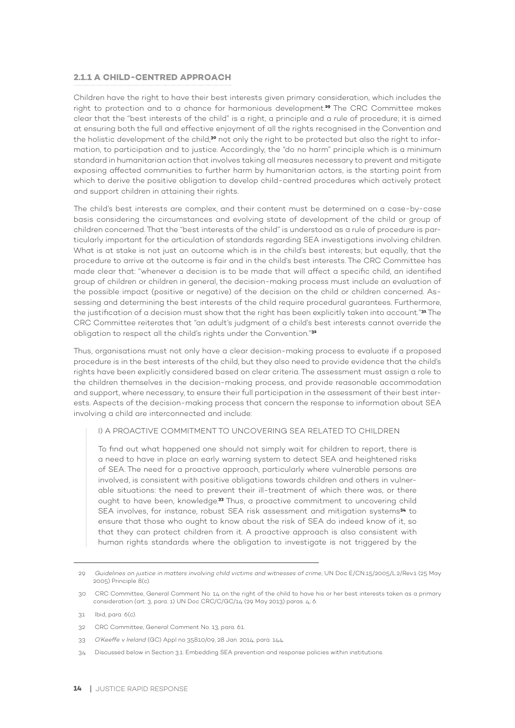#### **2.1.1 A CHILD-CENTRED APPROACH**

Children have the right to have their best interests given primary consideration, which includes the right to protection and to a chance for harmonious development.**29** The CRC Committee makes clear that the "best interests of the child" is a right, a principle and a rule of procedure; it is aimed at ensuring both the full and effective enjoyment of all the rights recognised in the Convention and the holistic development of the child,**30** not only the right to be protected but also the right to information, to participation and to justice. Accordingly, the "do no harm" principle which is a minimum standard in humanitarian action that involves taking all measures necessary to prevent and mitigate exposing affected communities to further harm by humanitarian actors, is the starting point from which to derive the positive obligation to develop child-centred procedures which actively protect and support children in attaining their rights.

The child's best interests are complex, and their content must be determined on a case-by-case basis considering the circumstances and evolving state of development of the child or group of children concerned. That the "best interests of the child" is understood as a rule of procedure is particularly important for the articulation of standards regarding SEA investigations involving children. What is at stake is not just an outcome which is in the child's best interests; but equally, that the procedure to arrive at the outcome is fair and in the child's best interests. The CRC Committee has made clear that: "whenever a decision is to be made that will affect a specific child, an identified group of children or children in general, the decision-making process must include an evaluation of the possible impact (positive or negative) of the decision on the child or children concerned. Assessing and determining the best interests of the child require procedural guarantees. Furthermore, the justification of a decision must show that the right has been explicitly taken into account."**31** The CRC Committee reiterates that "an adult's judgment of a child's best interests cannot override the obligation to respect all the child's rights under the Convention."**<sup>32</sup>**

Thus, organisations must not only have a clear decision-making process to evaluate if a proposed procedure is in the best interests of the child, but they also need to provide evidence that the child's rights have been explicitly considered based on clear criteria. The assessment must assign a role to the children themselves in the decision-making process, and provide reasonable accommodation and support, where necessary, to ensure their full participation in the assessment of their best interests. Aspects of the decision-making process that concern the response to information about SEA involving a child are interconnected and include:

#### I) A PROACTIVE COMMITMENT TO UNCOVERING SEA RELATED TO CHILDREN

To find out what happened one should not simply wait for children to report, there is a need to have in place an early warning system to detect SEA and heightened risks of SEA. The need for a proactive approach, particularly where vulnerable persons are involved, is consistent with positive obligations towards children and others in vulnerable situations: the need to prevent their ill-treatment of which there was, or there ought to have been, knowledge.**33** Thus, a proactive commitment to uncovering child SEA involves, for instance, robust SEA risk assessment and mitigation systems**34** to ensure that those who ought to know about the risk of SEA do indeed know of it, so that they can protect children from it. A proactive approach is also consistent with human rights standards where the obligation to investigate is not triggered by the

<sup>29</sup> *Guidelines on justice in matters involving child victims and witnesses of crime*, UN Doc E/CN.15/2005/L.2/Rev.1 (25 May 2005) Principle 8(c).

<sup>30</sup> CRC Committee, General Comment No. 14 on the right of the child to have his or her best interests taken as a primary consideration (art. 3, para. 1) UN Doc CRC/C/GC/14 (29 May 2013) paras. 4; 6.

<sup>31</sup> Ibid, para. 6(c).

<sup>32</sup> CRC Committee, General Comment No. 13, para. 61.

<sup>33</sup> *O'Keeffe v Ireland* (GC) Appl no 35810/09, 28 Jan. 2014, para. 144.

<sup>34</sup> Discussed below in Section 3.1: Embedding SEA prevention and response policies within institutions.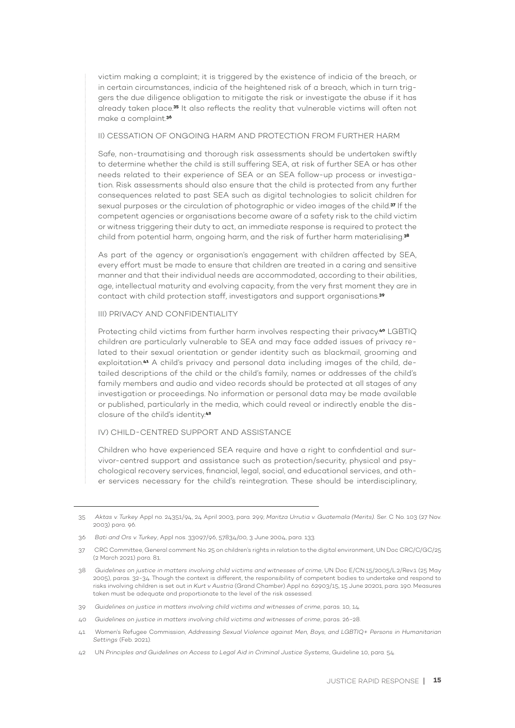victim making a complaint; it is triggered by the existence of indicia of the breach, or in certain circumstances, indicia of the heightened risk of a breach, which in turn triggers the due diligence obligation to mitigate the risk or investigate the abuse if it has already taken place.**35** It also reflects the reality that vulnerable victims will often not make a complaint.**<sup>36</sup>**

II) CESSATION OF ONGOING HARM AND PROTECTION FROM FURTHER HARM

Safe, non-traumatising and thorough risk assessments should be undertaken swiftly to determine whether the child is still suffering SEA, at risk of further SEA or has other needs related to their experience of SEA or an SEA follow-up process or investigation. Risk assessments should also ensure that the child is protected from any further consequences related to past SEA such as digital technologies to solicit children for sexual purposes or the circulation of photographic or video images of the child.**37** If the competent agencies or organisations become aware of a safety risk to the child victim or witness triggering their duty to act, an immediate response is required to protect the child from potential harm, ongoing harm, and the risk of further harm materialising.**<sup>38</sup>**

As part of the agency or organisation's engagement with children affected by SEA, every effort must be made to ensure that children are treated in a caring and sensitive manner and that their individual needs are accommodated, according to their abilities, age, intellectual maturity and evolving capacity, from the very first moment they are in contact with child protection staff, investigators and support organisations.**<sup>39</sup>**

#### III) PRIVACY AND CONFIDENTIALITY

Protecting child victims from further harm involves respecting their privacy.**40** LGBTIQ children are particularly vulnerable to SEA and may face added issues of privacy related to their sexual orientation or gender identity such as blackmail, grooming and exploitation.**41** A child's privacy and personal data including images of the child, detailed descriptions of the child or the child's family, names or addresses of the child's family members and audio and video records should be protected at all stages of any investigation or proceedings. No information or personal data may be made available or published, particularly in the media, which could reveal or indirectly enable the disclosure of the child's identity.**<sup>42</sup>**

#### IV) CHILD-CENTRED SUPPORT AND ASSISTANCE

Children who have experienced SEA require and have a right to confidential and survivor-centred support and assistance such as protection/security, physical and psychological recovery services, financial, legal, social, and educational services, and other services necessary for the child's reintegration. These should be interdisciplinary,

<sup>35</sup> *Aktas v. Turkey* Appl no. 24351/94, 24 April 2003, para. 299; *Maritza Urrutia v. Guatemala (Merits).* Ser. C No. 103 (27 Nov. 2003) para. 96.

<sup>36</sup> *Bati and Ors v. Turkey*, Appl nos. 33097/96, 57834/00, 3 June 2004, para. 133.

<sup>37</sup> CRC Committee, General comment No. 25 on children's rights in relation to the digital environment, UN Doc CRC/C/GC/25 (2 March 2021) para. 81.

<sup>38</sup> *Guidelines on justice in matters involving child victims and witnesses of crime*, UN Doc E/CN.15/2005/L.2/Rev.1 (25 May 2005), paras. 32-34. Though the context is different, the responsibility of competent bodies to undertake and respond to risks involving children is set out in *Kurt v Austria* (Grand Chamber) Appl no. 62903/15, 15 June 20201, para. 190. Measures taken must be adequate and proportionate to the level of the risk assessed.

<sup>39</sup> *Guidelines on justice in matters involving child victims and witnesses of crime*, paras. 10, 14.

<sup>40</sup> *Guidelines on justice in matters involving child victims and witnesses of crime*, paras. 26-28.

<sup>41</sup> Women's Refugee Commission, *Addressing Sexual Violence against Men, Boys, and LGBTIQ+ Persons in Humanitarian Settings* (Feb. 2021).

<sup>42</sup> UN *Principles and Guidelines on Access to Legal Aid in Criminal Justice Systems*, Guideline 10, para. 54.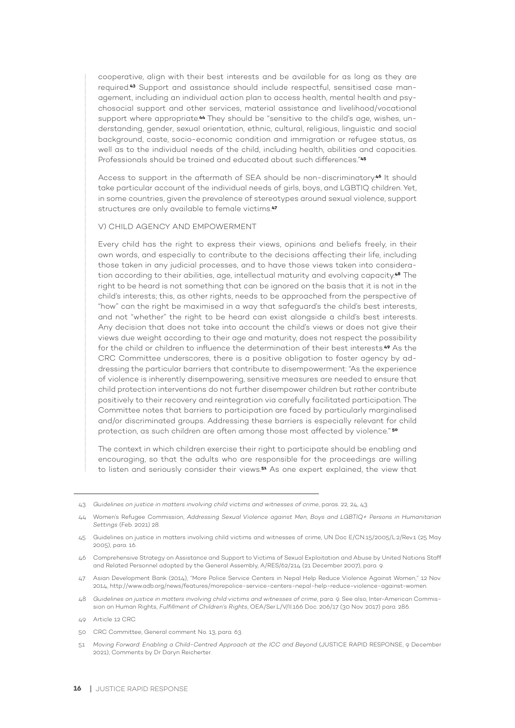cooperative, align with their best interests and be available for as long as they are required.**43** Support and assistance should include respectful, sensitised case management, including an individual action plan to access health, mental health and psychosocial support and other services, material assistance and livelihood/vocational support where appropriate.**44** They should be "sensitive to the child's age, wishes, understanding, gender, sexual orientation, ethnic, cultural, religious, linguistic and social background, caste, socio-economic condition and immigration or refugee status, as well as to the individual needs of the child, including health, abilities and capacities. Professionals should be trained and educated about such differences."**<sup>45</sup>**

Access to support in the aftermath of SEA should be non-discriminatory.**46** It should take particular account of the individual needs of girls, boys, and LGBTIQ children. Yet, in some countries, given the prevalence of stereotypes around sexual violence, support structures are only available to female victims.**<sup>47</sup>**

#### V) CHILD AGENCY AND EMPOWERMENT

Every child has the right to express their views, opinions and beliefs freely, in their own words, and especially to contribute to the decisions affecting their life, including those taken in any judicial processes, and to have those views taken into consideration according to their abilities, age, intellectual maturity and evolving capacity.**<sup>48</sup>** The right to be heard is not something that can be ignored on the basis that it is not in the child's interests; this, as other rights, needs to be approached from the perspective of "how" can the right be maximised in a way that safeguard's the child's best interests, and not "whether" the right to be heard can exist alongside a child's best interests. Any decision that does not take into account the child's views or does not give their views due weight according to their age and maturity, does not respect the possibility for the child or children to influence the determination of their best interests.**49** As the CRC Committee underscores, there is a positive obligation to foster agency by addressing the particular barriers that contribute to disempowerment: "As the experience of violence is inherently disempowering, sensitive measures are needed to ensure that child protection interventions do not further disempower children but rather contribute positively to their recovery and reintegration via carefully facilitated participation. The Committee notes that barriers to participation are faced by particularly marginalised and/or discriminated groups. Addressing these barriers is especially relevant for child protection, as such children are often among those most affected by violence." **<sup>50</sup>**

The context in which children exercise their right to participate should be enabling and encouraging, so that the adults who are responsible for the proceedings are willing to listen and seriously consider their views.**51** As one expert explained, the view that

- 46 Comprehensive Strategy on Assistance and Support to Victims of Sexual Exploitation and Abuse by United Nations Staff and Related Personnel adopted by the General Assembly, A/RES/62/214 (21 December 2007), para. 9.
- 47 Asian Development Bank (2014), "More Police Service Centers in Nepal Help Reduce Violence Against Women," 12 Nov. 2014, http://www.adb.org/news/features/morepolice-service-centers-nepal-help-reduce-violence-against-women.
- 48 *Guidelines on justice in matters involving child victims and witnesses of crime*, para. 9. See also, Inter-American Commission on Human Rights, *Fulfillment of Children's Rights*, OEA/Ser.L/V/II.166 Doc. 206/17 (30 Nov. 2017) para. 286.
- 49 Article 12 CRC.
- 50 CRC Committee, General comment No. 13, para. 63.
- 51 *Moving Forward: Enabling a Child-Centred Approach at the ICC and Beyond* (JUSTICE RAPID RESPONSE, 9 December 2021), Comments by Dr Daryn Reicherter.

<sup>43</sup> *Guidelines on justice in matters involving child victims and witnesses of crime*, paras. 22, 24, 43.

<sup>44</sup> Women's Refugee Commission, *Addressing Sexual Violence against Men, Boys and LGBTIQ+ Persons in Humanitarian Settings* (Feb. 2021) 28.

<sup>45</sup> Guidelines on justice in matters involving child victims and witnesses of crime, UN Doc E/CN.15/2005/L.2/Rev.1 (25 May 2005), para. 16.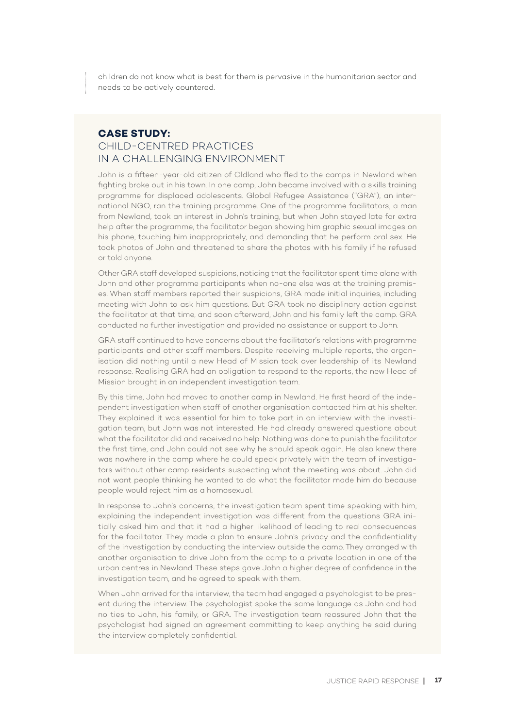children do not know what is best for them is pervasive in the humanitarian sector and needs to be actively countered.

#### **CASE STUDY:**  CHILD-CENTRED PRACTICES IN A CHALLENGING ENVIRONMENT

John is a fifteen-year-old citizen of Oldland who fled to the camps in Newland when fighting broke out in his town. In one camp, John became involved with a skills training programme for displaced adolescents. Global Refugee Assistance ("GRA"), an international NGO, ran the training programme. One of the programme facilitators, a man from Newland, took an interest in John's training, but when John stayed late for extra help after the programme, the facilitator began showing him graphic sexual images on his phone, touching him inappropriately, and demanding that he perform oral sex. He took photos of John and threatened to share the photos with his family if he refused or told anyone.

Other GRA staff developed suspicions, noticing that the facilitator spent time alone with John and other programme participants when no-one else was at the training premises. When staff members reported their suspicions, GRA made initial inquiries, including meeting with John to ask him questions. But GRA took no disciplinary action against the facilitator at that time, and soon afterward, John and his family left the camp. GRA conducted no further investigation and provided no assistance or support to John.

GRA staff continued to have concerns about the facilitator's relations with programme participants and other staff members. Despite receiving multiple reports, the organisation did nothing until a new Head of Mission took over leadership of its Newland response. Realising GRA had an obligation to respond to the reports, the new Head of Mission brought in an independent investigation team.

By this time, John had moved to another camp in Newland. He first heard of the independent investigation when staff of another organisation contacted him at his shelter. They explained it was essential for him to take part in an interview with the investigation team, but John was not interested. He had already answered questions about what the facilitator did and received no help. Nothing was done to punish the facilitator the first time, and John could not see why he should speak again. He also knew there was nowhere in the camp where he could speak privately with the team of investigators without other camp residents suspecting what the meeting was about. John did not want people thinking he wanted to do what the facilitator made him do because people would reject him as a homosexual.

In response to John's concerns, the investigation team spent time speaking with him, explaining the independent investigation was different from the questions GRA initially asked him and that it had a higher likelihood of leading to real consequences for the facilitator. They made a plan to ensure John's privacy and the confidentiality of the investigation by conducting the interview outside the camp. They arranged with another organisation to drive John from the camp to a private location in one of the urban centres in Newland. These steps gave John a higher degree of confidence in the investigation team, and he agreed to speak with them.

When John arrived for the interview, the team had engaged a psychologist to be present during the interview. The psychologist spoke the same language as John and had no ties to John, his family, or GRA. The investigation team reassured John that the psychologist had signed an agreement committing to keep anything he said during the interview completely confidential.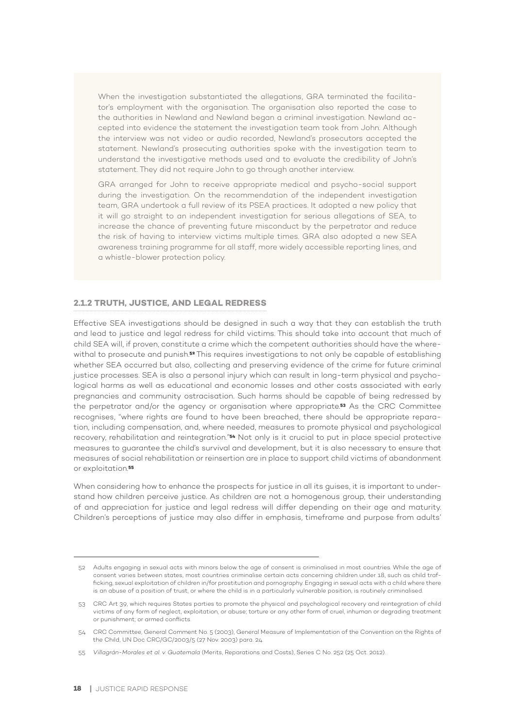When the investigation substantiated the allegations, GRA terminated the facilitator's employment with the organisation. The organisation also reported the case to the authorities in Newland and Newland began a criminal investigation. Newland accepted into evidence the statement the investigation team took from John. Although the interview was not video or audio recorded, Newland's prosecutors accepted the statement. Newland's prosecuting authorities spoke with the investigation team to understand the investigative methods used and to evaluate the credibility of John's statement. They did not require John to go through another interview.

GRA arranged for John to receive appropriate medical and psycho-social support during the investigation. On the recommendation of the independent investigation team, GRA undertook a full review of its PSEA practices. It adopted a new policy that it will go straight to an independent investigation for serious allegations of SEA, to increase the chance of preventing future misconduct by the perpetrator and reduce the risk of having to interview victims multiple times. GRA also adopted a new SEA awareness training programme for all staff, more widely accessible reporting lines, and a whistle-blower protection policy.

#### **2.1.2 TRUTH, JUSTICE, AND LEGAL REDRESS**

Effective SEA investigations should be designed in such a way that they can establish the truth and lead to justice and legal redress for child victims. This should take into account that much of child SEA will, if proven, constitute a crime which the competent authorities should have the wherewithal to prosecute and punish.**52** This requires investigations to not only be capable of establishing whether SEA occurred but also, collecting and preserving evidence of the crime for future criminal justice processes. SEA is also a personal injury which can result in long-term physical and psychological harms as well as educational and economic losses and other costs associated with early pregnancies and community ostracisation. Such harms should be capable of being redressed by the perpetrator and/or the agency or organisation where appropriate.**53** As the CRC Committee recognises, "where rights are found to have been breached, there should be appropriate reparation, including compensation, and, where needed, measures to promote physical and psychological recovery, rehabilitation and reintegration."**54** Not only is it crucial to put in place special protective measures to guarantee the child's survival and development, but it is also necessary to ensure that measures of social rehabilitation or reinsertion are in place to support child victims of abandonment or exploitation.**<sup>55</sup>**

When considering how to enhance the prospects for justice in all its guises, it is important to understand how children perceive justice. As children are not a homogenous group, their understanding of and appreciation for justice and legal redress will differ depending on their age and maturity. Children's perceptions of justice may also differ in emphasis, timeframe and purpose from adults'

<sup>52</sup> Adults engaging in sexual acts with minors below the age of consent is criminalised in most countries. While the age of consent varies between states, most countries criminalise certain acts concerning children under 18, such as child trafficking, sexual exploitation of children in/for prostitution and pornography. Engaging in sexual acts with a child where there is an abuse of a position of trust, or where the child is in a particularly vulnerable position, is routinely criminalised.

<sup>53</sup> CRC Art 39, which requires States parties to promote the physical and psychological recovery and reintegration of child victims of any form of neglect, exploitation, or abuse; torture or any other form of cruel, inhuman or degrading treatment or punishment; or armed conflicts.

<sup>54</sup> CRC Committee, General Comment No. 5 (2003), General Measure of Implementation of the Convention on the Rights of the Child, UN Doc CRC/GC/2003/5 (27 Nov. 2003) para. 24.

<sup>55</sup> *Villagrán-Morales et al. v. Guatemala* (Merits, Reparations and Costs), Series C No. 252 (25 Oct. 2012).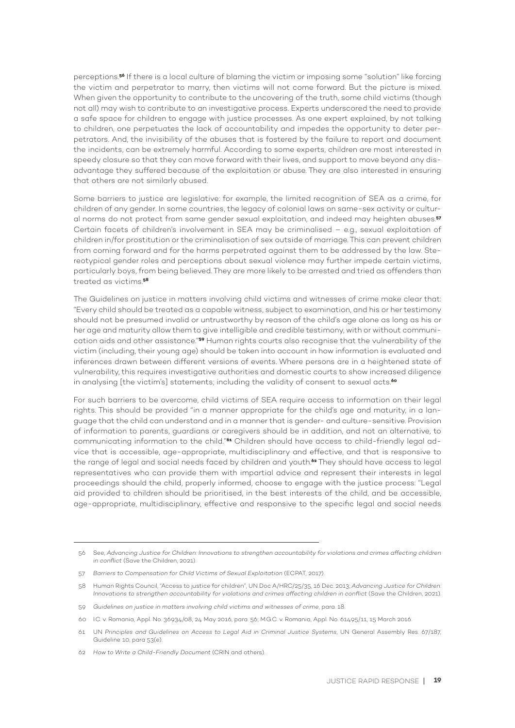perceptions.**56** If there is a local culture of blaming the victim or imposing some "solution" like forcing the victim and perpetrator to marry, then victims will not come forward. But the picture is mixed. When given the opportunity to contribute to the uncovering of the truth, some child victims (though not all) may wish to contribute to an investigative process. Experts underscored the need to provide a safe space for children to engage with justice processes. As one expert explained, by not talking to children, one perpetuates the lack of accountability and impedes the opportunity to deter perpetrators. And, the invisibility of the abuses that is fostered by the failure to report and document the incidents, can be extremely harmful. According to some experts, children are most interested in speedy closure so that they can move forward with their lives, and support to move beyond any disadvantage they suffered because of the exploitation or abuse. They are also interested in ensuring that others are not similarly abused.

Some barriers to justice are legislative: for example, the limited recognition of SEA as a crime, for children of any gender. In some countries, the legacy of colonial laws on same-sex activity or cultural norms do not protect from same gender sexual exploitation, and indeed may heighten abuses.**<sup>57</sup>** Certain facets of children's involvement in SEA may be criminalised – e.g., sexual exploitation of children in/for prostitution or the criminalisation of sex outside of marriage. This can prevent children from coming forward and for the harms perpetrated against them to be addressed by the law. Stereotypical gender roles and perceptions about sexual violence may further impede certain victims, particularly boys, from being believed. They are more likely to be arrested and tried as offenders than treated as victims.**<sup>58</sup>**

The Guidelines on justice in matters involving child victims and witnesses of crime make clear that: "Every child should be treated as a capable witness, subject to examination, and his or her testimony should not be presumed invalid or untrustworthy by reason of the child's age alone as long as his or her age and maturity allow them to give intelligible and credible testimony, with or without communication aids and other assistance."**59** Human rights courts also recognise that the vulnerability of the victim (including, their young age) should be taken into account in how information is evaluated and inferences drawn between different versions of events. Where persons are in a heightened state of vulnerability, this requires investigative authorities and domestic courts to show increased diligence in analysing [the victim's] statements; including the validity of consent to sexual acts.**<sup>60</sup>**

For such barriers to be overcome, child victims of SEA require access to information on their legal rights. This should be provided "in a manner appropriate for the child's age and maturity, in a language that the child can understand and in a manner that is gender- and culture-sensitive. Provision of information to parents, guardians or caregivers should be in addition, and not an alternative, to communicating information to the child."**61** Children should have access to child-friendly legal advice that is accessible, age-appropriate, multidisciplinary and effective, and that is responsive to the range of legal and social needs faced by children and youth.**62** They should have access to legal representatives who can provide them with impartial advice and represent their interests in legal proceedings should the child, properly informed, choose to engage with the justice process: "Legal aid provided to children should be prioritised, in the best interests of the child, and be accessible, age-appropriate, multidisciplinary, effective and responsive to the specific legal and social needs

<sup>56</sup> See, *Advancing Justice for Children: Innovations to strengthen accountability for violations and crimes affecting children in conflict* (Save the Children, 2021).

<sup>57</sup> *Barriers to Compensation for Child Victims of Sexual Exploitation* (ECPAT, 2017).

<sup>58</sup> Human Rights Council, "Access to justice for children", UN Doc A/HRC/25/35, 16 Dec. 2013; *Advancing Justice for Children: Innovations to strengthen accountability for violations and crimes affecting children in conflict* (Save the Children, 2021).

<sup>59</sup> *Guidelines on justice in matters involving child victims and witnesses of crime*, para. 18.

<sup>60</sup> I.C. v. Romania, Appl. No. 36934/08, 24 May 2016, para. 56; M.G.C. v. Romania, Appl. No. 61495/11, 15 March 2016.

<sup>61</sup> UN *Principles and Guidelines on Access to Legal Aid in Criminal Justice Systems*, UN General Assembly Res. 67/187, Guideline 10, para 53(e).

<sup>62</sup> *How to Write a Child-Friendly Document* (CRIN and others).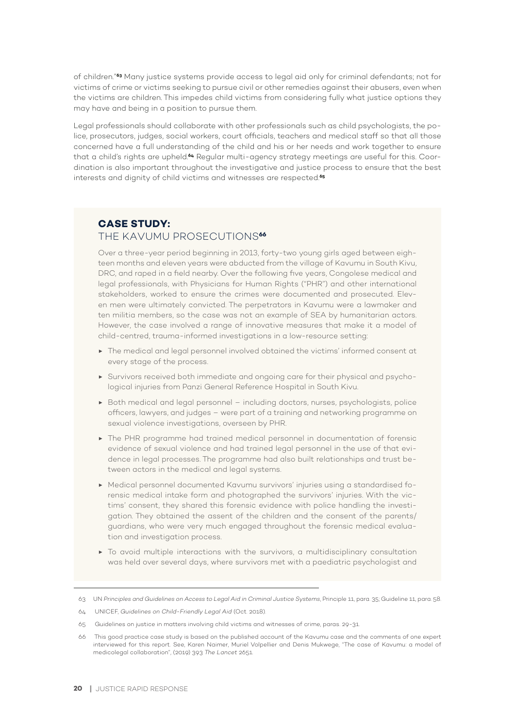of children."**63** Many justice systems provide access to legal aid only for criminal defendants; not for victims of crime or victims seeking to pursue civil or other remedies against their abusers, even when the victims are children. This impedes child victims from considering fully what justice options they may have and being in a position to pursue them.

Legal professionals should collaborate with other professionals such as child psychologists, the police, prosecutors, judges, social workers, court officials, teachers and medical staff so that all those concerned have a full understanding of the child and his or her needs and work together to ensure that a child's rights are upheld.**64** Regular multi-agency strategy meetings are useful for this. Coordination is also important throughout the investigative and justice process to ensure that the best interests and dignity of child victims and witnesses are respected.**<sup>65</sup>**

### **CASE STUDY:**

#### THE KAVUMU PROSECUTIONS**<sup>66</sup>**

Over a three-year period beginning in 2013, forty-two young girls aged between eighteen months and eleven years were abducted from the village of Kavumu in South Kivu, DRC, and raped in a field nearby. Over the following five years, Congolese medical and legal professionals, with Physicians for Human Rights ("PHR") and other international stakeholders, worked to ensure the crimes were documented and prosecuted. Eleven men were ultimately convicted. The perpetrators in Kavumu were a lawmaker and ten militia members, so the case was not an example of SEA by humanitarian actors. However, the case involved a range of innovative measures that make it a model of child-centred, trauma-informed investigations in a low-resource setting:

- ▶ The medical and legal personnel involved obtained the victims' informed consent at every stage of the process.
- ▶ Survivors received both immediate and ongoing care for their physical and psychological injuries from Panzi General Reference Hospital in South Kivu.
- ▶ Both medical and legal personnel including doctors, nurses, psychologists, police officers, lawyers, and judges – were part of a training and networking programme on sexual violence investigations, overseen by PHR.
- ▶ The PHR programme had trained medical personnel in documentation of forensic evidence of sexual violence and had trained legal personnel in the use of that evidence in legal processes. The programme had also built relationships and trust between actors in the medical and legal systems.
- ▶ Medical personnel documented Kavumu survivors' injuries using a standardised forensic medical intake form and photographed the survivors' injuries. With the victims' consent, they shared this forensic evidence with police handling the investigation. They obtained the assent of the children and the consent of the parents/ guardians, who were very much engaged throughout the forensic medical evaluation and investigation process.
- ▶ To avoid multiple interactions with the survivors, a multidisciplinary consultation was held over several days, where survivors met with a paediatric psychologist and

<sup>63</sup> UN *Principles and Guidelines on Access to Legal Aid in Criminal Justice Systems*, Principle 11, para. 35; Guideline 11, para. 58.

<sup>64</sup> UNICEF, *Guidelines on Child-Friendly Legal Aid* (Oct. 2018).

<sup>65</sup> Guidelines on justice in matters involving child victims and witnesses of crime, paras. 29-31.

<sup>66</sup> This good practice case study is based on the published account of the Kavumu case and the comments of one expert interviewed for this report. See, Karen Naimer, Muriel Volpellier and Denis Mukwege, "The case of Kavumu: a model of medicolegal collaboration", (2019) 393 *The Lancet* 2651.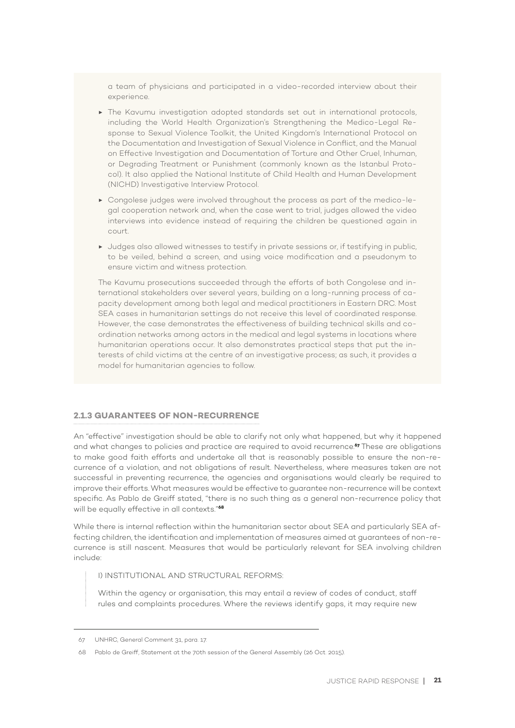a team of physicians and participated in a video-recorded interview about their experience.

- ▶ The Kavumu investigation adopted standards set out in international protocols, including the World Health Organization's Strengthening the Medico-Legal Response to Sexual Violence Toolkit, the United Kingdom's International Protocol on the Documentation and Investigation of Sexual Violence in Conflict, and the Manual on Effective Investigation and Documentation of Torture and Other Cruel, Inhuman, or Degrading Treatment or Punishment (commonly known as the Istanbul Protocol). It also applied the National Institute of Child Health and Human Development (NICHD) Investigative Interview Protocol.
- ▶ Congolese judges were involved throughout the process as part of the medico-legal cooperation network and, when the case went to trial, judges allowed the video interviews into evidence instead of requiring the children be questioned again in court.
- ▶ Judges also allowed witnesses to testify in private sessions or, if testifying in public, to be veiled, behind a screen, and using voice modification and a pseudonym to ensure victim and witness protection.

The Kavumu prosecutions succeeded through the efforts of both Congolese and international stakeholders over several years, building on a long-running process of capacity development among both legal and medical practitioners in Eastern DRC. Most SEA cases in humanitarian settings do not receive this level of coordinated response. However, the case demonstrates the effectiveness of building technical skills and coordination networks among actors in the medical and legal systems in locations where humanitarian operations occur. It also demonstrates practical steps that put the interests of child victims at the centre of an investigative process; as such, it provides a model for humanitarian agencies to follow.

#### **2.1.3 GUARANTEES OF NON-RECURRENCE**

An "effective" investigation should be able to clarify not only what happened, but why it happened and what changes to policies and practice are required to avoid recurrence.**67** These are obligations to make good faith efforts and undertake all that is reasonably possible to ensure the non-recurrence of a violation, and not obligations of result. Nevertheless, where measures taken are not successful in preventing recurrence, the agencies and organisations would clearly be required to improve their efforts. What measures would be effective to guarantee non-recurrence will be context specific. As Pablo de Greiff stated, "there is no such thing as a general non-recurrence policy that will be equally effective in all contexts."**<sup>68</sup>**

While there is internal reflection within the humanitarian sector about SEA and particularly SEA affecting children, the identification and implementation of measures aimed at guarantees of non-recurrence is still nascent. Measures that would be particularly relevant for SEA involving children include:

#### I) INSTITUTIONAL AND STRUCTURAL REFORMS:

Within the agency or organisation, this may entail a review of codes of conduct, staff rules and complaints procedures. Where the reviews identify gaps, it may require new

<sup>67</sup> UNHRC, General Comment 31, para. 17.

<sup>68</sup> Pablo de Greiff, Statement at the 70th session of the General Assembly (26 Oct. 2015).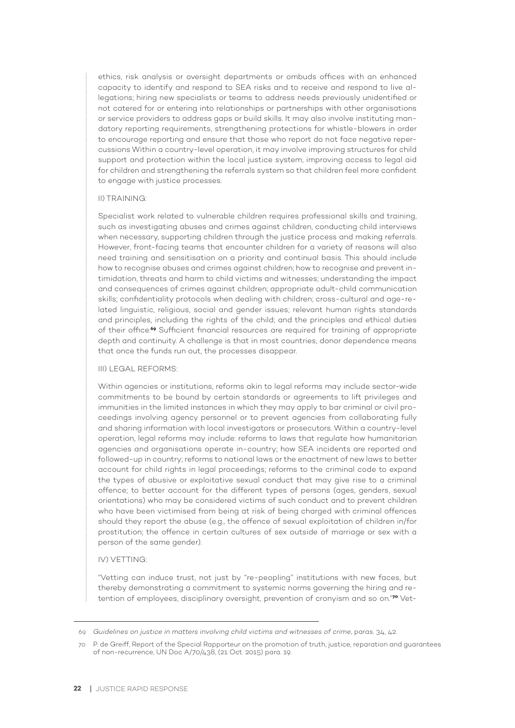ethics, risk analysis or oversight departments or ombuds offices with an enhanced capacity to identify and respond to SEA risks and to receive and respond to live allegations; hiring new specialists or teams to address needs previously unidentified or not catered for or entering into relationships or partnerships with other organisations or service providers to address gaps or build skills. It may also involve instituting mandatory reporting requirements, strengthening protections for whistle-blowers in order to encourage reporting and ensure that those who report do not face negative repercussions Within a country-level operation, it may involve improving structures for child support and protection within the local justice system, improving access to legal aid for children and strengthening the referrals system so that children feel more confident to engage with justice processes.

#### II) TRAINING:

Specialist work related to vulnerable children requires professional skills and training, such as investigating abuses and crimes against children, conducting child interviews when necessary, supporting children through the justice process and making referrals. However, front-facing teams that encounter children for a variety of reasons will also need training and sensitisation on a priority and continual basis. This should include how to recognise abuses and crimes against children; how to recognise and prevent intimidation, threats and harm to child victims and witnesses; understanding the impact and consequences of crimes against children; appropriate adult-child communication skills; confidentiality protocols when dealing with children; cross-cultural and age-related linguistic, religious, social and gender issues; relevant human rights standards and principles, including the rights of the child; and the principles and ethical duties of their office.**69** Sufficient financial resources are required for training of appropriate depth and continuity. A challenge is that in most countries, donor dependence means that once the funds run out, the processes disappear.

#### III) LEGAL REFORMS:

Within agencies or institutions, reforms akin to legal reforms may include sector-wide commitments to be bound by certain standards or agreements to lift privileges and immunities in the limited instances in which they may apply to bar criminal or civil proceedings involving agency personnel or to prevent agencies from collaborating fully and sharing information with local investigators or prosecutors. Within a country-level operation, legal reforms may include: reforms to laws that regulate how humanitarian agencies and organisations operate in-country; how SEA incidents are reported and followed-up in country; reforms to national laws or the enactment of new laws to better account for child rights in legal proceedings; reforms to the criminal code to expand the types of abusive or exploitative sexual conduct that may give rise to a criminal offence; to better account for the different types of persons (ages, genders, sexual orientations) who may be considered victims of such conduct and to prevent children who have been victimised from being at risk of being charged with criminal offences should they report the abuse (e.g., the offence of sexual exploitation of children in/for prostitution; the offence in certain cultures of sex outside of marriage or sex with a person of the same gender).

#### IV) VETTING:

"Vetting can induce trust, not just by "re-peopling" institutions with new faces, but thereby demonstrating a commitment to systemic norms governing the hiring and retention of employees, disciplinary oversight, prevention of cronyism and so on."**70** Vet-

<sup>69</sup> *Guidelines on justice in matters involving child victims and witnesses of crime*, paras. 34, 42.

<sup>70</sup> P. de Greiff, Report of the Special Rapporteur on the promotion of truth, justice, reparation and guarantees of non-recurrence, UN Doc A/70/438, (21 Oct. 2015) para. 19.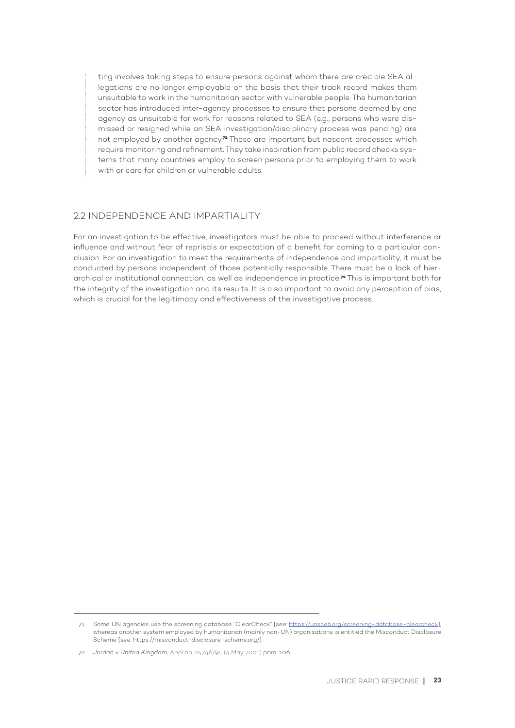ting involves taking steps to ensure persons against whom there are credible SEA allegations are no longer employable on the basis that their track record makes them unsuitable to work in the humanitarian sector with vulnerable people. The humanitarian sector has introduced inter-agency processes to ensure that persons deemed by one agency as unsuitable for work for reasons related to SEA (e.g., persons who were dismissed or resigned while an SEA investigation/disciplinary process was pending) are not employed by another agency.**71** These are important but nascent processes which require monitoring and refinement. They take inspiration from public record checks systems that many countries employ to screen persons prior to employing them to work with or care for children or vulnerable adults.

#### 22 INDEPENDENCE AND IMPARTIALITY

For an investigation to be effective, investigators must be able to proceed without interference or influence and without fear of reprisals or expectation of a benefit for coming to a particular conclusion. For an investigation to meet the requirements of independence and impartiality, it must be conducted by persons independent of those potentially responsible. There must be a lack of hierarchical or institutional connection, as well as independence in practice.**72** This is important both for the integrity of the investigation and its results. It is also important to avoid any perception of bias, which is crucial for the legitimacy and effectiveness of the investigative process.

<sup>71</sup> Some UN agencies use the screening database "ClearCheck" [see: https://unsceb.org/screening-database-clearcheck], whereas another system employed by humanitarian (mainly non-UN) organisations is entitled the Misconduct Disclosure Scheme [see: https://misconduct-disclosure-scheme.org/].

<sup>72</sup> *Jordan v United Kingdom*, Appl no. 24746/94 (4 May 2001) para. 106.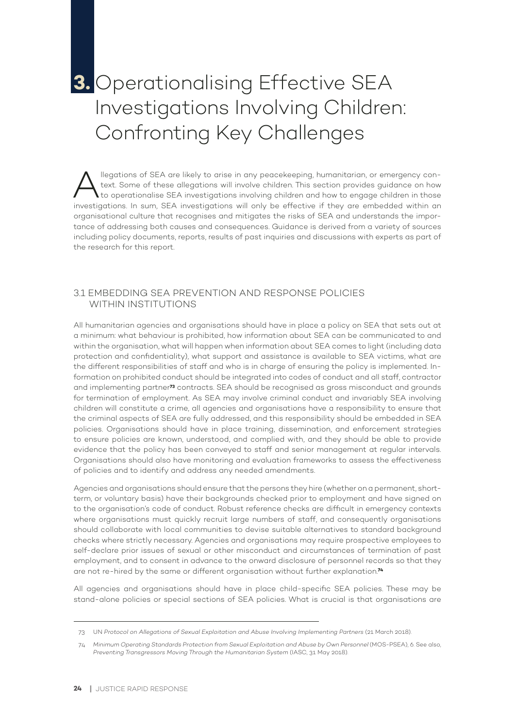## **3.** Operationalising Effective SEA Investigations Involving Children: Confronting Key Challenges

Megations of SEA are likely to arise in any peacekeeping, humanitarian, or emergency con-<br>text. Some of these allegations will involve children. This section provides guidance on how<br>to operationalise SEA investigations in text. Some of these allegations will involve children. This section provides guidance on how to operationalise SEA investigations involving children and how to engage children in those investigations. In sum, SEA investigations will only be effective if they are embedded within an organisational culture that recognises and mitigates the risks of SEA and understands the importance of addressing both causes and consequences. Guidance is derived from a variety of sources including policy documents, reports, results of past inquiries and discussions with experts as part of the research for this report.

#### 3.1 EMBEDDING SEA PREVENTION AND RESPONSE POLICIES WITHIN INSTITUTIONS

All humanitarian agencies and organisations should have in place a policy on SEA that sets out at a minimum: what behaviour is prohibited, how information about SEA can be communicated to and within the organisation, what will happen when information about SEA comes to light (including data protection and confidentiality), what support and assistance is available to SEA victims, what are the different responsibilities of staff and who is in charge of ensuring the policy is implemented. Information on prohibited conduct should be integrated into codes of conduct and all staff, contractor and implementing partner**73** contracts. SEA should be recognised as gross misconduct and grounds for termination of employment. As SEA may involve criminal conduct and invariably SEA involving children will constitute a crime, all agencies and organisations have a responsibility to ensure that the criminal aspects of SEA are fully addressed, and this responsibility should be embedded in SEA policies. Organisations should have in place training, dissemination, and enforcement strategies to ensure policies are known, understood, and complied with, and they should be able to provide evidence that the policy has been conveyed to staff and senior management at regular intervals. Organisations should also have monitoring and evaluation frameworks to assess the effectiveness of policies and to identify and address any needed amendments.

Agencies and organisations should ensure that the persons they hire (whether on a permanent, shortterm, or voluntary basis) have their backgrounds checked prior to employment and have signed on to the organisation's code of conduct. Robust reference checks are difficult in emergency contexts where organisations must quickly recruit large numbers of staff, and consequently organisations should collaborate with local communities to devise suitable alternatives to standard background checks where strictly necessary. Agencies and organisations may require prospective employees to self-declare prior issues of sexual or other misconduct and circumstances of termination of past employment, and to consent in advance to the onward disclosure of personnel records so that they are not re-hired by the same or different organisation without further explanation.**<sup>74</sup>**

All agencies and organisations should have in place child-specific SEA policies. These may be stand-alone policies or special sections of SEA policies. What is crucial is that organisations are

<sup>73</sup> UN *Protocol on Allegations of Sexual Exploitation and Abuse Involving Implementing Partners* (21 March 2018).

<sup>74</sup> *Minimum Operating Standards Protection from Sexual Exploitation and Abuse by Own Personnel* (MOS-PSEA), 6. See also, *Preventing Transgressors Moving Through the Humanitarian System* (IASC, 31 May 2018).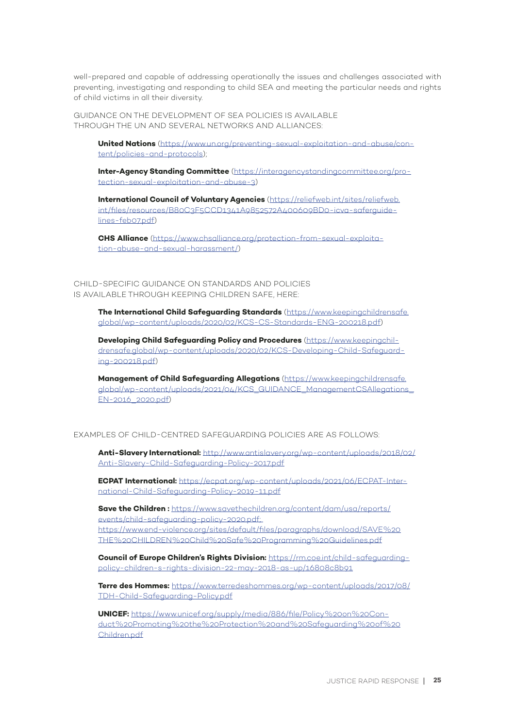well-prepared and capable of addressing operationally the issues and challenges associated with preventing, investigating and responding to child SEA and meeting the particular needs and rights of child victims in all their diversity.

GUIDANCE ON THE DEVELOPMENT OF SEA POLICIES IS AVAILABLE THROUGH THE UN AND SEVERAL NETWORKS AND ALLIANCES:

**United Nations** (https://www.un.org/preventing-sexual-exploitation-and-abuse/content/policies-and-protocols);

**Inter-Agency Standing Committee** (https://interagencystandingcommittee.org/protection-sexual-exploitation-and-abuse-3)

**International Council of Voluntary Agencies** (https://reliefweb.int/sites/reliefweb. int/files/resources/B80C3F5CCD1341A9852572A400609BD0-icva-saferguidelines-feb07.pdf)

**CHS Alliance** (https://www.chsalliance.org/protection-from-sexual-exploitation-abuse-and-sexual-harassment/)

CHILD-SPECIFIC GUIDANCE ON STANDARDS AND POLICIES IS AVAILABLE THROUGH KEEPING CHILDREN SAFE, HERE:

> **The International Child Safeguarding Standards** (https://www.keepingchildrensafe. global/wp-content/uploads/2020/02/KCS-CS-Standards-ENG-200218.pdf)

**Developing Child Safeguarding Policy and Procedures** (https://www.keepingchildrensafe.global/wp-content/uploads/2020/02/KCS-Developing-Child-Safeguarding-200218.pdf)

**Management of Child Safeguarding Allegations** (https://www.keepingchildrensafe. global/wp-content/uploads/2021/04/KCS\_GUIDANCE\_ManagementCSAllegations\_ EN-2016\_2020.pdf)

EXAMPLES OF CHILD-CENTRED SAFEGUARDING POLICIES ARE AS FOLLOWS:

**Anti-Slavery International:** http://www.antislavery.org/wp-content/uploads/2018/02/ Anti-Slavery-Child-Safeguarding-Policy-2017.pdf

**ECPAT International:** https://ecpat.org/wp-content/uploads/2021/06/ECPAT-International-Child-Safeguarding-Policy-2019-11.pdf

**Save the Children :** https://www.savethechildren.org/content/dam/usa/reports/ events/child-safeguarding-policy-2020.pdf; https://www.end-violence.org/sites/default/files/paragraphs/download/SAVE%20 THE%20CHILDREN%20Child%20Safe%20Programming%20Guidelines.pdf

**Council of Europe Children's Rights Division:** https://rm.coe.int/child-safeguardingpolicy-children-s-rights-division-22-may-2018-as-up/16808c8b91

**Terre des Hommes:** https://www.terredeshommes.org/wp-content/uploads/2017/08/ TDH-Child-Safeguarding-Policy.pdf

**UNICEF:** https://www.unicef.org/supply/media/886/file/Policy%20on%20Conduct%20Promoting%20the%20Protection%20and%20Safeguarding%20of%20 Children.pdf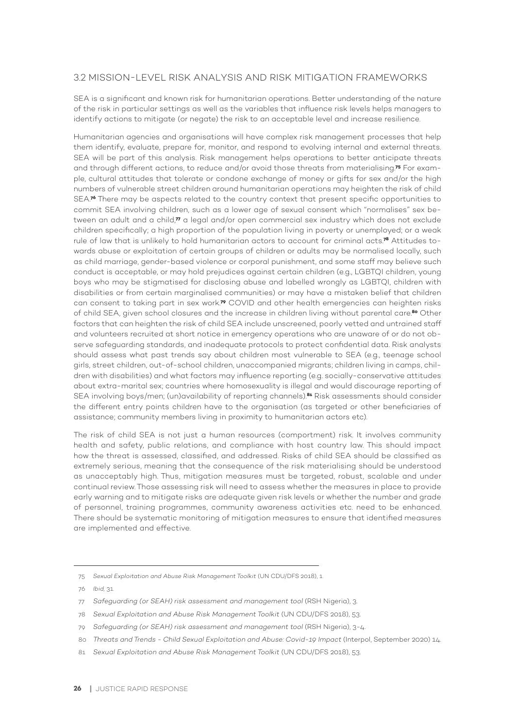#### 3.2 MISSION-LEVEL RISK ANALYSIS AND RISK MITIGATION FRAMEWORKS

SEA is a significant and known risk for humanitarian operations. Better understanding of the nature of the risk in particular settings as well as the variables that influence risk levels helps managers to identify actions to mitigate (or negate) the risk to an acceptable level and increase resilience.

Humanitarian agencies and organisations will have complex risk management processes that help them identify, evaluate, prepare for, monitor, and respond to evolving internal and external threats. SEA will be part of this analysis. Risk management helps operations to better anticipate threats and through different actions, to reduce and/or avoid those threats from materialising.**75** For example, cultural attitudes that tolerate or condone exchange of money or gifts for sex and/or the high numbers of vulnerable street children around humanitarian operations may heighten the risk of child SEA.<sup>76</sup> There may be aspects related to the country context that present specific opportunities to commit SEA involving children, such as a lower age of sexual consent which "normalises" sex between an adult and a child,**77** a legal and/or open commercial sex industry which does not exclude children specifically; a high proportion of the population living in poverty or unemployed; or a weak rule of law that is unlikely to hold humanitarian actors to account for criminal acts.**78** Attitudes towards abuse or exploitation of certain groups of children or adults may be normalised locally, such as child marriage, gender-based violence or corporal punishment, and some staff may believe such conduct is acceptable, or may hold prejudices against certain children (e.g., LGBTQI children, young boys who may be stigmatised for disclosing abuse and labelled wrongly as LGBTQI, children with disabilities or from certain marginalised communities) or may have a mistaken belief that children can consent to taking part in sex work.**79** COVID and other health emergencies can heighten risks of child SEA, given school closures and the increase in children living without parental care.**80** Other factors that can heighten the risk of child SEA include unscreened, poorly vetted and untrained staff and volunteers recruited at short notice in emergency operations who are unaware of or do not observe safeguarding standards, and inadequate protocols to protect confidential data. Risk analysts should assess what past trends say about children most vulnerable to SEA (e.g., teenage school girls, street children, out-of-school children, unaccompanied migrants; children living in camps, children with disabilities) and what factors may influence reporting (e.g. socially-conservative attitudes about extra-marital sex; countries where homosexuality is illegal and would discourage reporting of SEA involving boys/men; (un)availability of reporting channels).**81** Risk assessments should consider the different entry points children have to the organisation (as targeted or other beneficiaries of assistance; community members living in proximity to humanitarian actors etc).

The risk of child SEA is not just a human resources (comportment) risk. It involves community health and safety, public relations, and compliance with host country law. This should impact how the threat is assessed, classified, and addressed. Risks of child SEA should be classified as extremely serious, meaning that the consequence of the risk materialising should be understood as unacceptably high. Thus, mitigation measures must be targeted, robust, scalable and under continual review. Those assessing risk will need to assess whether the measures in place to provide early warning and to mitigate risks are adequate given risk levels or whether the number and grade of personnel, training programmes, community awareness activities etc. need to be enhanced. There should be systematic monitoring of mitigation measures to ensure that identified measures are implemented and effective.

<sup>75</sup> *Sexual Exploitation and Abuse Risk Management Toolkit* (UN CDU/DFS 2018), 1.

<sup>76</sup> *Ibid,* 31.

<sup>77</sup> *Safeguarding (or SEAH) risk assessment and management tool* (RSH Nigeria), 3.

<sup>78</sup> *Sexual Exploitation and Abuse Risk Management Toolkit* (UN CDU/DFS 2018), 53.

<sup>79</sup> *Safeguarding (or SEAH) risk assessment and management tool* (RSH Nigeria), 3-4.

<sup>80</sup> *Threats and Trends - Child Sexual Exploitation and Abuse: Covid-19 Impact* (Interpol, September 2020) 14.

<sup>81</sup> *Sexual Exploitation and Abuse Risk Management Toolkit* (UN CDU/DFS 2018), 53.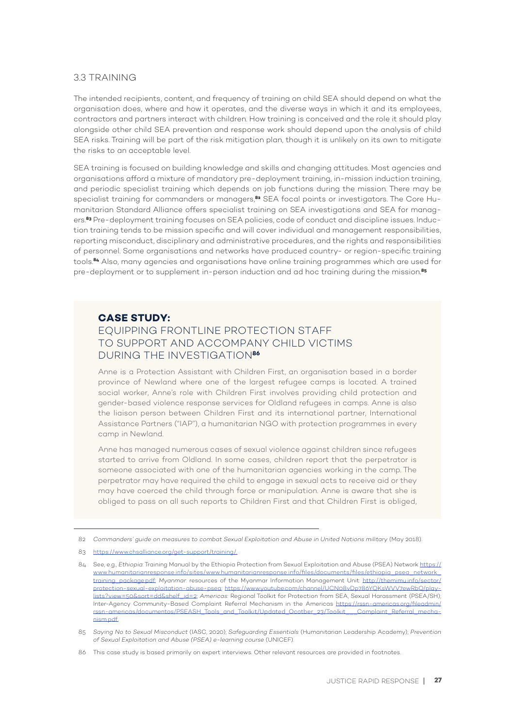#### 3.3 TRAINING

The intended recipients, content, and frequency of training on child SEA should depend on what the organisation does, where and how it operates, and the diverse ways in which it and its employees, contractors and partners interact with children. How training is conceived and the role it should play alongside other child SEA prevention and response work should depend upon the analysis of child SEA risks. Training will be part of the risk mitigation plan, though it is unlikely on its own to mitigate the risks to an acceptable level.

SEA training is focused on building knowledge and skills and changing attitudes. Most agencies and organisations afford a mixture of mandatory pre-deployment training, in-mission induction training, and periodic specialist training which depends on job functions during the mission. There may be specialist training for commanders or managers,**82** SEA focal points or investigators. The Core Humanitarian Standard Alliance offers specialist training on SEA investigations and SEA for managers.**83** Pre-deployment training focuses on SEA policies, code of conduct and discipline issues. Induction training tends to be mission specific and will cover individual and management responsibilities, reporting misconduct, disciplinary and administrative procedures, and the rights and responsibilities of personnel. Some organisations and networks have produced country- or region-specific training tools.**84** Also, many agencies and organisations have online training programmes which are used for pre-deployment or to supplement in-person induction and ad hoc training during the mission.**<sup>85</sup>**

#### **CASE STUDY:**

#### EQUIPPING FRONTLINE PROTECTION STAFF TO SUPPORT AND ACCOMPANY CHILD VICTIMS DURING THE INVESTIGATION**<sup>86</sup>**

Anne is a Protection Assistant with Children First, an organisation based in a border province of Newland where one of the largest refugee camps is located. A trained social worker, Anne's role with Children First involves providing child protection and gender-based violence response services for Oldland refugees in camps. Anne is also the liaison person between Children First and its international partner, International Assistance Partners ("IAP"), a humanitarian NGO with protection programmes in every camp in Newland.

Anne has managed numerous cases of sexual violence against children since refugees started to arrive from Oldland. In some cases, children report that the perpetrator is someone associated with one of the humanitarian agencies working in the camp. The perpetrator may have required the child to engage in sexual acts to receive aid or they may have coerced the child through force or manipulation. Anne is aware that she is obliged to pass on all such reports to Children First and that Children First is obliged,

<sup>82</sup> *Commanders' guide on measures to combat Sexual Exploitation and Abuse in United Nations military* (May 2018).

<sup>83</sup> https://www.chsalliance.org/get-support/training/.

<sup>84</sup> See, e.g., *Ethiopia*: Training Manual by the Ethiopia Protection from Sexual Exploitation and Abuse (PSEA) Network https:// www.humanitarianresponse.info/sites/www.humanitarianresponse.info/files/documents/files/ethiopia\_psea\_network\_ training\_package.pdf; *Myanmar*: resources of the Myanmar Information Management Unit: http://themimu.info/sector/ protection-sexual-exploitation-abuse-psea; https://www.youtube.com/channel/UCN08vDp786YQKsWVV7ewRbQ/playlists?view=50&sort=dd&shelf\_id=2; *Americas:* Regional Toolkit for Protection from SEA, Sexual Harassment (PSEA/SH); Inter-Agency Community-Based Complaint Referral Mechanism in the Americas https://rssn-americas.org/fileadmin/ rssn-americas/documentos/PSEASH\_Tools\_and\_Toolkit/Updated\_Ocotber\_23/Toolkit\_\_\_Complaint\_Referral\_mechanism.pdf.

<sup>85</sup> *Saying No to Sexual Misconduct* (IASC, 2020); *Safeguarding Essentials* (Humanitarian Leadership Academy); *Prevention of Sexual Exploitation and Abuse (PSEA) e-learning course* (UNICEF).

<sup>86</sup> This case study is based primarily on expert interviews. Other relevant resources are provided in footnotes.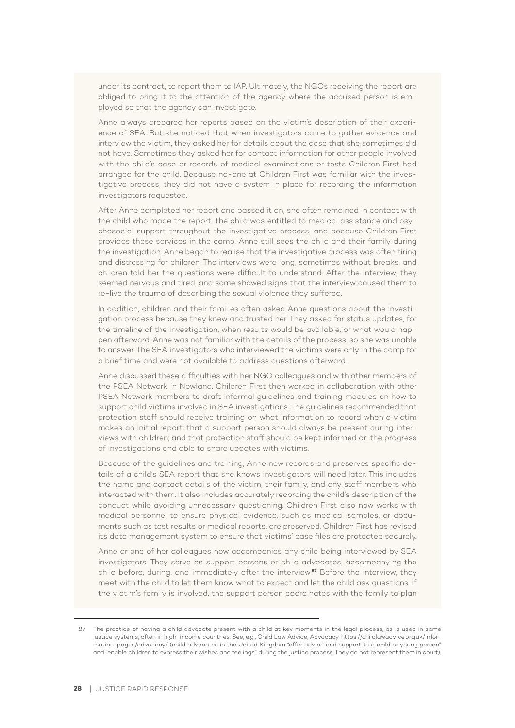under its contract, to report them to IAP. Ultimately, the NGOs receiving the report are obliged to bring it to the attention of the agency where the accused person is employed so that the agency can investigate.

Anne always prepared her reports based on the victim's description of their experience of SEA. But she noticed that when investigators came to gather evidence and interview the victim, they asked her for details about the case that she sometimes did not have. Sometimes they asked her for contact information for other people involved with the child's case or records of medical examinations or tests Children First had arranged for the child. Because no-one at Children First was familiar with the investigative process, they did not have a system in place for recording the information investigators requested.

After Anne completed her report and passed it on, she often remained in contact with the child who made the report. The child was entitled to medical assistance and psychosocial support throughout the investigative process, and because Children First provides these services in the camp, Anne still sees the child and their family during the investigation. Anne began to realise that the investigative process was often tiring and distressing for children. The interviews were long, sometimes without breaks, and children told her the questions were difficult to understand. After the interview, they seemed nervous and tired, and some showed signs that the interview caused them to re-live the trauma of describing the sexual violence they suffered.

In addition, children and their families often asked Anne questions about the investigation process because they knew and trusted her. They asked for status updates, for the timeline of the investigation, when results would be available, or what would happen afterward. Anne was not familiar with the details of the process, so she was unable to answer. The SEA investigators who interviewed the victims were only in the camp for a brief time and were not available to address questions afterward.

Anne discussed these difficulties with her NGO colleagues and with other members of the PSEA Network in Newland. Children First then worked in collaboration with other PSEA Network members to draft informal guidelines and training modules on how to support child victims involved in SEA investigations. The guidelines recommended that protection staff should receive training on what information to record when a victim makes an initial report; that a support person should always be present during interviews with children; and that protection staff should be kept informed on the progress of investigations and able to share updates with victims.

Because of the guidelines and training, Anne now records and preserves specific details of a child's SEA report that she knows investigators will need later. This includes the name and contact details of the victim, their family, and any staff members who interacted with them. It also includes accurately recording the child's description of the conduct while avoiding unnecessary questioning. Children First also now works with medical personnel to ensure physical evidence, such as medical samples, or documents such as test results or medical reports, are preserved. Children First has revised its data management system to ensure that victims' case files are protected securely.

Anne or one of her colleagues now accompanies any child being interviewed by SEA investigators. They serve as support persons or child advocates, accompanying the child before, during, and immediately after the interview.**87** Before the interview, they meet with the child to let them know what to expect and let the child ask questions. If the victim's family is involved, the support person coordinates with the family to plan

<sup>87</sup> The practice of having a child advocate present with a child at key moments in the legal process, as is used in some justice systems, often in high-income countries. See, e.g., Child Law Advice, Advocacy, https://childlawadvice.org.uk/information-pages/advocacy/ (child advocates in the United Kingdom "offer advice and support to a child or young person" and "enable children to express their wishes and feelings" during the justice process. They do not represent them in court).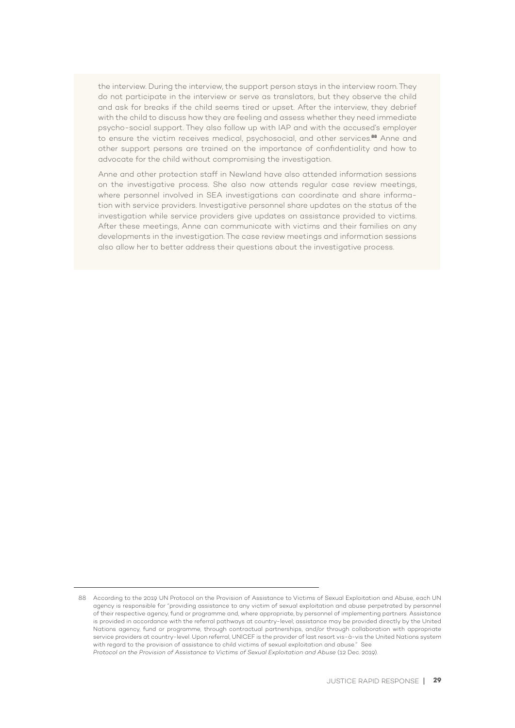the interview. During the interview, the support person stays in the interview room. They do not participate in the interview or serve as translators, but they observe the child and ask for breaks if the child seems tired or upset. After the interview, they debrief with the child to discuss how they are feeling and assess whether they need immediate psycho-social support. They also follow up with IAP and with the accused's employer to ensure the victim receives medical, psychosocial, and other services.**88** Anne and other support persons are trained on the importance of confidentiality and how to advocate for the child without compromising the investigation.

Anne and other protection staff in Newland have also attended information sessions on the investigative process. She also now attends regular case review meetings, where personnel involved in SEA investigations can coordinate and share information with service providers. Investigative personnel share updates on the status of the investigation while service providers give updates on assistance provided to victims. After these meetings, Anne can communicate with victims and their families on any developments in the investigation. The case review meetings and information sessions also allow her to better address their questions about the investigative process.

<sup>88</sup> According to the 2019 UN Protocol on the Provision of Assistance to Victims of Sexual Exploitation and Abuse, each UN agency is responsible for "providing assistance to any victim of sexual exploitation and abuse perpetrated by personnel of their respective agency, fund or programme and, where appropriate, by personnel of implementing partners. Assistance is provided in accordance with the referral pathways at country-level; assistance may be provided directly by the United Nations agency, fund or programme, through contractual partnerships, and/or through collaboration with appropriate service providers at country-level. Upon referral, UNICEF is the provider of last resort vis-à-vis the United Nations system with regard to the provision of assistance to child victims of sexual exploitation and abuse." See *Protocol on the Provision of Assistance to Victims of Sexual Exploitation and Abuse* (12 Dec. 2019).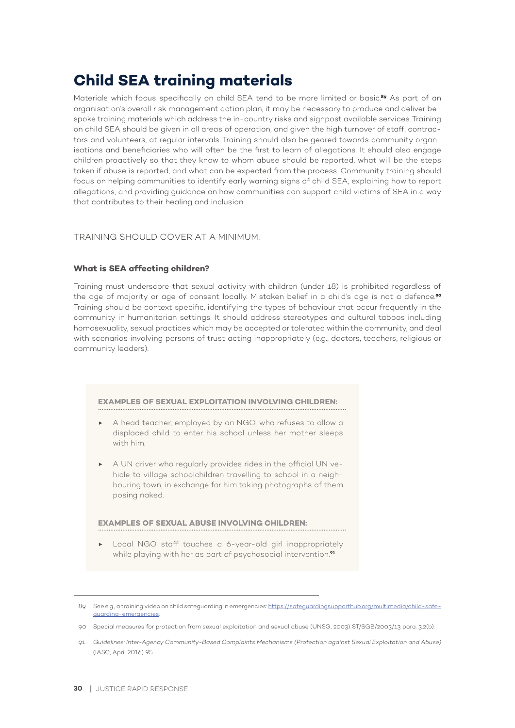## **Child SEA training materials**

Materials which focus specifically on child SEA tend to be more limited or basic.**89** As part of an organisation's overall risk management action plan, it may be necessary to produce and deliver bespoke training materials which address the in-country risks and signpost available services. Training on child SEA should be given in all areas of operation, and given the high turnover of staff, contractors and volunteers, at regular intervals. Training should also be geared towards community organisations and beneficiaries who will often be the first to learn of allegations. It should also engage children proactively so that they know to whom abuse should be reported, what will be the steps taken if abuse is reported, and what can be expected from the process. Community training should focus on helping communities to identify early warning signs of child SEA, explaining how to report allegations, and providing guidance on how communities can support child victims of SEA in a way that contributes to their healing and inclusion.

#### TRAINING SHOULD COVER AT A MINIMUM:

#### **What is SEA affecting children?**

Training must underscore that sexual activity with children (under 18) is prohibited regardless of the age of majority or age of consent locally. Mistaken belief in a child's age is not a defence.**<sup>90</sup>** Training should be context specific, identifying the types of behaviour that occur frequently in the community in humanitarian settings. It should address stereotypes and cultural taboos including homosexuality, sexual practices which may be accepted or tolerated within the community, and deal with scenarios involving persons of trust acting inappropriately (e.g., doctors, teachers, religious or community leaders).

#### **EXAMPLES OF SEXUAL EXPLOITATION INVOLVING CHILDREN:**

- A head teacher, employed by an NGO, who refuses to allow a displaced child to enter his school unless her mother sleeps with him.
- A UN driver who regularly provides rides in the official UN vehicle to village schoolchildren travelling to school in a neighbouring town, in exchange for him taking photographs of them posing naked.

#### **EXAMPLES OF SEXUAL ABUSE INVOLVING CHILDREN:**

▶ Local NGO staff touches a 6-year-old girl inappropriately while playing with her as part of psychosocial intervention.**<sup>91</sup>**

<sup>89</sup> See e.g., a training video on child safeguarding in emergencies: https://safeguardingsupporthub.org/multimedia/child-safeguarding-emergencies.

<sup>90</sup> Special measures for protection from sexual exploitation and sexual abuse (UNSG, 2003) ST/SGB/2003/13 para. 3.2(b).

<sup>91</sup> *Guidelines: Inter-Agency Community-Based Complaints Mechanisms (Protection against Sexual Exploitation and Abuse)* (IASC, April 2016) 95.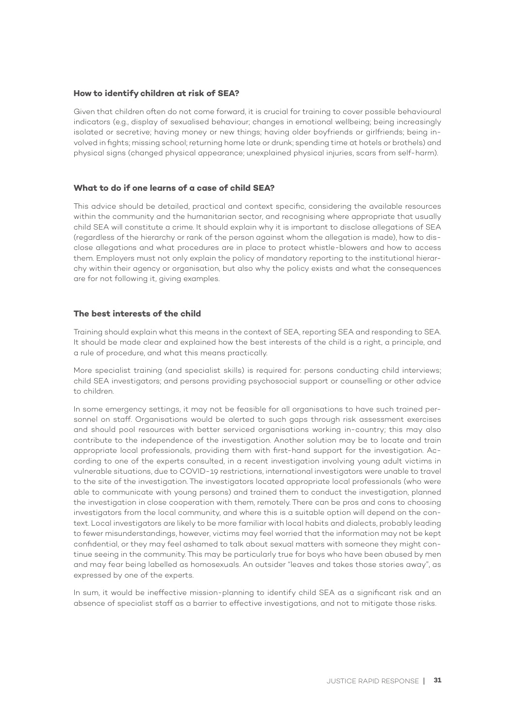#### **How to identify children at risk of SEA?**

Given that children often do not come forward, it is crucial for training to cover possible behavioural indicators (e.g., display of sexualised behaviour; changes in emotional wellbeing; being increasingly isolated or secretive; having money or new things; having older boyfriends or girlfriends; being involved in fights; missing school; returning home late or drunk; spending time at hotels or brothels) and physical signs (changed physical appearance; unexplained physical injuries, scars from self-harm).

#### **What to do if one learns of a case of child SEA?**

This advice should be detailed, practical and context specific, considering the available resources within the community and the humanitarian sector, and recognising where appropriate that usually child SEA will constitute a crime. It should explain why it is important to disclose allegations of SEA (regardless of the hierarchy or rank of the person against whom the allegation is made), how to disclose allegations and what procedures are in place to protect whistle-blowers and how to access them. Employers must not only explain the policy of mandatory reporting to the institutional hierarchy within their agency or organisation, but also why the policy exists and what the consequences are for not following it, giving examples.

#### **The best interests of the child**

Training should explain what this means in the context of SEA, reporting SEA and responding to SEA. It should be made clear and explained how the best interests of the child is a right, a principle, and a rule of procedure, and what this means practically.

More specialist training (and specialist skills) is required for: persons conducting child interviews; child SEA investigators; and persons providing psychosocial support or counselling or other advice to children.

In some emergency settings, it may not be feasible for all organisations to have such trained personnel on staff. Organisations would be alerted to such gaps through risk assessment exercises and should pool resources with better serviced organisations working in-country; this may also contribute to the independence of the investigation. Another solution may be to locate and train appropriate local professionals, providing them with first-hand support for the investigation. According to one of the experts consulted, in a recent investigation involving young adult victims in vulnerable situations, due to COVID-19 restrictions, international investigators were unable to travel to the site of the investigation. The investigators located appropriate local professionals (who were able to communicate with young persons) and trained them to conduct the investigation, planned the investigation in close cooperation with them, remotely. There can be pros and cons to choosing investigators from the local community, and where this is a suitable option will depend on the context. Local investigators are likely to be more familiar with local habits and dialects, probably leading to fewer misunderstandings, however, victims may feel worried that the information may not be kept confidential, or they may feel ashamed to talk about sexual matters with someone they might continue seeing in the community. This may be particularly true for boys who have been abused by men and may fear being labelled as homosexuals. An outsider "leaves and takes those stories away", as expressed by one of the experts.

In sum, it would be ineffective mission-planning to identify child SEA as a significant risk and an absence of specialist staff as a barrier to effective investigations, and not to mitigate those risks.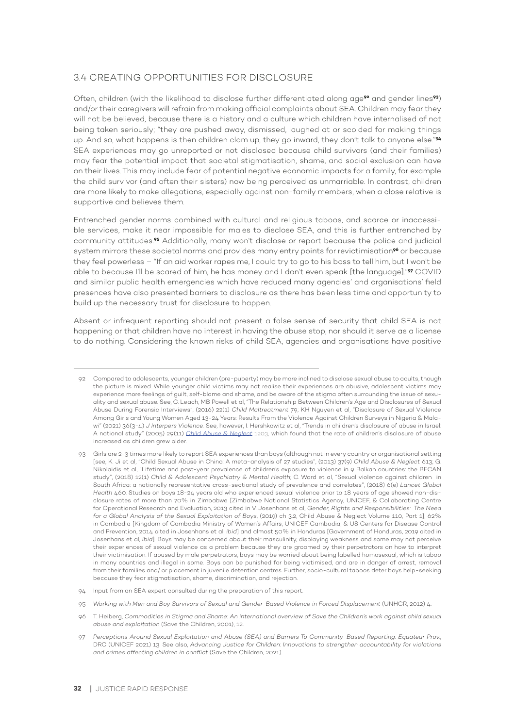#### 3.4 CREATING OPPORTUNITIES FOR DISCLOSURE

Often, children (with the likelihood to disclose further differentiated along age**92** and gender lines**93**) and/or their caregivers will refrain from making official complaints about SEA. Children may fear they will not be believed, because there is a history and a culture which children have internalised of not being taken seriously; "they are pushed away, dismissed, laughed at or scolded for making things up. And so, what happens is then children clam up, they go inward, they don't talk to anyone else."**<sup>94</sup>** SEA experiences may go unreported or not disclosed because child survivors (and their families) may fear the potential impact that societal stigmatisation, shame, and social exclusion can have on their lives. This may include fear of potential negative economic impacts for a family, for example the child survivor (and often their sisters) now being perceived as unmarriable. In contrast, children are more likely to make allegations, especially against non-family members, when a close relative is supportive and believes them.

Entrenched gender norms combined with cultural and religious taboos, and scarce or inaccessible services, make it near impossible for males to disclose SEA, and this is further entrenched by community attitudes.**95** Additionally, many won't disclose or report because the police and judicial system mirrors these societal norms and provides many entry points for revictimisation**96** or because they feel powerless – "If an aid worker rapes me, I could try to go to his boss to tell him, but I won't be able to because I'll be scared of him, he has money and I don't even speak [the language]."**97** COVID and similar public health emergencies which have reduced many agencies' and organisations' field presences have also presented barriers to disclosure as there has been less time and opportunity to build up the necessary trust for disclosure to happen.

Absent or infrequent reporting should not present a false sense of security that child SEA is not happening or that children have no interest in having the abuse stop, nor should it serve as a license to do nothing. Considering the known risks of child SEA, agencies and organisations have positive

- 94 Input from an SEA expert consulted during the preparation of this report.
- 95 *Working with Men and Boy Survivors of Sexual and Gender-Based Violence in Forced Displacement* (UNHCR, 2012) 4.
- 96 T. Heiberg, *Commodities in Stigma and Shame: An international overview of Save the Children's work against child sexual abuse and exploitation* (Save the Children, 2001), 12.
- 97 *Perceptions Around Sexual Exploitation and Abuse (SEA) and Barriers To Community-Based Reporting: Equateur Prov.*, DRC (UNICEF 2021) 13. See also, *Advancing Justice for Children: Innovations to strengthen accountability for violations and crimes affecting children in conflict* (Save the Children, 2021).

<sup>92</sup> Compared to adolescents, younger children (pre-puberty) may be more inclined to disclose sexual abuse to adults, though the picture is mixed. While younger child victims may not realise their experiences are abusive, adolescent victims may experience more feelings of guilt, self-blame and shame, and be aware of the stigma often surrounding the issue of sexuality and sexual abuse. See, C. Leach, MB Powell et al, "The Relationship Between Children's Age and Disclosures of Sexual Abuse During Forensic Interviews", (2016) 22(1) *Child Maltreatment* 79; KH Nguyen et al, "Disclosure of Sexual Violence Among Girls and Young Women Aged 13-24 Years: Results From the Violence Against Children Surveys in Nigeria & Malawi" (2021) 36(3-4) *J Interpers Violence.* See, however, I. Hershkowitz et al, "Trends in children's disclosure of abuse in Israel: A national study" (2005) 29(11) *Child Abuse & Neglect* 1203, which found that the rate of children's disclosure of abuse increased as children grew older.

<sup>93</sup> Girls are 2-3 times more likely to report SEA experiences than boys (although not in every country or organisational setting [see, K. Ji et al, "Child Sexual Abuse in China: A meta-analysis of 27 studies", (2013) 37(9) *Child Abuse & Neglect* 613; G. Nikolaidis et al, "Lifetime and past-year prevalence of children's exposure to violence in 9 Balkan countries: the BECAN study", (2018) 12(1) *Child & Adolescent Psychiatry & Mental Health*; C. Ward et al, "Sexual violence against children in South Africa: a nationally representative cross-sectional study of prevalence and correlates", (2018) 6(e) *Lancet Global Health* 460. Studies on boys 18-24 years old who experienced sexual violence prior to 18 years of age showed non-disclosure rates of more than 70% in Zimbabwe [Zimbabwe National Statistics Agency, UNICEF, & Collaborating Centre for Operational Research and Evaluation, 2013 cited in V. Josenhans et al, *Gender, Rights and Responsibilities: The Need for a Global Analysis of the Sexual Exploitation of Boys*, (2019) ch 3.2, Child Abuse & Neglect Volume 110, Part 1]; 62% in Cambodia [Kingdom of Cambodia Ministry of Women's Affairs, UNICEF Cambodia, & US Centers for Disease Control and Prevention, 2014 cited in Josenhans et al, *ibid*] and almost 50% in Honduras [Government of Honduras, 2019 cited in Josenhans et al, *ibid*]. Boys may be concerned about their masculinity, displaying weakness and some may not perceive their experiences of sexual violence as a problem because they are groomed by their perpetrators on how to interpret their victimisation. If abused by male perpetrators, boys may be worried about being labelled homosexual, which is taboo in many countries and illegal in some. Boys can be punished for being victimised, and are in danger of arrest, removal from their families and/ or placement in juvenile detention centres. Further, socio-cultural taboos deter boys help-seeking because they fear stigmatisation, shame, discrimination, and rejection.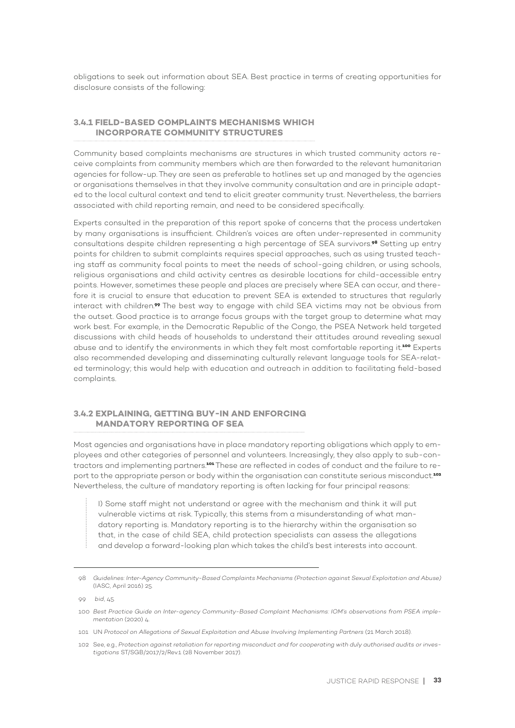obligations to seek out information about SEA. Best practice in terms of creating opportunities for disclosure consists of the following:

#### **3.4.1 FIELD-BASED COMPLAINTS MECHANISMS WHICH INCORPORATE COMMUNITY STRUCTURES**

Community based complaints mechanisms are structures in which trusted community actors receive complaints from community members which are then forwarded to the relevant humanitarian agencies for follow-up. They are seen as preferable to hotlines set up and managed by the agencies or organisations themselves in that they involve community consultation and are in principle adapted to the local cultural context and tend to elicit greater community trust. Nevertheless, the barriers associated with child reporting remain, and need to be considered specifically.

Experts consulted in the preparation of this report spoke of concerns that the process undertaken by many organisations is insufficient. Children's voices are often under-represented in community consultations despite children representing a high percentage of SEA survivors.**98** Setting up entry points for children to submit complaints requires special approaches, such as using trusted teaching staff as community focal points to meet the needs of school-going children, or using schools, religious organisations and child activity centres as desirable locations for child-accessible entry points. However, sometimes these people and places are precisely where SEA can occur, and therefore it is crucial to ensure that education to prevent SEA is extended to structures that regularly interact with children.**99** The best way to engage with child SEA victims may not be obvious from the outset. Good practice is to arrange focus groups with the target group to determine what may work best. For example, in the Democratic Republic of the Congo, the PSEA Network held targeted discussions with child heads of households to understand their attitudes around revealing sexual abuse and to identify the environments in which they felt most comfortable reporting it.**<sup>100</sup>** Experts also recommended developing and disseminating culturally relevant language tools for SEA-related terminology; this would help with education and outreach in addition to facilitating field-based complaints.

#### **3.4.2 EXPLAINING, GETTING BUY-IN AND ENFORCING MANDATORY REPORTING OF SEA**

Most agencies and organisations have in place mandatory reporting obligations which apply to employees and other categories of personnel and volunteers. Increasingly, they also apply to sub-contractors and implementing partners.**101** These are reflected in codes of conduct and the failure to report to the appropriate person or body within the organisation can constitute serious misconduct.**<sup>102</sup>** Nevertheless, the culture of mandatory reporting is often lacking for four principal reasons:

I) Some staff might not understand or agree with the mechanism and think it will put vulnerable victims at risk. Typically, this stems from a misunderstanding of what mandatory reporting is. Mandatory reporting is to the hierarchy within the organisation so that, in the case of child SEA, child protection specialists can assess the allegations and develop a forward-looking plan which takes the child's best interests into account.

<sup>98</sup> *Guidelines: Inter-Agency Community-Based Complaints Mechanisms (Protection against Sexual Exploitation and Abuse)* (IASC, April 2016) 25.

<sup>99</sup> *bid*, 45.

<sup>100</sup> *Best Practice Guide on Inter-agency Community-Based Complaint Mechanisms: IOM's observations from PSEA implementation* (2020) 4.

<sup>101</sup> UN *Protocol on Allegations of Sexual Exploitation and Abuse Involving Implementing Partners* (21 March 2018).

<sup>102</sup> See, e.g., *Protection against retaliation for reporting misconduct and for cooperating with duly authorised audits or investigations* ST/SGB/2017/2/Rev.1 (28 November 2017).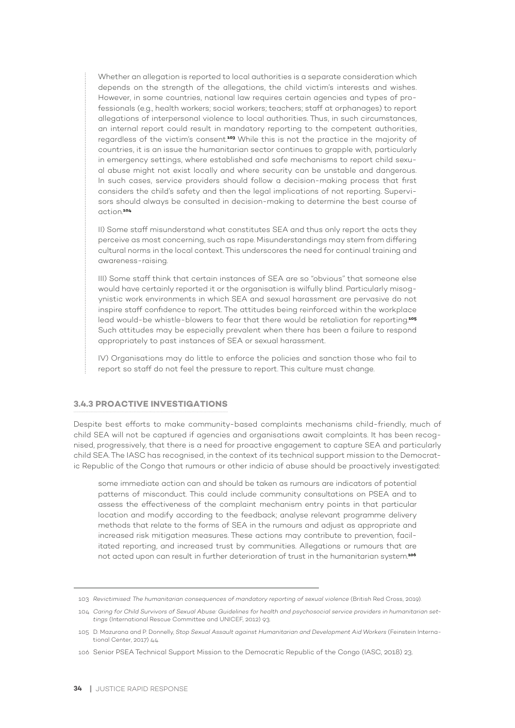Whether an allegation is reported to local authorities is a separate consideration which depends on the strength of the allegations, the child victim's interests and wishes. However, in some countries, national law requires certain agencies and types of professionals (e.g., health workers; social workers; teachers; staff at orphanages) to report allegations of interpersonal violence to local authorities. Thus, in such circumstances, an internal report could result in mandatory reporting to the competent authorities, regardless of the victim's consent.**103** While this is not the practice in the majority of countries, it is an issue the humanitarian sector continues to grapple with, particularly in emergency settings, where established and safe mechanisms to report child sexual abuse might not exist locally and where security can be unstable and dangerous. In such cases, service providers should follow a decision-making process that first considers the child's safety and then the legal implications of not reporting. Supervisors should always be consulted in decision-making to determine the best course of action.**<sup>104</sup>**

II) Some staff misunderstand what constitutes SEA and thus only report the acts they perceive as most concerning, such as rape. Misunderstandings may stem from differing cultural norms in the local context. This underscores the need for continual training and awareness-raising.

III) Some staff think that certain instances of SEA are so "obvious" that someone else would have certainly reported it or the organisation is wilfully blind. Particularly misogynistic work environments in which SEA and sexual harassment are pervasive do not inspire staff confidence to report. The attitudes being reinforced within the workplace lead would-be whistle-blowers to fear that there would be retaliation for reporting.**<sup>105</sup>** Such attitudes may be especially prevalent when there has been a failure to respond appropriately to past instances of SEA or sexual harassment.

IV) Organisations may do little to enforce the policies and sanction those who fail to report so staff do not feel the pressure to report. This culture must change.

#### **3.4.3 PROACTIVE INVESTIGATIONS**

Despite best efforts to make community-based complaints mechanisms child-friendly, much of child SEA will not be captured if agencies and organisations await complaints. It has been recognised, progressively, that there is a need for proactive engagement to capture SEA and particularly child SEA. The IASC has recognised, in the context of its technical support mission to the Democratic Republic of the Congo that rumours or other indicia of abuse should be proactively investigated:

some immediate action can and should be taken as rumours are indicators of potential patterns of misconduct. This could include community consultations on PSEA and to assess the effectiveness of the complaint mechanism entry points in that particular location and modify according to the feedback; analyse relevant programme delivery methods that relate to the forms of SEA in the rumours and adjust as appropriate and increased risk mitigation measures. These actions may contribute to prevention, facilitated reporting, and increased trust by communities. Allegations or rumours that are not acted upon can result in further deterioration of trust in the humanitarian system.**<sup>106</sup>**

<sup>103</sup> *Revictimised: The humanitarian consequences of mandatory reporting of sexual violence* (British Red Cross, 2019).

<sup>104</sup> *Caring for Child Survivors of Sexual Abuse: Guidelines for health and psychosocial service providers in humanitarian settings* (International Rescue Committee and UNICEF, 2012) 93.

<sup>105</sup> D. Mazurana and P. Donnelly, *Stop Sexual Assault against Humanitarian and Development Aid Workers* (Feinstein International Center, 2017) 44.

<sup>106</sup> Senior PSEA Technical Support Mission to the Democratic Republic of the Congo (IASC, 2018) 23.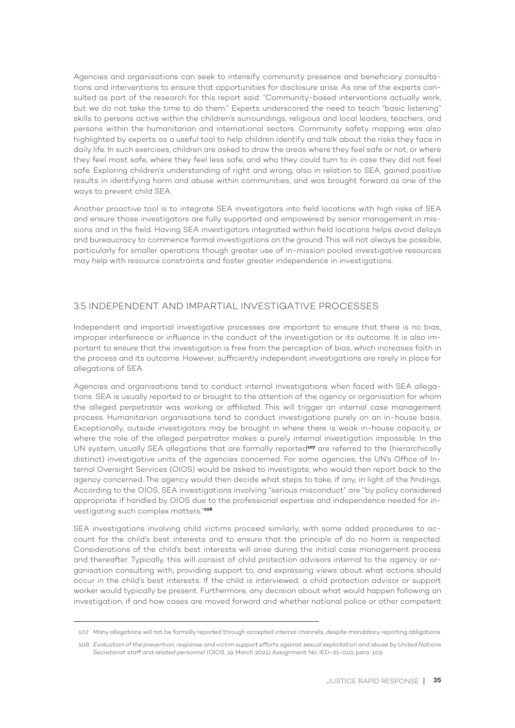Agencies and organisations can seek to intensify community presence and beneficiary consultations and interventions to ensure that opportunities for disclosure arise. As one of the experts consulted as part of the research for this report said: "Community-based interventions actually work, but we do not take the time to do them." Experts underscored the need to teach "basic listening" skills to persons active within the children's surroundings, religious and local leaders, teachers, and persons within the humanitarian and international sectors. Community safety mapping was also highlighted by experts as a useful tool to help children identify and talk about the risks they face in daily life. In such exercises, children are asked to draw the areas where they feel safe or not, or where they feel most safe, where they feel less safe, and who they could turn to in case they did not feel safe. Exploring children's understanding of right and wrong, also in relation to SEA, gained positive results in identifying harm and abuse within communities, and was brought forward as one of the ways to prevent child SEA.

Another proactive tool is to integrate SEA investigators into field locations with high risks of SEA and ensure those investigators are fully supported and empowered by senior management in missions and in the field. Having SEA investigators integrated within field locations helps avoid delays and bureaucracy to commence formal investigations on the ground. This will not always be possible, particularly for smaller operations though greater use of in-mission pooled investigative resources may help with resource constraints and foster greater independence in investigations.

#### 3.5 INDEPENDENT AND IMPARTIAL INVESTIGATIVE PROCESSES

Independent and impartial investigative processes are important to ensure that there is no bias, improper interference or influence in the conduct of the investigation or its outcome. It is also important to ensure that the investigation is free from the perception of bias, which increases faith in the process and its outcome. However, sufficiently independent investigations are rarely in place for allegations of SEA.

Agencies and organisations tend to conduct internal investigations when faced with SEA allegations. SEA is usually reported to or brought to the attention of the agency or organisation for whom the alleged perpetrator was working or affiliated. This will trigger an internal case management process. Humanitarian organisations tend to conduct investigations purely on an in-house basis. Exceptionally, outside investigators may be brought in where there is weak in-house capacity, or where the role of the alleged perpetrator makes a purely internal investigation impossible. In the UN system, usually SEA allegations that are formally reported**107** are referred to the (hierarchically distinct) investigative units of the agencies concerned. For some agencies, the UN's Office of Internal Oversight Services (OIOS) would be asked to investigate, who would then report back to the agency concerned. The agency would then decide what steps to take, if any, in light of the findings. According to the OIOS, SEA investigations involving "serious misconduct" are "by policy considered appropriate if handled by OIOS due to the professional expertise and independence needed for investigating such complex matters."**<sup>108</sup>**

SEA investigations involving child victims proceed similarly, with some added procedures to account for the child's best interests and to ensure that the principle of do no harm is respected. Considerations of the child's best interests will arise during the initial case management process and thereafter. Typically, this will consist of child protection advisors internal to the agency or organisation consulting with, providing support to, and expressing views about what actions should occur in the child's best interests. If the child is interviewed, a child protection advisor or support worker would typically be present. Furthermore, any decision about what would happen following an investigation, if and how cases are moved forward and whether national police or other competent

<sup>107</sup> Many allegations will not be formally reported through accepted internal channels, despite mandatory reporting obligations.

<sup>108</sup> *Evaluation of the prevention, response and victim support efforts against sexual exploitation and abuse by United Nations Secretariat staff and related personnel* (OIOS, 19 March 2021) Assignment No: IED-21-010, para. 102.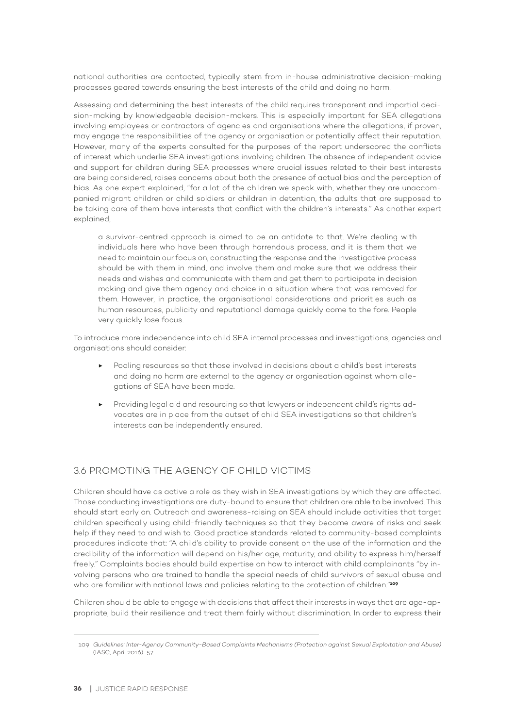national authorities are contacted, typically stem from in-house administrative decision-making processes geared towards ensuring the best interests of the child and doing no harm.

Assessing and determining the best interests of the child requires transparent and impartial decision-making by knowledgeable decision-makers. This is especially important for SEA allegations involving employees or contractors of agencies and organisations where the allegations, if proven, may engage the responsibilities of the agency or organisation or potentially affect their reputation. However, many of the experts consulted for the purposes of the report underscored the conflicts of interest which underlie SEA investigations involving children. The absence of independent advice and support for children during SEA processes where crucial issues related to their best interests are being considered, raises concerns about both the presence of actual bias and the perception of bias. As one expert explained, "for a lot of the children we speak with, whether they are unaccompanied migrant children or child soldiers or children in detention, the adults that are supposed to be taking care of them have interests that conflict with the children's interests." As another expert explained,

a survivor-centred approach is aimed to be an antidote to that. We're dealing with individuals here who have been through horrendous process, and it is them that we need to maintain our focus on, constructing the response and the investigative process should be with them in mind, and involve them and make sure that we address their needs and wishes and communicate with them and get them to participate in decision making and give them agency and choice in a situation where that was removed for them. However, in practice, the organisational considerations and priorities such as human resources, publicity and reputational damage quickly come to the fore. People very quickly lose focus.

To introduce more independence into child SEA internal processes and investigations, agencies and organisations should consider:

- Pooling resources so that those involved in decisions about a child's best interests and doing no harm are external to the agency or organisation against whom allegations of SEA have been made.
- ▶ Providing legal aid and resourcing so that lawyers or independent child's rights advocates are in place from the outset of child SEA investigations so that children's interests can be independently ensured.

#### 3.6 PROMOTING THE AGENCY OF CHILD VICTIMS

Children should have as active a role as they wish in SEA investigations by which they are affected. Those conducting investigations are duty-bound to ensure that children are able to be involved. This should start early on. Outreach and awareness-raising on SEA should include activities that target children specifically using child-friendly techniques so that they become aware of risks and seek help if they need to and wish to. Good practice standards related to community-based complaints procedures indicate that: "A child's ability to provide consent on the use of the information and the credibility of the information will depend on his/her age, maturity, and ability to express him/herself freely." Complaints bodies should build expertise on how to interact with child complainants "by involving persons who are trained to handle the special needs of child survivors of sexual abuse and who are familiar with national laws and policies relating to the protection of children."**<sup>109</sup>**

Children should be able to engage with decisions that affect their interests in ways that are age-appropriate, build their resilience and treat them fairly without discrimination. In order to express their

<sup>109</sup> *Guidelines: Inter-Agency Community-Based Complaints Mechanisms (Protection against Sexual Exploitation and Abuse)* (IASC, April 2016) 57.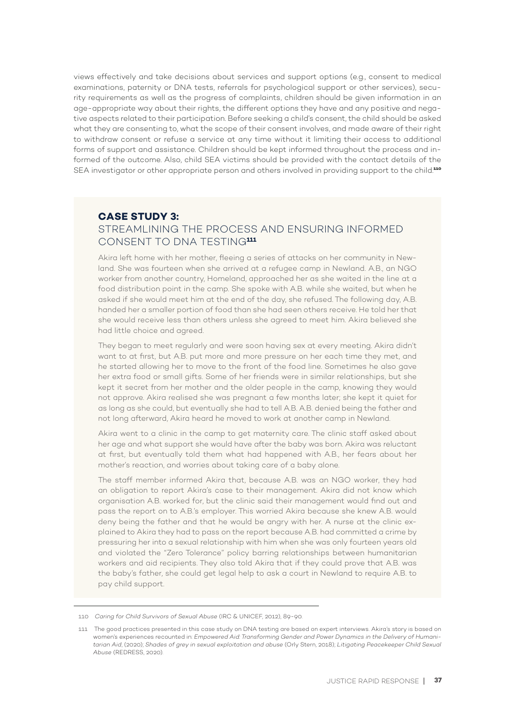views effectively and take decisions about services and support options (e.g., consent to medical examinations, paternity or DNA tests, referrals for psychological support or other services), security requirements as well as the progress of complaints, children should be given information in an age-appropriate way about their rights, the different options they have and any positive and negative aspects related to their participation. Before seeking a child's consent, the child should be asked what they are consenting to, what the scope of their consent involves, and made aware of their right to withdraw consent or refuse a service at any time without it limiting their access to additional forms of support and assistance. Children should be kept informed throughout the process and informed of the outcome. Also, child SEA victims should be provided with the contact details of the SEA investigator or other appropriate person and others involved in providing support to the child.**<sup>110</sup>**

# **CASE STUDY 3:**  STREAMLINING THE PROCESS AND ENSURING INFORMED CONSENT TO DNA TESTING**<sup>111</sup>**

Akira left home with her mother, fleeing a series of attacks on her community in Newland. She was fourteen when she arrived at a refugee camp in Newland. A.B., an NGO worker from another country, Homeland, approached her as she waited in the line at a food distribution point in the camp. She spoke with A.B. while she waited, but when he asked if she would meet him at the end of the day, she refused. The following day, A.B. handed her a smaller portion of food than she had seen others receive. He told her that she would receive less than others unless she agreed to meet him. Akira believed she had little choice and agreed.

They began to meet regularly and were soon having sex at every meeting. Akira didn't want to at first, but A.B. put more and more pressure on her each time they met, and he started allowing her to move to the front of the food line. Sometimes he also gave her extra food or small gifts. Some of her friends were in similar relationships, but she kept it secret from her mother and the older people in the camp, knowing they would not approve. Akira realised she was pregnant a few months later; she kept it quiet for as long as she could, but eventually she had to tell A.B. A.B. denied being the father and not long afterward, Akira heard he moved to work at another camp in Newland.

Akira went to a clinic in the camp to get maternity care. The clinic staff asked about her age and what support she would have after the baby was born. Akira was reluctant at first, but eventually told them what had happened with A.B., her fears about her mother's reaction, and worries about taking care of a baby alone.

The staff member informed Akira that, because A.B. was an NGO worker, they had an obligation to report Akira's case to their management. Akira did not know which organisation A.B. worked for, but the clinic said their management would find out and pass the report on to A.B.'s employer. This worried Akira because she knew A.B. would deny being the father and that he would be angry with her. A nurse at the clinic explained to Akira they had to pass on the report because A.B. had committed a crime by pressuring her into a sexual relationship with him when she was only fourteen years old and violated the "Zero Tolerance" policy barring relationships between humanitarian workers and aid recipients. They also told Akira that if they could prove that A.B. was the baby's father, she could get legal help to ask a court in Newland to require A.B. to pay child support.

<sup>110</sup> *Caring for Child Survivors of Sexual Abuse* (IRC & UNICEF, 2012), 89-90.

<sup>111</sup> The good practices presented in this case study on DNA testing are based on expert interviews. Akira's story is based on women's experiences recounted in: *Empowered Aid: Transforming Gender and Power Dynamics in the Delivery of Humanitarian Aid*, (2020); *Shades of grey in sexual exploitation and abuse* (Orly Stern, 2018); *Litigating Peacekeeper Child Sexual Abuse* (REDRESS, 2020).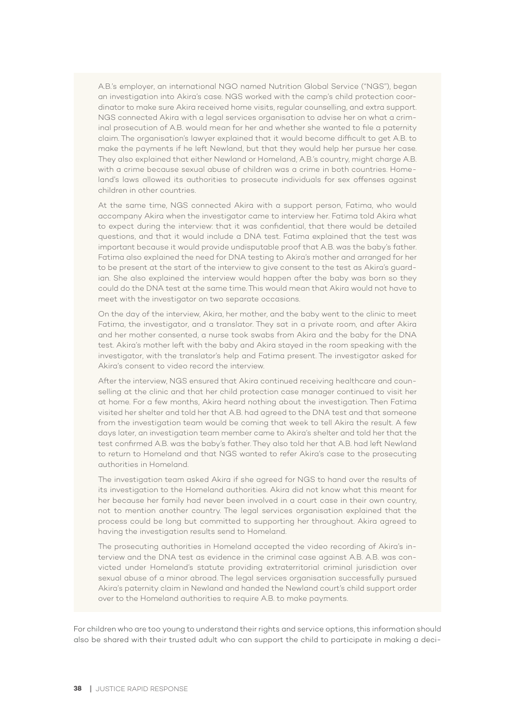A.B.'s employer, an international NGO named Nutrition Global Service ("NGS"), began an investigation into Akira's case. NGS worked with the camp's child protection coordinator to make sure Akira received home visits, regular counselling, and extra support. NGS connected Akira with a legal services organisation to advise her on what a criminal prosecution of A.B. would mean for her and whether she wanted to file a paternity claim. The organisation's lawyer explained that it would become difficult to get A.B. to make the payments if he left Newland, but that they would help her pursue her case. They also explained that either Newland or Homeland, A.B.'s country, might charge A.B. with a crime because sexual abuse of children was a crime in both countries. Homeland's laws allowed its authorities to prosecute individuals for sex offenses against children in other countries.

At the same time, NGS connected Akira with a support person, Fatima, who would accompany Akira when the investigator came to interview her. Fatima told Akira what to expect during the interview: that it was confidential, that there would be detailed questions, and that it would include a DNA test. Fatima explained that the test was important because it would provide undisputable proof that A.B. was the baby's father. Fatima also explained the need for DNA testing to Akira's mother and arranged for her to be present at the start of the interview to give consent to the test as Akira's guardian. She also explained the interview would happen after the baby was born so they could do the DNA test at the same time. This would mean that Akira would not have to meet with the investigator on two separate occasions.

On the day of the interview, Akira, her mother, and the baby went to the clinic to meet Fatima, the investigator, and a translator. They sat in a private room, and after Akira and her mother consented, a nurse took swabs from Akira and the baby for the DNA test. Akira's mother left with the baby and Akira stayed in the room speaking with the investigator, with the translator's help and Fatima present. The investigator asked for Akira's consent to video record the interview.

After the interview, NGS ensured that Akira continued receiving healthcare and counselling at the clinic and that her child protection case manager continued to visit her at home. For a few months, Akira heard nothing about the investigation. Then Fatima visited her shelter and told her that A.B. had agreed to the DNA test and that someone from the investigation team would be coming that week to tell Akira the result. A few days later, an investigation team member came to Akira's shelter and told her that the test confirmed A.B. was the baby's father. They also told her that A.B. had left Newland to return to Homeland and that NGS wanted to refer Akira's case to the prosecuting authorities in Homeland.

The investigation team asked Akira if she agreed for NGS to hand over the results of its investigation to the Homeland authorities. Akira did not know what this meant for her because her family had never been involved in a court case in their own country, not to mention another country. The legal services organisation explained that the process could be long but committed to supporting her throughout. Akira agreed to having the investigation results send to Homeland.

The prosecuting authorities in Homeland accepted the video recording of Akira's interview and the DNA test as evidence in the criminal case against A.B. A.B. was convicted under Homeland's statute providing extraterritorial criminal jurisdiction over sexual abuse of a minor abroad. The legal services organisation successfully pursued Akira's paternity claim in Newland and handed the Newland court's child support order over to the Homeland authorities to require A.B. to make payments.

For children who are too young to understand their rights and service options, this information should also be shared with their trusted adult who can support the child to participate in making a deci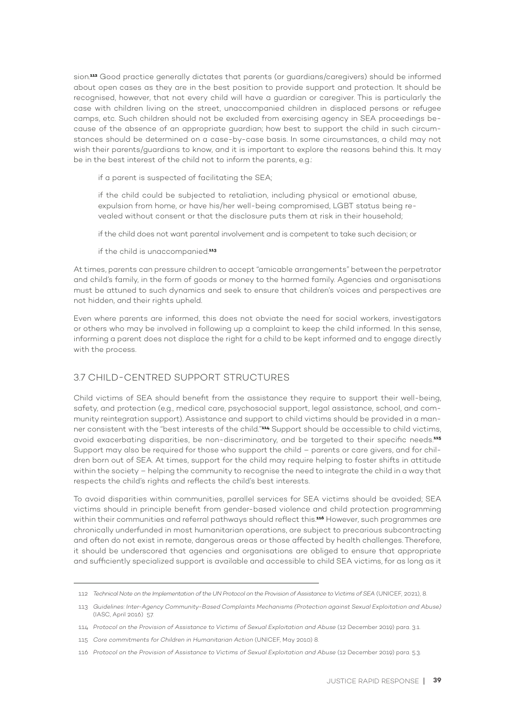sion.**112** Good practice generally dictates that parents (or guardians/caregivers) should be informed about open cases as they are in the best position to provide support and protection. It should be recognised, however, that not every child will have a guardian or caregiver. This is particularly the case with children living on the street, unaccompanied children in displaced persons or refugee camps, etc. Such children should not be excluded from exercising agency in SEA proceedings because of the absence of an appropriate guardian; how best to support the child in such circumstances should be determined on a case-by-case basis. In some circumstances, a child may not wish their parents/guardians to know, and it is important to explore the reasons behind this. It may be in the best interest of the child not to inform the parents, e.g.:

if a parent is suspected of facilitating the SEA;

if the child could be subjected to retaliation, including physical or emotional abuse, expulsion from home, or have his/her well-being compromised, LGBT status being revealed without consent or that the disclosure puts them at risk in their household;

if the child does not want parental involvement and is competent to take such decision; or

if the child is unaccompanied.**<sup>113</sup>**

At times, parents can pressure children to accept "amicable arrangements" between the perpetrator and child's family, in the form of goods or money to the harmed family. Agencies and organisations must be attuned to such dynamics and seek to ensure that children's voices and perspectives are not hidden, and their rights upheld.

Even where parents are informed, this does not obviate the need for social workers, investigators or others who may be involved in following up a complaint to keep the child informed. In this sense, informing a parent does not displace the right for a child to be kept informed and to engage directly with the process.

# 3.7 CHILD-CENTRED SUPPORT STRUCTURES

Child victims of SEA should benefit from the assistance they require to support their well-being, safety, and protection (e.g., medical care, psychosocial support, legal assistance, school, and community reintegration support). Assistance and support to child victims should be provided in a manner consistent with the "best interests of the child."**114** Support should be accessible to child victims, avoid exacerbating disparities, be non-discriminatory, and be targeted to their specific needs.**<sup>115</sup>** Support may also be required for those who support the child – parents or care givers, and for children born out of SEA. At times, support for the child may require helping to foster shifts in attitude within the society – helping the community to recognise the need to integrate the child in a way that respects the child's rights and reflects the child's best interests.

To avoid disparities within communities, parallel services for SEA victims should be avoided; SEA victims should in principle benefit from gender-based violence and child protection programming within their communities and referral pathways should reflect this.**116** However, such programmes are chronically underfunded in most humanitarian operations, are subject to precarious subcontracting and often do not exist in remote, dangerous areas or those affected by health challenges. Therefore, it should be underscored that agencies and organisations are obliged to ensure that appropriate and sufficiently specialized support is available and accessible to child SEA victims, for as long as it

116 *Protocol on the Provision of Assistance to Victims of Sexual Exploitation and Abuse* (12 December 2019) para. 5.3.

<sup>112</sup> *Technical Note on the Implementation of the UN Protocol on the Provision of Assistance to Victims of SEA* (UNICEF, 2021), 8.

<sup>113</sup> *Guidelines: Inter-Agency Community-Based Complaints Mechanisms (Protection against Sexual Exploitation and Abuse)* (IASC, April 2016) 57.

<sup>114</sup> *Protocol on the Provision of Assistance to Victims of Sexual Exploitation and Abuse* (12 December 2019) para. 3.1.

<sup>115</sup> *Core commitments for Children in Humanitarian Action* (UNICEF, May 2010) 8.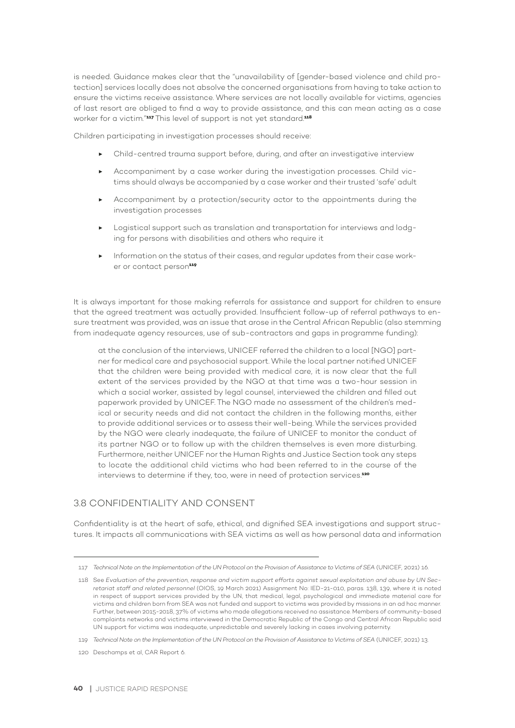is needed. Guidance makes clear that the "unavailability of [gender-based violence and child protection] services locally does not absolve the concerned organisations from having to take action to ensure the victims receive assistance. Where services are not locally available for victims, agencies of last resort are obliged to find a way to provide assistance, and this can mean acting as a case worker for a victim."**117** This level of support is not yet standard.**<sup>118</sup>**

Children participating in investigation processes should receive:

- ▶ Child-centred trauma support before, during, and after an investigative interview
- ▶ Accompaniment by a case worker during the investigation processes. Child victims should always be accompanied by a case worker and their trusted 'safe' adult
- ▶ Accompaniment by a protection/security actor to the appointments during the investigation processes
- ▶ Logistical support such as translation and transportation for interviews and lodging for persons with disabilities and others who require it
- ▶ Information on the status of their cases, and regular updates from their case worker or contact person**<sup>119</sup>**

It is always important for those making referrals for assistance and support for children to ensure that the agreed treatment was actually provided. Insufficient follow-up of referral pathways to ensure treatment was provided, was an issue that arose in the Central African Republic (also stemming from inadequate agency resources, use of sub-contractors and gaps in programme funding):

at the conclusion of the interviews, UNICEF referred the children to a local [NGO] partner for medical care and psychosocial support. While the local partner notified UNICEF that the children were being provided with medical care, it is now clear that the full extent of the services provided by the NGO at that time was a two-hour session in which a social worker, assisted by legal counsel, interviewed the children and filled out paperwork provided by UNICEF. The NGO made no assessment of the children's medical or security needs and did not contact the children in the following months, either to provide additional services or to assess their well-being. While the services provided by the NGO were clearly inadequate, the failure of UNICEF to monitor the conduct of its partner NGO or to follow up with the children themselves is even more disturbing. Furthermore, neither UNICEF nor the Human Rights and Justice Section took any steps to locate the additional child victims who had been referred to in the course of the interviews to determine if they, too, were in need of protection services.**<sup>120</sup>**

# 3.8 CONFIDENTIALITY AND CONSENT

Confidentiality is at the heart of safe, ethical, and dignified SEA investigations and support structures. It impacts all communications with SEA victims as well as how personal data and information

<sup>117</sup> *Technical Note on the Implementation of the UN Protocol on the Provision of Assistance to Victims of SEA* (UNICEF, 2021) 16.

<sup>118</sup> See *Evaluation of the prevention, response and victim support efforts against sexual exploitation and abuse by UN Secretariat staff and related personnel* (OIOS, 19 March 2021) Assignment No: IED-21-010, paras. 138, 139, where it is noted in respect of support services provided by the UN, that medical, legal, psychological and immediate material care for victims and children born from SEA was not funded and support to victims was provided by missions in an ad hoc manner. Further, between 2015-2018, 37% of victims who made allegations received no assistance. Members of community-based complaints networks and victims interviewed in the Democratic Republic of the Congo and Central African Republic said UN support for victims was inadequate, unpredictable and severely lacking in cases involving paternity.

<sup>119</sup> *Technical Note on the Implementation of the UN Protocol on the Provision of Assistance to Victims of SEA* (UNICEF, 2021) 13.

<sup>120</sup> Deschamps et al, CAR Report 6.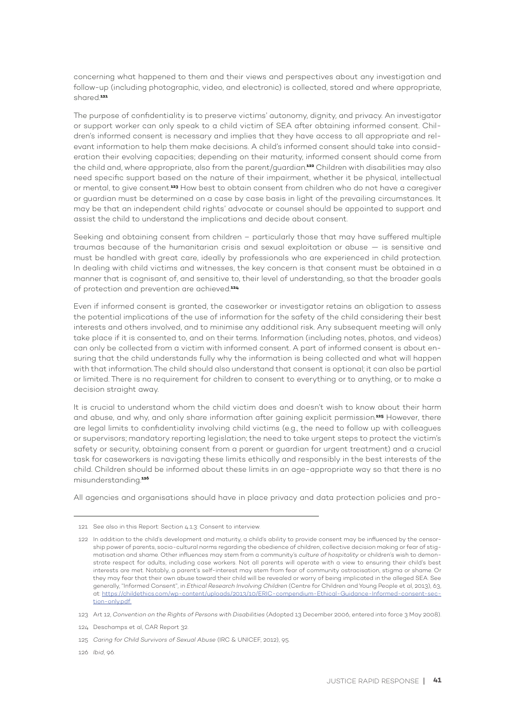concerning what happened to them and their views and perspectives about any investigation and follow-up (including photographic, video, and electronic) is collected, stored and where appropriate, shared.**<sup>121</sup>**

The purpose of confidentiality is to preserve victims' autonomy, dignity, and privacy. An investigator or support worker can only speak to a child victim of SEA after obtaining informed consent. Children's informed consent is necessary and implies that they have access to all appropriate and relevant information to help them make decisions. A child's informed consent should take into consideration their evolving capacities; depending on their maturity, informed consent should come from the child and, where appropriate, also from the parent/guardian.**122** Children with disabilities may also need specific support based on the nature of their impairment, whether it be physical, intellectual or mental, to give consent.**123** How best to obtain consent from children who do not have a caregiver or guardian must be determined on a case by case basis in light of the prevailing circumstances. It may be that an independent child rights' advocate or counsel should be appointed to support and assist the child to understand the implications and decide about consent.

Seeking and obtaining consent from children – particularly those that may have suffered multiple traumas because of the humanitarian crisis and sexual exploitation or abuse — is sensitive and must be handled with great care, ideally by professionals who are experienced in child protection. In dealing with child victims and witnesses, the key concern is that consent must be obtained in a manner that is cognisant of, and sensitive to, their level of understanding, so that the broader goals of protection and prevention are achieved.**<sup>124</sup>**

Even if informed consent is granted, the caseworker or investigator retains an obligation to assess the potential implications of the use of information for the safety of the child considering their best interests and others involved, and to minimise any additional risk. Any subsequent meeting will only take place if it is consented to, and on their terms. Information (including notes, photos, and videos) can only be collected from a victim with informed consent. A part of informed consent is about ensuring that the child understands fully why the information is being collected and what will happen with that information. The child should also understand that consent is optional; it can also be partial or limited. There is no requirement for children to consent to everything or to anything, or to make a decision straight away.

It is crucial to understand whom the child victim does and doesn't wish to know about their harm and abuse, and why, and only share information after gaining explicit permission.**125** However, there are legal limits to confidentiality involving child victims (e.g., the need to follow up with colleagues or supervisors; mandatory reporting legislation; the need to take urgent steps to protect the victim's safety or security, obtaining consent from a parent or guardian for urgent treatment) and a crucial task for caseworkers is navigating these limits ethically and responsibly in the best interests of the child. Children should be informed about these limits in an age-appropriate way so that there is no misunderstanding.**<sup>126</sup>**

All agencies and organisations should have in place privacy and data protection policies and pro-

126 *Ibid*, 96.

<sup>121</sup> See also in this Report: Section 4.1.3: Consent to interview.

<sup>122</sup> In addition to the child's development and maturity, a child's ability to provide consent may be influenced by the censorship power of parents, socio-cultural norms regarding the obedience of children, collective decision making or fear of stigmatisation and shame. Other influences may stem from a community's *culture of hospitality* or children's wish to demonstrate respect for adults, including case workers. Not all parents will operate with a view to ensuring their child's best interests are met. Notably, a parent's self-interest may stem from fear of community ostracisation, stigma or shame. Or they may fear that their own abuse toward their child will be revealed or worry of being implicated in the alleged SEA. See generally, "Informed Consent", in *Ethical Research Involving Children* (Centre for Children and Young People et al, 2013), 63, at: https://childethics.com/wp-content/uploads/2013/10/ERIC-compendium-Ethical-Guidance-Informed-consent-section-only.pdf.

<sup>123</sup> Art 12, *Convention on the Rights of Persons with Disabilities* (Adopted 13 December 2006, entered into force 3 May 2008).

<sup>124</sup> Deschamps et al, CAR Report 32.

<sup>125</sup> *Caring for Child Survivors of Sexual Abuse* (IRC & UNICEF, 2012), 95.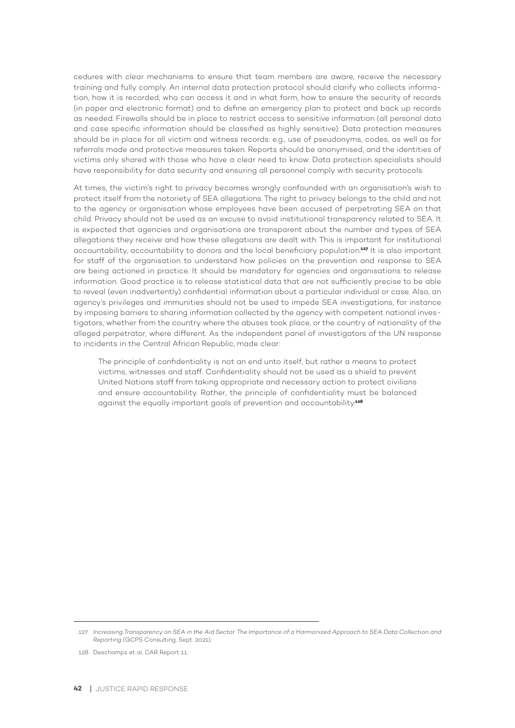cedures with clear mechanisms to ensure that team members are aware, receive the necessary training and fully comply. An internal data protection protocol should clarify who collects information, how it is recorded, who can access it and in what form, how to ensure the security of records (in paper and electronic format) and to define an emergency plan to protect and back up records as needed. Firewalls should be in place to restrict access to sensitive information (all personal data and case specific information should be classified as highly sensitive). Data protection measures should be in place for all victim and witness records: e.g., use of pseudonyms, codes, as well as for referrals made and protective measures taken. Reports should be anonymised, and the identities of victims only shared with those who have a clear need to know. Data protection specialists should have responsibility for data security and ensuring all personnel comply with security protocols.

At times, the victim's right to privacy becomes wrongly confounded with an organisation's wish to protect itself from the notoriety of SEA allegations. The right to privacy belongs to the child and not to the agency or organisation whose employees have been accused of perpetrating SEA on that child. Privacy should not be used as an excuse to avoid institutional transparency related to SEA. It is expected that agencies and organisations are transparent about the number and types of SEA allegations they receive and how these allegations are dealt with. This is important for institutional accountability, accountability to donors and the local beneficiary population.**127** It is also important for staff of the organisation to understand how policies on the prevention and response to SEA are being actioned in practice. It should be mandatory for agencies and organisations to release information. Good practice is to release statistical data that are not sufficiently precise to be able to reveal (even inadvertently) confidential information about a particular individual or case. Also, an agency's privileges and immunities should not be used to impede SEA investigations, for instance by imposing barriers to sharing information collected by the agency with competent national investigators, whether from the country where the abuses took place, or the country of nationality of the alleged perpetrator, where different. As the independent panel of investigators of the UN response to incidents in the Central African Republic, made clear:

The principle of confidentiality is not an end unto itself, but rather a means to protect victims, witnesses and staff. Confidentiality should not be used as a shield to prevent United Nations staff from taking appropriate and necessary action to protect civilians and ensure accountability. Rather, the principle of confidentiality must be balanced against the equally important goals of prevention and accountability.**<sup>128</sup>**

<sup>127</sup> *Increasing Transparency on SEA in the Aid Sector: The Importance of a Harmonized Approach to SEA Data Collection and Reporting* (GCPS Consulting, Sept. 2021).

<sup>128</sup> Deschamps et al, CAR Report 11.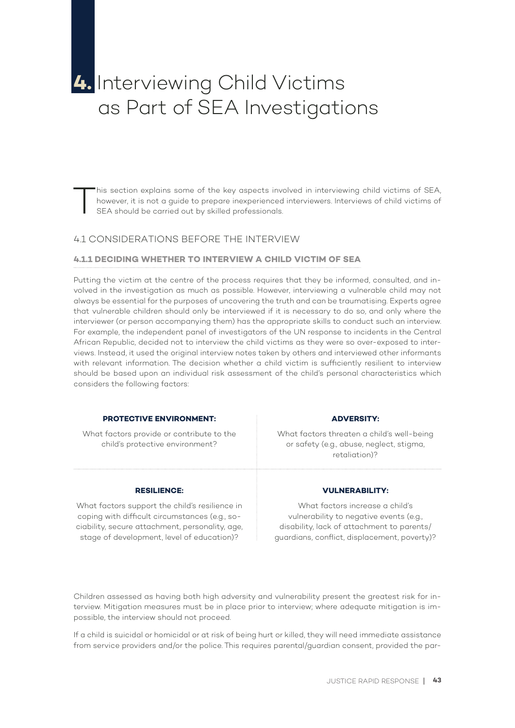# **4.** Interviewing Child Victims as Part of SEA Investigations

This section explains some of the key aspects involved in interviewing child victims of SEA, however, it is not a guide to prepare inexperienced interviewers. Interviews of child victims of SEA should be carried out by ski however, it is not a guide to prepare inexperienced interviewers. Interviews of child victims of SEA should be carried out by skilled professionals.

# 4.1 CONSIDERATIONS BEFORE THE INTERVIEW

#### **4.1.1 DECIDING WHETHER TO INTERVIEW A CHILD VICTIM OF SEA**

Putting the victim at the centre of the process requires that they be informed, consulted, and involved in the investigation as much as possible. However, interviewing a vulnerable child may not always be essential for the purposes of uncovering the truth and can be traumatising. Experts agree that vulnerable children should only be interviewed if it is necessary to do so, and only where the interviewer (or person accompanying them) has the appropriate skills to conduct such an interview. For example, the independent panel of investigators of the UN response to incidents in the Central African Republic, decided not to interview the child victims as they were so over-exposed to interviews. Instead, it used the original interview notes taken by others and interviewed other informants with relevant information. The decision whether a child victim is sufficiently resilient to interview should be based upon an individual risk assessment of the child's personal characteristics which considers the following factors:

#### **PROTECTIVE ENVIRONMENT:**

What factors provide or contribute to the child's protective environment?

#### **RESILIENCE:**

What factors support the child's resilience in coping with difficult circumstances (e.g., sociability, secure attachment, personality, age, stage of development, level of education)?

#### **ADVERSITY:**

What factors threaten a child's well-being or safety (e.g., abuse, neglect, stigma, retaliation)?

#### **VULNERABILITY:**

What factors increase a child's vulnerability to negative events (e.g., disability, lack of attachment to parents/ guardians, conflict, displacement, poverty)?

Children assessed as having both high adversity and vulnerability present the greatest risk for interview. Mitigation measures must be in place prior to interview; where adequate mitigation is impossible, the interview should not proceed.

If a child is suicidal or homicidal or at risk of being hurt or killed, they will need immediate assistance from service providers and/or the police. This requires parental/guardian consent, provided the par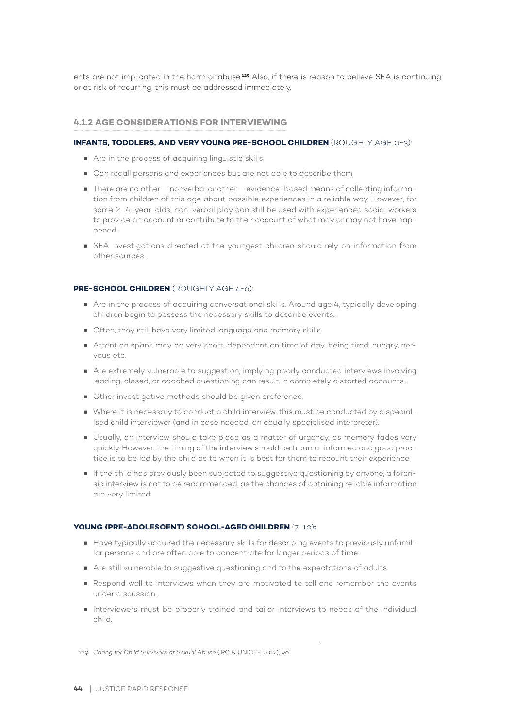ents are not implicated in the harm or abuse.**129** Also, if there is reason to believe SEA is continuing or at risk of recurring, this must be addressed immediately.

#### **4.1.2 AGE CONSIDERATIONS FOR INTERVIEWING**

#### **INFANTS, TODDLERS, AND VERY YOUNG PRE-SCHOOL CHILDREN** (ROUGHLY AGE 0-3):

- Are in the process of acquiring linguistic skills.
- Can recall persons and experiences but are not able to describe them.
- There are no other nonverbal or other evidence-based means of collecting information from children of this age about possible experiences in a reliable way. However, for some 2–4-year-olds, non-verbal play can still be used with experienced social workers to provide an account or contribute to their account of what may or may not have happened.
- SEA investigations directed at the youngest children should rely on information from other sources.

#### **PRE-SCHOOL CHILDREN** (ROUGHLY AGE 4-6):

- Are in the process of acquiring conversational skills. Around age 4, typically developing children begin to possess the necessary skills to describe events.
- Often, they still have very limited language and memory skills.
- Attention spans may be very short, dependent on time of day, being tired, hungry, nervous etc.
- Are extremely vulnerable to suggestion, implying poorly conducted interviews involving leading, closed, or coached questioning can result in completely distorted accounts.
- Other investigative methods should be given preference.
- Where it is necessary to conduct a child interview, this must be conducted by a specialised child interviewer (and in case needed, an equally specialised interpreter).
- Usually, an interview should take place as a matter of urgency, as memory fades very quickly. However, the timing of the interview should be trauma-informed and good practice is to be led by the child as to when it is best for them to recount their experience.
- If the child has previously been subjected to suggestive questioning by anyone, a forensic interview is not to be recommended, as the chances of obtaining reliable information are very limited.

#### **YOUNG (PRE-ADOLESCENT) SCHOOL-AGED CHILDREN** (7-10)**:**

- Have typically acquired the necessary skills for describing events to previously unfamiliar persons and are often able to concentrate for longer periods of time.
- Are still vulnerable to suggestive questioning and to the expectations of adults.
- Respond well to interviews when they are motivated to tell and remember the events under discussion.
- Interviewers must be properly trained and tailor interviews to needs of the individual child.

<sup>129</sup> *Caring for Child Survivors of Sexual Abuse* (IRC & UNICEF, 2012), 96.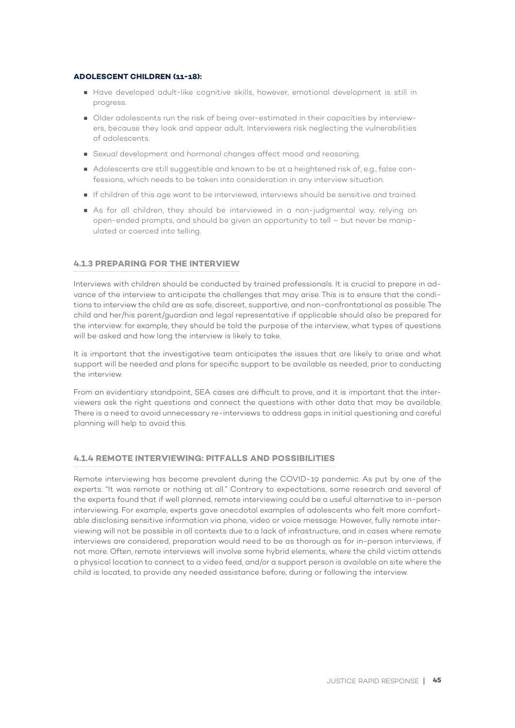#### **ADOLESCENT CHILDREN (11-18):**

- Have developed adult-like cognitive skills, however, emotional development is still in progress.
- Older adolescents run the risk of being over-estimated in their capacities by interviewers, because they look and appear adult. Interviewers risk neglecting the vulnerabilities of adolescents.
- Sexual development and hormonal changes affect mood and reasoning.
- Adolescents are still suggestible and known to be at a heightened risk of, e.g., false confessions, which needs to be taken into consideration in any interview situation.
- If children of this age want to be interviewed, interviews should be sensitive and trained.
- As for all children, they should be interviewed in a non-judgmental way, relying on open-ended prompts, and should be given an opportunity to tell – but never be manipulated or coerced into telling.

#### **4.1.3 PREPARING FOR THE INTERVIEW**

Interviews with children should be conducted by trained professionals. It is crucial to prepare in advance of the interview to anticipate the challenges that may arise. This is to ensure that the conditions to interview the child are as safe, discreet, supportive, and non-confrontational as possible. The child and her/his parent/guardian and legal representative if applicable should also be prepared for the interview: for example, they should be told the purpose of the interview, what types of questions will be asked and how long the interview is likely to take.

It is important that the investigative team anticipates the issues that are likely to arise and what support will be needed and plans for specific support to be available as needed, prior to conducting the interview.

From an evidentiary standpoint, SEA cases are difficult to prove, and it is important that the interviewers ask the right questions and connect the questions with other data that may be available. There is a need to avoid unnecessary re-interviews to address gaps in initial questioning and careful planning will help to avoid this.

#### **4.1.4 REMOTE INTERVIEWING: PITFALLS AND POSSIBILITIES**

Remote interviewing has become prevalent during the COVID-19 pandemic. As put by one of the experts: "It was remote or nothing at all." Contrary to expectations, some research and several of the experts found that if well planned, remote interviewing could be a useful alternative to in-person interviewing. For example, experts gave anecdotal examples of adolescents who felt more comfortable disclosing sensitive information via phone, video or voice message. However, fully remote interviewing will not be possible in all contexts due to a lack of infrastructure, and in cases where remote interviews are considered, preparation would need to be as thorough as for in-person interviews, if not more. Often, remote interviews will involve some hybrid elements, where the child victim attends a physical location to connect to a video feed, and/or a support person is available on site where the child is located, to provide any needed assistance before, during or following the interview.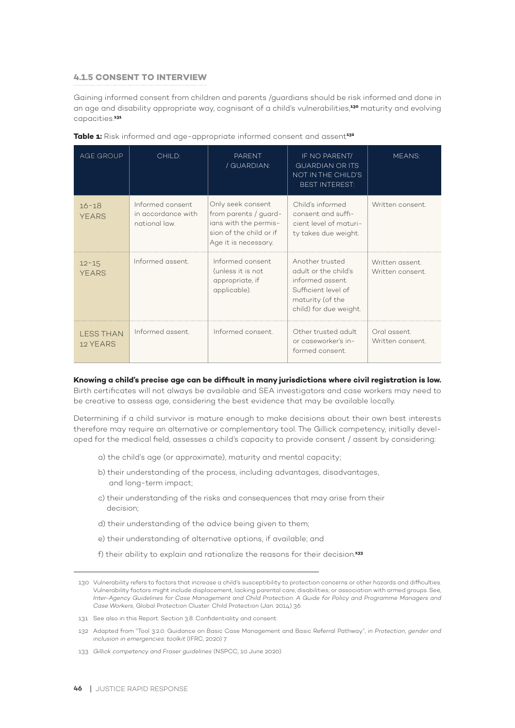#### **4.1.5 CONSENT TO INTERVIEW**

Gaining informed consent from children and parents /guardians should be risk informed and done in an age and disability appropriate way, cognisant of a child's vulnerabilities,**130** maturity and evolving capacities.**<sup>131</sup>**

| AGE GROUP                    | CHILD:                                                  | <b>PARENT</b><br>/ GUARDIAN:                                                                                           | IF NO PARENT/<br><b>GUARDIAN OR ITS</b><br>NOT IN THE CHILD'S<br><b>BEST INTEREST:</b>                                           | MEANS:                             |
|------------------------------|---------------------------------------------------------|------------------------------------------------------------------------------------------------------------------------|----------------------------------------------------------------------------------------------------------------------------------|------------------------------------|
| $16 - 18$<br><b>YEARS</b>    | Informed consent<br>in accordance with<br>national law. | Only seek consent<br>from parents / guard-<br>ians with the permis-<br>sion of the child or if<br>Age it is necessary. | Child's informed<br>consent and suffi-<br>cient level of maturi-<br>ty takes due weight.                                         | Written consent.                   |
| $12 - 15$<br><b>YEARS</b>    | Informed assent                                         | Informed consent<br>(unless it is not<br>appropriate, if<br>applicable).                                               | Another trusted<br>adult or the child's<br>informed assent.<br>Sufficient level of<br>maturity (of the<br>child) for due weight. | Written assent.<br>Written consent |
| <b>LESS THAN</b><br>12 YEARS | Informed assent.                                        | Informed consent.                                                                                                      | Other trusted adult<br>or caseworker's in-<br>formed consent.                                                                    | Oral assent.<br>Written consent.   |

|  | Table 1: Risk informed and age-appropriate informed consent and assent <sup>132</sup> |  |
|--|---------------------------------------------------------------------------------------|--|
|  |                                                                                       |  |

#### **Knowing a child's precise age can be difficult in many jurisdictions where civil registration is low.**

Birth certificates will not always be available and SEA investigators and case workers may need to be creative to assess age, considering the best evidence that may be available locally.

Determining if a child survivor is mature enough to make decisions about their own best interests therefore may require an alternative or complementary tool. The Gillick competency, initially developed for the medical field, assesses a child's capacity to provide consent / assent by considering:

- a) the child's age (or approximate), maturity and mental capacity;
- b) their understanding of the process, including advantages, disadvantages, and long-term impact;
- c) their understanding of the risks and consequences that may arise from their decision;
- d) their understanding of the advice being given to them;
- e) their understanding of alternative options, if available; and
- f) their ability to explain and rationalize the reasons for their decision.**<sup>133</sup>**

131 See also in this Report: Section 3.8: Confidentiality and consent.

<sup>130</sup> Vulnerability refers to factors that increase a child's susceptibility to protection concerns or other hazards and difficulties. Vulnerability factors might include displacement, lacking parental care, disabilities, or association with armed groups. See, *Inter-Agency Guidelines for Case Management and Child Protection: A Guide for Policy and Programme Managers and Case Workers*, Global Protection Cluster: Child Protection (Jan. 2014) 36.

<sup>132</sup> Adapted from "Tool 3.2.0: Guidance on Basic Case Management and Basic Referral Pathway", in *Protection, gender and inclusion in emergencies: toolkit* (IFRC, 2020) 7.

<sup>133</sup> *Gillick competency and Fraser guidelines* (NSPCC, 10 June 2020).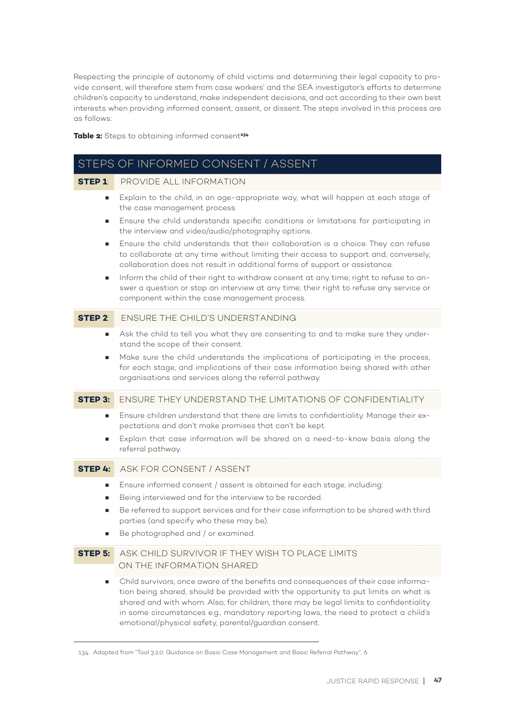Respecting the principle of autonomy of child victims and determining their legal capacity to provide consent, will therefore stem from case workers' and the SEA investigator's efforts to determine children's capacity to understand, make independent decisions, and act according to their own best interests when providing informed consent, assent, or dissent. The steps involved in this process are as follows:

#### **Table 2:** Steps to obtaining informed consent**<sup>134</sup>**

|                | STEPS OF INFORMED CONSENT / ASSENT                                                                                                                                                                                                                                                                                                                                                                                                                                                                                                                                                                                                                                                                                                                                  |
|----------------|---------------------------------------------------------------------------------------------------------------------------------------------------------------------------------------------------------------------------------------------------------------------------------------------------------------------------------------------------------------------------------------------------------------------------------------------------------------------------------------------------------------------------------------------------------------------------------------------------------------------------------------------------------------------------------------------------------------------------------------------------------------------|
| <b>STEP 1</b>  | PROVIDE ALL INFORMATION                                                                                                                                                                                                                                                                                                                                                                                                                                                                                                                                                                                                                                                                                                                                             |
| п<br>ш<br>ш    | Explain to the child, in an age-appropriate way, what will happen at each stage of<br>the case management process.<br>Ensure the child understands specific conditions or limitations for participating in<br>the interview and video/audio/photography options.<br>Ensure the child understands that their collaboration is a choice. They can refuse<br>to collaborate at any time without limiting their access to support and, conversely,<br>collaboration does not result in additional forms of support or assistance.<br>Inform the child of their right to withdraw consent at any time; right to refuse to an-<br>swer a question or stop an interview at any time; their right to refuse any service or<br>component within the case management process. |
| <b>STEP 2:</b> | ENSURE THE CHILD'S UNDERSTANDING                                                                                                                                                                                                                                                                                                                                                                                                                                                                                                                                                                                                                                                                                                                                    |
| п              | Ask the child to tell you what they are consenting to and to make sure they under-<br>stand the scope of their consent.<br>Make sure the child understands the implications of participating in the process,<br>for each stage, and implications of their case information being shared with other<br>organisations and services along the referral pathway.                                                                                                                                                                                                                                                                                                                                                                                                        |
| <b>STEP 3:</b> | <b>ENSURE THEY UNDERSTAND THE LIMITATIONS OF CONFIDENTIALITY</b>                                                                                                                                                                                                                                                                                                                                                                                                                                                                                                                                                                                                                                                                                                    |
| ш<br>ш         | Ensure children understand that there are limits to confidentiality. Manage their ex-<br>pectations and don't make promises that can't be kept.<br>Explain that case information will be shared on a need-to-know basis along the<br>referral pathway.                                                                                                                                                                                                                                                                                                                                                                                                                                                                                                              |
| STEP 4:        | ASK FOR CONSENT / ASSENT                                                                                                                                                                                                                                                                                                                                                                                                                                                                                                                                                                                                                                                                                                                                            |
| ш<br>ш<br>ш    | Ensure informed consent / assent is obtained for each stage, including:<br>Being interviewed and for the interview to be recorded.<br>Be referred to support services and for their case information to be shared with third<br>parties (and specify who these may be).<br>Be photographed and / or examined.                                                                                                                                                                                                                                                                                                                                                                                                                                                       |
| <b>STEP 5:</b> | ASK CHILD SURVIVOR IF THEY WISH TO PLACE LIMITS<br>ON THE INFORMATION SHARED                                                                                                                                                                                                                                                                                                                                                                                                                                                                                                                                                                                                                                                                                        |
| ш              | Child survivors, once aware of the benefits and consequences of their case informa-<br>tion being shared, should be provided with the opportunity to put limits on what is<br>shared and with whom. Also, for children, there may be legal limits to confidentiality<br>in some circumstances e.g., mandatory reporting laws, the need to protect a child's<br>emotional/physical safety, parental/guardian consent.                                                                                                                                                                                                                                                                                                                                                |

<sup>134</sup> Adapted from "Tool 3.2.0: Guidance on Basic Case Management and Basic Referral Pathway", 6.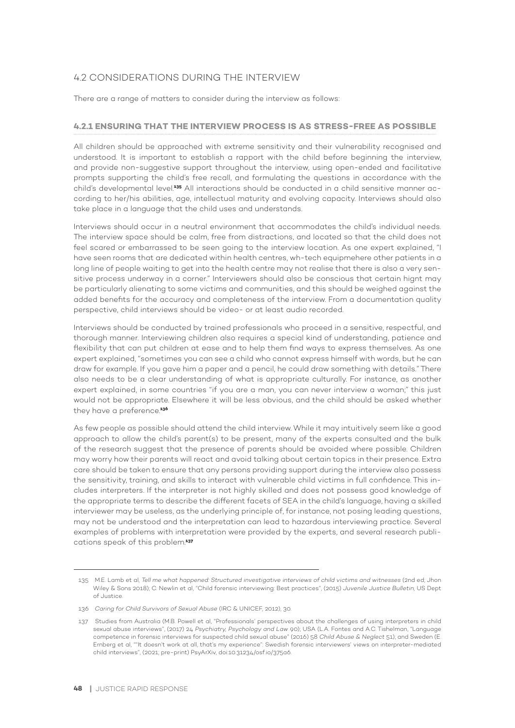# 4.2 CONSIDERATIONS DURING THE INTERVIEW

There are a range of matters to consider during the interview as follows:

#### **4.2.1 ENSURING THAT THE INTERVIEW PROCESS IS AS STRESS-FREE AS POSSIBLE**

All children should be approached with extreme sensitivity and their vulnerability recognised and understood. It is important to establish a rapport with the child before beginning the interview, and provide non-suggestive support throughout the interview, using open-ended and facilitative prompts supporting the child's free recall, and formulating the questions in accordance with the child's developmental level.**135** All interactions should be conducted in a child sensitive manner according to her/his abilities, age, intellectual maturity and evolving capacity. Interviews should also take place in a language that the child uses and understands.

Interviews should occur in a neutral environment that accommodates the child's individual needs. The interview space should be calm, free from distractions, and located so that the child does not feel scared or embarrassed to be seen going to the interview location. As one expert explained, "I have seen rooms that are dedicated within health centres, wh-tech equipmehere other patients in a long line of people waiting to get into the health centre may not realise that there is also a very sensitive process underway in a corner." Interviewers should also be conscious that certain hignt may be particularly alienating to some victims and communities, and this should be weighed against the added benefits for the accuracy and completeness of the interview. From a documentation quality perspective, child interviews should be video- or at least audio recorded.

Interviews should be conducted by trained professionals who proceed in a sensitive, respectful, and thorough manner. Interviewing children also requires a special kind of understanding, patience and flexibility that can put children at ease and to help them find ways to express themselves. As one expert explained, "sometimes you can see a child who cannot express himself with words, but he can draw for example. If you gave him a paper and a pencil, he could draw something with details." There also needs to be a clear understanding of what is appropriate culturally. For instance, as another expert explained, in some countries "if you are a man, you can never interview a woman;" this just would not be appropriate. Elsewhere it will be less obvious, and the child should be asked whether they have a preference.**<sup>136</sup>**

As few people as possible should attend the child interview. While it may intuitively seem like a good approach to allow the child's parent(s) to be present, many of the experts consulted and the bulk of the research suggest that the presence of parents should be avoided where possible. Children may worry how their parents will react and avoid talking about certain topics in their presence. Extra care should be taken to ensure that any persons providing support during the interview also possess the sensitivity, training, and skills to interact with vulnerable child victims in full confidence. This includes interpreters. If the interpreter is not highly skilled and does not possess good knowledge of the appropriate terms to describe the different facets of SEA in the child's language, having a skilled interviewer may be useless, as the underlying principle of, for instance, not posing leading questions, may not be understood and the interpretation can lead to hazardous interviewing practice. Several examples of problems with interpretation were provided by the experts, and several research publications speak of this problem.**<sup>137</sup>**

<sup>135</sup> M.E. Lamb et al, *Tell me what happened: Structured investigative interviews of child victims and witnesses* (2nd ed; Jhon Wiley & Sons 2018); C. Newlin et al, "Child forensic interviewing: Best practices", (2015) *Juvenile Justice Bulletin,* US Dept of Justice.

<sup>136</sup> *Caring for Child Survivors of Sexual Abuse* (IRC & UNICEF, 2012), 30.

<sup>137</sup> Studies from Australia (M.B. Powell et al, "Professionals' perspectives about the challenges of using interpreters in child sexual abuse interviews", (2017) 24 *Psychiatry, Psychology and Law* 90); USA (L.A. Fontes and A.C. Tishelman, "Language competence in forensic interviews for suspected child sexual abuse" (2016) 58 *Child Abuse & Neglect* 51); and Sweden (E. Ernberg et al, ""It doesn't work at all, that's my experience": Swedish forensic interviewers' views on interpreter-mediated child interviews", (2021; pre-print) PsyArXiv, doi:10.31234/osf.io/375a6.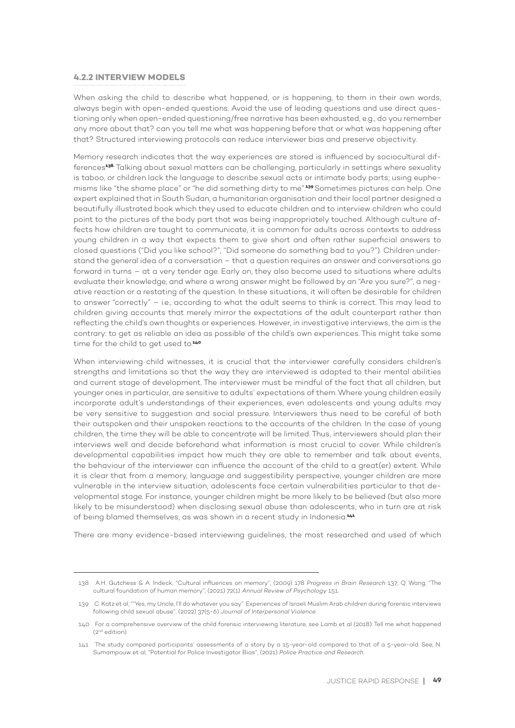#### **4.2.2 INTERVIEW MODELS**

When asking the child to describe what happened, or is happening, to them in their own words, always begin with open-ended questions. Avoid the use of leading questions and use direct questioning only when open-ended questioning/free narrative has been exhausted, e.g., do you remember any more about that? can you tell me what was happening before that or what was happening after that? Structured interviewing protocols can reduce interviewer bias and preserve objectivity.

Memory research indicates that the way experiences are stored is influenced by sociocultural differences**138.** Talking about sexual matters can be challenging, particularly in settings where sexuality is taboo, or children lack the language to describe sexual acts or intimate body parts; using euphemisms like "the shame place" or "he did something dirty to me".**139**Sometimes pictures can help. One expert explained that in South Sudan, a humanitarian organisation and their local partner designed a beautifully illustrated book which they used to educate children and to interview children who could point to the pictures of the body part that was being inappropriately touched. Although culture affects how children are taught to communicate, it is common for adults across contexts to address young children in a way that expects them to give short and often rather superficial answers to closed questions ("Did you like school?", "Did someone do something bad to you?"). Children understand the general idea of a conversation – that a question requires an answer and conversations go forward in turns – at a very tender age. Early on, they also become used to situations where adults evaluate their knowledge, and where a wrong answer might be followed by an "Are you sure?", a negative reaction or a restating of the question. In these situations, it will often be desirable for children to answer "correctly" – i.e., according to what the adult seems to think is correct. This may lead to children giving accounts that merely mirror the expectations of the adult counterpart rather than reflecting the child's own thoughts or experiences. However, in investigative interviews, the aim is the contrary: to get as reliable an idea as possible of the child's own experiences. This might take some time for the child to get used to.**<sup>140</sup>**

When interviewing child witnesses, it is crucial that the interviewer carefully considers children's strengths and limitations so that the way they are interviewed is adapted to their mental abilities and current stage of development. The interviewer must be mindful of the fact that all children, but younger ones in particular, are sensitive to adults' expectations of them. Where young children easily incorporate adult's understandings of their experiences, even adolescents and young adults may be very sensitive to suggestion and social pressure. Interviewers thus need to be careful of both their outspoken and their unspoken reactions to the accounts of the children. In the case of young children, the time they will be able to concentrate will be limited. Thus, interviewers should plan their interviews well and decide beforehand what information is most crucial to cover. While children's developmental capabilities impact how much they are able to remember and talk about events, the behaviour of the interviewer can influence the account of the child to a great(er) extent. While it is clear that from a memory, language and suggestibility perspective, younger children are more vulnerable in the interview situation, adolescents face certain vulnerabilities particular to that developmental stage. For instance, younger children might be more likely to be believed (but also more likely to be misunderstood) when disclosing sexual abuse than adolescents, who in turn are at risk of being blamed themselves, as was shown in a recent study in Indonesia.**<sup>141</sup>**

There are many evidence-based interviewing guidelines, the most researched and used of which

<sup>138</sup> A.H. Gutchess & A. Indeck, "Cultural influences on memory", (2009) 178 *Progress in Brain Research* 137; Q. Wang, "The cultural foundation of human memory", (2021) 72(1) *Annual Review of Psychology* 151.

<sup>139</sup> C. Katz et al, ""Yes, my Uncle, I'll do whatever you say": Experiences of Israeli Muslim Arab children during forensic interviews following child sexual abuse", (2022) 37(5-6) *Journal of Interpersonal Violence*.

<sup>140</sup> For a comprehensive overview of the child forensic interviewing literature, see Lamb et al (2018): Tell me what happened (2nd edition).

<sup>141</sup> The study compared participants' assessments of a story by a 15-year-old compared to that of a 5-year-old. See, N. Sumampouw et al, "Potential for Police Investigator Bias", (2021) *Police Practice and Research.*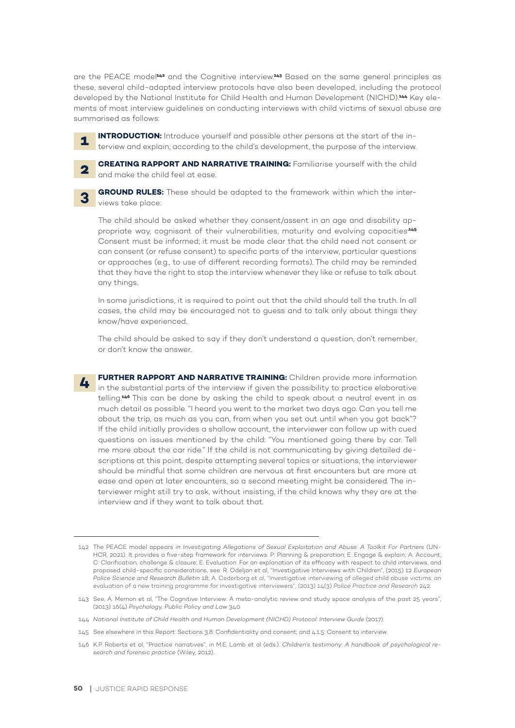are the PEACE model**142** and the Cognitive interview.**143** Based on the same general principles as these, several child-adapted interview protocols have also been developed, including the protocol developed by the National Institute for Child Health and Human Development (NICHD).**144** Key elements of most interview guidelines on conducting interviews with child victims of sexual abuse are summarised as follows:

**INTRODUCTION:** Introduce yourself and possible other persons at the start of the interview and explain, according to the child's development, the purpose of the interview.

**2**

**1**

**CREATING RAPPORT AND NARRATIVE TRAINING:** Familiarise yourself with the child and make the child feel at ease.



**GROUND RULES:** These should be adapted to the framework within which the interviews take place:

The child should be asked whether they consent/assent in an age and disability appropriate way, cognisant of their vulnerabilities, maturity and evolving capacities**.145** Consent must be informed; it must be made clear that the child need not consent or can consent (or refuse consent) to specific parts of the interview, particular questions or approaches (e.g., to use of different recording formats). The child may be reminded that they have the right to stop the interview whenever they like or refuse to talk about any things.

In some jurisdictions, it is required to point out that the child should tell the truth. In all cases, the child may be encouraged not to guess and to talk only about things they know/have experienced.

The child should be asked to say if they don't understand a question, don't remember, or don't know the answer.

**FURTHER RAPPORT AND NARRATIVE TRAINING:** Children provide more information in the substantial parts of the interview if given the possibility to practice elaborative telling.**146** This can be done by asking the child to speak about a neutral event in as much detail as possible. "I heard you went to the market two days ago. Can you tell me about the trip, as much as you can, from when you set out until when you got back"? If the child initially provides a shallow account, the interviewer can follow up with cued questions on issues mentioned by the child: "You mentioned going there by car. Tell me more about the car ride." If the child is not communicating by giving detailed descriptions at this point, despite attempting several topics or situations, the interviewer should be mindful that some children are nervous at first encounters but are more at ease and open at later encounters, so a second meeting might be considered. The interviewer might still try to ask, without insisting, if the child knows why they are at the interview and if they want to talk about that. **4**

<sup>142</sup> The PEACE model appears in *Investigating Allegations of Sexual Exploitation and Abuse: A Toolkit For Partners* (UN-HCR, 2021). It provides a five-step framework for interviews. P: Planning & preparation; E: Engage & explain; A: Account; C: Clarification, challenge & closure; E: Evaluation. For an explanation of its efficacy with respect to child interviews, and proposed child-specific considerations, see: R. Odeljan et al, "Investigative Interviews with Children", (2015) 12 *European Police Science and Research Bulletin* 18; A. Cederborg et al, "Investigative interviewing of alleged child abuse victims: an evaluation of a new training programme for investigative interviewers", (2013) 14(3) *Police Practice and Research* 242.

<sup>143</sup> See, A. Memon et al, "The Cognitive Interview: A meta-analytic review and study space analysis of the past 25 years", (2013) 16(4) *Psychology, Public Policy and Law* 340.

<sup>144</sup> *National Institute of Child Health and Human Development (NICHD) Protocol: Interview Guide* (2017).

<sup>145</sup> See elsewhere in this Report: Sections 3.8: Confidentiality and consent; and 4.1.5: Consent to interview.

<sup>146</sup> K.P. Roberts et al, "Practice narratives", in M.E. Lamb et al (eds.). *Children's testimony: A handbook of psychological research and forensic practice* (Wiley, 2012).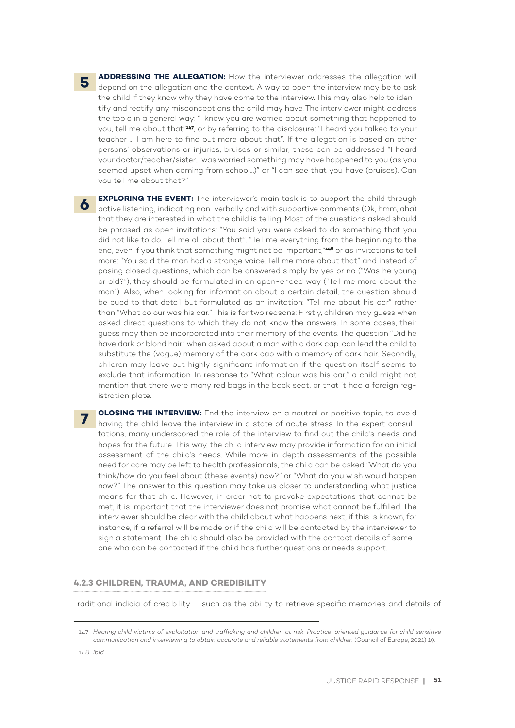**ADDRESSING THE ALLEGATION:** How the interviewer addresses the allegation will depend on the allegation and the context. A way to open the interview may be to ask the child if they know why they have come to the interview. This may also help to identify and rectify any misconceptions the child may have. The interviewer might address the topic in a general way: "I know you are worried about something that happened to you, tell me about that"**147**, or by referring to the disclosure: "I heard you talked to your teacher … I am here to find out more about that". If the allegation is based on other persons' observations or injuries, bruises or similar, these can be addressed "I heard your doctor/teacher/sister… was worried something may have happened to you (as you seemed upset when coming from school…)" or "I can see that you have (bruises). Can you tell me about that?"

**EXPLORING THE EVENT:** The interviewer's main task is to support the child through active listening, indicating non-verbally and with supportive comments (Ok, hmm, aha) that they are interested in what the child is telling. Most of the questions asked should be phrased as open invitations: "You said you were asked to do something that you did not like to do. Tell me all about that". "Tell me everything from the beginning to the end, even if you think that something might not be important,"**148** or as invitations to tell more: "You said the man had a strange voice. Tell me more about that" and instead of posing closed questions, which can be answered simply by yes or no ("Was he young or old?"), they should be formulated in an open-ended way ("Tell me more about the man"). Also, when looking for information about a certain detail, the question should be cued to that detail but formulated as an invitation: "Tell me about his car" rather than "What colour was his car." This is for two reasons: Firstly, children may guess when asked direct questions to which they do not know the answers. In some cases, their guess may then be incorporated into their memory of the events. The question "Did he have dark or blond hair" when asked about a man with a dark cap, can lead the child to substitute the (vague) memory of the dark cap with a memory of dark hair. Secondly, children may leave out highly significant information if the question itself seems to exclude that information. In response to "What colour was his car," a child might not mention that there were many red bags in the back seat, or that it had a foreign registration plate.

**CLOSING THE INTERVIEW:** End the interview on a neutral or positive topic, to avoid having the child leave the interview in a state of acute stress. In the expert consultations, many underscored the role of the interview to find out the child's needs and hopes for the future. This way, the child interview may provide information for an initial assessment of the child's needs. While more in-depth assessments of the possible need for care may be left to health professionals, the child can be asked "What do you think/how do you feel about (these events) now?" or "What do you wish would happen now?" The answer to this question may take us closer to understanding what justice means for that child. However, in order not to provoke expectations that cannot be met, it is important that the interviewer does not promise what cannot be fulfilled. The interviewer should be clear with the child about what happens next, if this is known, for instance, if a referral will be made or if the child will be contacted by the interviewer to sign a statement. The child should also be provided with the contact details of someone who can be contacted if the child has further questions or needs support. **7**

#### **4.2.3 CHILDREN, TRAUMA, AND CREDIBILITY**

Traditional indicia of credibility – such as the ability to retrieve specific memories and details of

**5**

**6**

<sup>147</sup> *Hearing child victims of exploitation and trafficking and children at risk: Practice-oriented guidance for child sensitive communication and interviewing to obtain accurate and reliable statements from children* (Council of Europe, 2021) 19.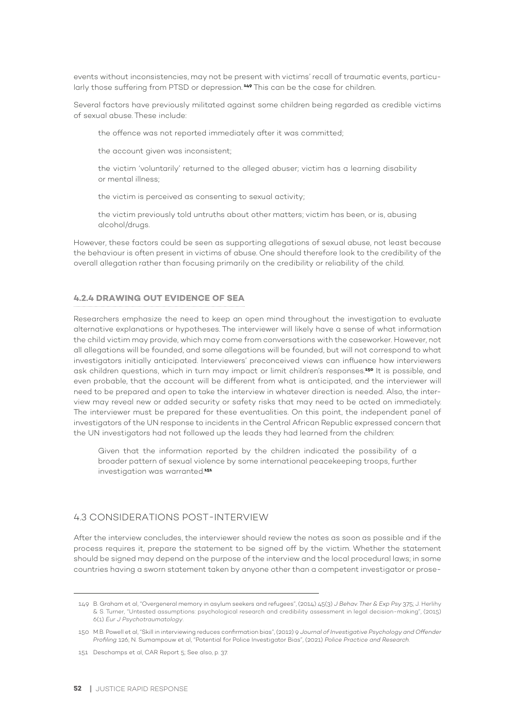events without inconsistencies, may not be present with victims' recall of traumatic events, particularly those suffering from PTSD or depression. **<sup>149</sup>** This can be the case for children.

Several factors have previously militated against some children being regarded as credible victims of sexual abuse. These include:

the offence was not reported immediately after it was committed;

the account given was inconsistent;

the victim 'voluntarily' returned to the alleged abuser; victim has a learning disability or mental illness;

the victim is perceived as consenting to sexual activity;

the victim previously told untruths about other matters; victim has been, or is, abusing alcohol/drugs.

However, these factors could be seen as supporting allegations of sexual abuse, not least because the behaviour is often present in victims of abuse. One should therefore look to the credibility of the overall allegation rather than focusing primarily on the credibility or reliability of the child.

#### **4.2.4 DRAWING OUT EVIDENCE OF SEA**

Researchers emphasize the need to keep an open mind throughout the investigation to evaluate alternative explanations or hypotheses. The interviewer will likely have a sense of what information the child victim may provide, which may come from conversations with the caseworker. However, not all allegations will be founded, and some allegations will be founded, but will not correspond to what investigators initially anticipated. Interviewers' preconceived views can influence how interviewers ask children questions, which in turn may impact or limit children's responses.**150** It is possible, and even probable, that the account will be different from what is anticipated, and the interviewer will need to be prepared and open to take the interview in whatever direction is needed. Also, the interview may reveal new or added security or safety risks that may need to be acted on immediately. The interviewer must be prepared for these eventualities. On this point, the independent panel of investigators of the UN response to incidents in the Central African Republic expressed concern that the UN investigators had not followed up the leads they had learned from the children:

Given that the information reported by the children indicated the possibility of a broader pattern of sexual violence by some international peacekeeping troops, further investigation was warranted.**<sup>151</sup>**

#### 4.3 CONSIDERATIONS POST-INTERVIEW

After the interview concludes, the interviewer should review the notes as soon as possible and if the process requires it, prepare the statement to be signed off by the victim. Whether the statement should be signed may depend on the purpose of the interview and the local procedural laws; in some countries having a sworn statement taken by anyone other than a competent investigator or prose-

<sup>149</sup> B. Graham et al, "Overgeneral memory in asylum seekers and refugees", (2014) 45(3) *J Behav. Ther & Exp Psy* 375; J. Herlihy & S. Turner, "Untested assumptions: psychological research and credibility assessment in legal decision-making", (2015) 6(1) *Eur J Psychotraumatology*.

<sup>150</sup> M.B. Powell et al, "Skill in interviewing reduces confirmation bias", (2012) 9 *Journal of Investigative Psychology and Offender Profiling* 126; N. Sumampouw et al, "Potential for Police Investigator Bias", (2021) *Police Practice and Research*.

<sup>151</sup> Deschamps et al, CAR Report 5; See also, p. 37.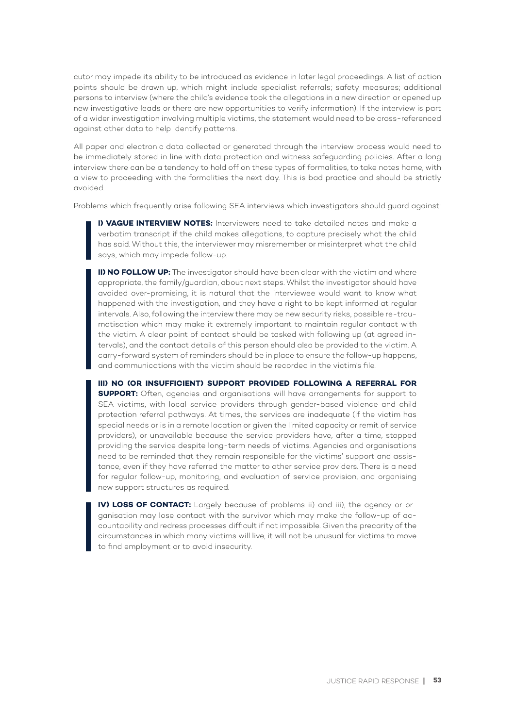cutor may impede its ability to be introduced as evidence in later legal proceedings. A list of action points should be drawn up, which might include specialist referrals; safety measures; additional persons to interview (where the child's evidence took the allegations in a new direction or opened up new investigative leads or there are new opportunities to verify information). If the interview is part of a wider investigation involving multiple victims, the statement would need to be cross-referenced against other data to help identify patterns.

All paper and electronic data collected or generated through the interview process would need to be immediately stored in line with data protection and witness safeguarding policies. After a long interview there can be a tendency to hold off on these types of formalities, to take notes home, with a view to proceeding with the formalities the next day. This is bad practice and should be strictly avoided.

Problems which frequently arise following SEA interviews which investigators should guard against:

**I) VAGUE INTERVIEW NOTES:** Interviewers need to take detailed notes and make a verbatim transcript if the child makes allegations, to capture precisely what the child has said. Without this, the interviewer may misremember or misinterpret what the child says, which may impede follow-up.

**II) NO FOLLOW UP:** The investigator should have been clear with the victim and where appropriate, the family/guardian, about next steps. Whilst the investigator should have avoided over-promising, it is natural that the interviewee would want to know what happened with the investigation, and they have a right to be kept informed at regular intervals. Also, following the interview there may be new security risks, possible re-traumatisation which may make it extremely important to maintain regular contact with the victim. A clear point of contact should be tasked with following up (at agreed intervals), and the contact details of this person should also be provided to the victim. A carry-forward system of reminders should be in place to ensure the follow-up happens, and communications with the victim should be recorded in the victim's file.

**III) NO (OR INSUFFICIENT) SUPPORT PROVIDED FOLLOWING A REFERRAL FOR SUPPORT:** Often, agencies and organisations will have arrangements for support to SEA victims, with local service providers through gender-based violence and child protection referral pathways. At times, the services are inadequate (if the victim has special needs or is in a remote location or given the limited capacity or remit of service providers), or unavailable because the service providers have, after a time, stopped providing the service despite long-term needs of victims. Agencies and organisations need to be reminded that they remain responsible for the victims' support and assistance, even if they have referred the matter to other service providers. There is a need for regular follow-up, monitoring, and evaluation of service provision, and organising new support structures as required.

**IV) LOSS OF CONTACT:** Largely because of problems ii) and iii), the agency or organisation may lose contact with the survivor which may make the follow-up of accountability and redress processes difficult if not impossible. Given the precarity of the circumstances in which many victims will live, it will not be unusual for victims to move to find employment or to avoid insecurity.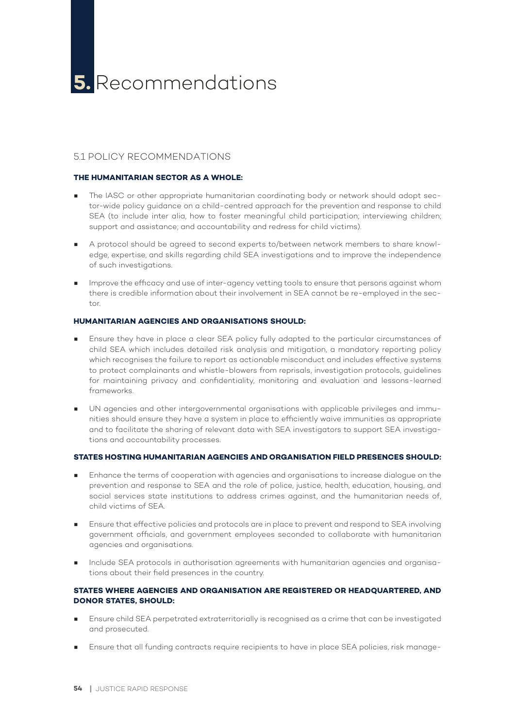# 5.1 POLICY RECOMMENDATIONS

#### **THE HUMANITARIAN SECTOR AS A WHOLE:**

- The IASC or other appropriate humanitarian coordinating body or network should adopt sector-wide policy guidance on a child-centred approach for the prevention and response to child SEA (to include inter alia, how to foster meaningful child participation; interviewing children; support and assistance; and accountability and redress for child victims).
- A protocol should be agreed to second experts to/between network members to share knowledge, expertise, and skills regarding child SEA investigations and to improve the independence of such investigations.
- Improve the efficacy and use of inter-agency vetting tools to ensure that persons against whom there is credible information about their involvement in SEA cannot be re-employed in the sector.

#### **HUMANITARIAN AGENCIES AND ORGANISATIONS SHOULD:**

- Ensure they have in place a clear SEA policy fully adapted to the particular circumstances of child SEA which includes detailed risk analysis and mitigation, a mandatory reporting policy which recognises the failure to report as actionable misconduct and includes effective systems to protect complainants and whistle-blowers from reprisals, investigation protocols, guidelines for maintaining privacy and confidentiality, monitoring and evaluation and lessons-learned frameworks.
- UN agencies and other intergovernmental organisations with applicable privileges and immunities should ensure they have a system in place to efficiently waive immunities as appropriate and to facilitate the sharing of relevant data with SEA investigators to support SEA investigations and accountability processes.

#### **STATES HOSTING HUMANITARIAN AGENCIES AND ORGANISATION FIELD PRESENCES SHOULD:**

- Enhance the terms of cooperation with agencies and organisations to increase dialogue on the prevention and response to SEA and the role of police, justice, health, education, housing, and social services state institutions to address crimes against, and the humanitarian needs of, child victims of SEA.
- Ensure that effective policies and protocols are in place to prevent and respond to SEA involving government officials, and government employees seconded to collaborate with humanitarian agencies and organisations.
- Include SEA protocols in authorisation agreements with humanitarian agencies and organisations about their field presences in the country.

#### **STATES WHERE AGENCIES AND ORGANISATION ARE REGISTERED OR HEADQUARTERED, AND DONOR STATES, SHOULD:**

- Ensure child SEA perpetrated extraterritorially is recognised as a crime that can be investigated and prosecuted.
- Ensure that all funding contracts require recipients to have in place SEA policies, risk manage-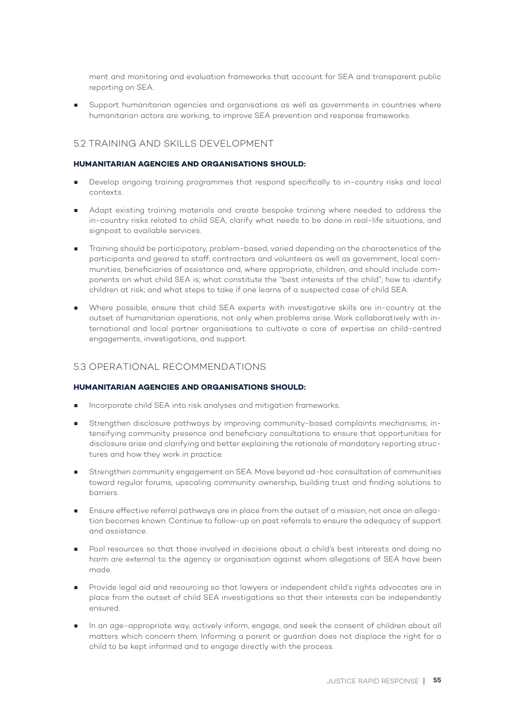ment and monitoring and evaluation frameworks that account for SEA and transparent public reporting on SEA.

Support humanitarian agencies and organisations as well as governments in countries where humanitarian actors are working, to improve SEA prevention and response frameworks.

# 5.2 TRAINING AND SKILLS DEVELOPMENT

#### **HUMANITARIAN AGENCIES AND ORGANISATIONS SHOULD:**

- Develop ongoing training programmes that respond specifically to in-country risks and local contexts.
- Adapt existing training materials and create bespoke training where needed to address the in-country risks related to child SEA, clarify what needs to be done in real-life situations, and signpost to available services.
- Training should be participatory, problem-based, varied depending on the characteristics of the participants and geared to staff, contractors and volunteers as well as government, local communities, beneficiaries of assistance and, where appropriate, children, and should include components on what child SEA is; what constitute the "best interests of the child"; how to identify children at risk; and what steps to take if one learns of a suspected case of child SEA.
- Where possible, ensure that child SEA experts with investigative skills are in-country at the outset of humanitarian operations, not only when problems arise. Work collaboratively with international and local partner organisations to cultivate a core of expertise on child-centred engagements, investigations, and support.

## 5.3 OPERATIONAL RECOMMENDATIONS

### **HUMANITARIAN AGENCIES AND ORGANISATIONS SHOULD:**

- Incorporate child SEA into risk analyses and mitigation frameworks.
- Strengthen disclosure pathways by improving community-based complaints mechanisms; intensifying community presence and beneficiary consultations to ensure that opportunities for disclosure arise and clarifying and better explaining the rationale of mandatory reporting structures and how they work in practice.
- Strengthen community engagement on SEA. Move beyond ad-hoc consultation of communities toward regular forums, upscaling community ownership, building trust and finding solutions to barriers.
- Ensure effective referral pathways are in place from the outset of a mission, not once an allegation becomes known. Continue to follow-up on past referrals to ensure the adequacy of support and assistance.
- Pool resources so that those involved in decisions about a child's best interests and doing no harm are external to the agency or organisation against whom allegations of SEA have been made.
- Provide legal aid and resourcing so that lawyers or independent child's rights advocates are in place from the outset of child SEA investigations so that their interests can be independently ensured.
- In an age-appropriate way, actively inform, engage, and seek the consent of children about all matters which concern them. Informing a parent or guardian does not displace the right for a child to be kept informed and to engage directly with the process.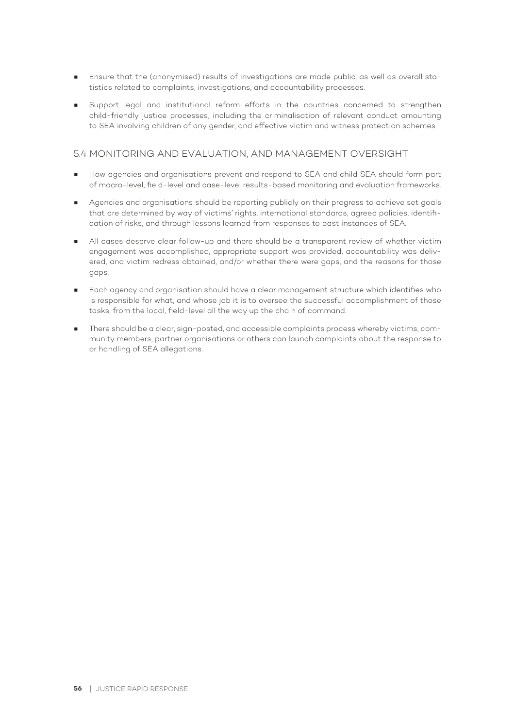- Ensure that the (anonymised) results of investigations are made public, as well as overall statistics related to complaints, investigations, and accountability processes.
- Support legal and institutional reform efforts in the countries concerned to strengthen child-friendly justice processes, including the criminalisation of relevant conduct amounting to SEA involving children of any gender, and effective victim and witness protection schemes.

# 5.4 MONITORING AND EVALUATION, AND MANAGEMENT OVERSIGHT

- How agencies and organisations prevent and respond to SEA and child SEA should form part of macro-level, field-level and case-level results-based monitoring and evaluation frameworks.
- Agencies and organisations should be reporting publicly on their progress to achieve set goals that are determined by way of victims' rights, international standards, agreed policies, identification of risks, and through lessons learned from responses to past instances of SEA.
- All cases deserve clear follow-up and there should be a transparent review of whether victim engagement was accomplished, appropriate support was provided, accountability was delivered, and victim redress obtained, and/or whether there were gaps, and the reasons for those gaps.
- Each agency and organisation should have a clear management structure which identifies who is responsible for what, and whose job it is to oversee the successful accomplishment of those tasks, from the local, field-level all the way up the chain of command.
- There should be a clear, sign-posted, and accessible complaints process whereby victims, community members, partner organisations or others can launch complaints about the response to or handling of SEA allegations.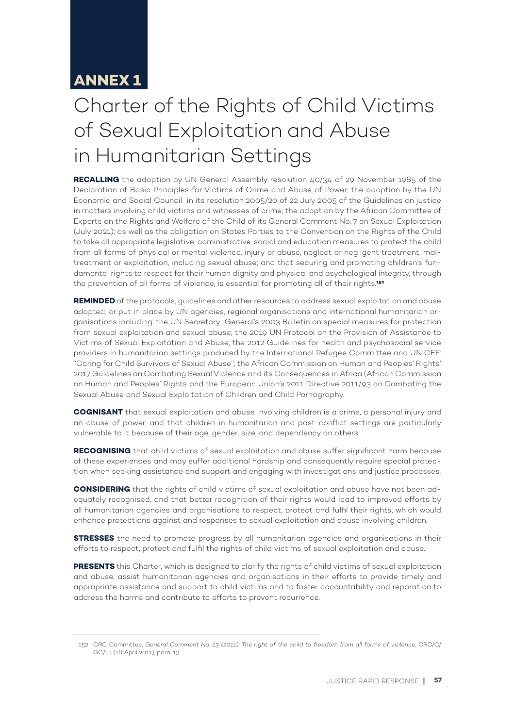# **ANNEX 1**

# Charter of the Rights of Child Victims of Sexual Exploitation and Abuse in Humanitarian Settings

**RECALLING** the adoption by UN General Assembly resolution 40/34 of 29 November 1985 of the Declaration of Basic Principles for Victims of Crime and Abuse of Power; the adoption by the UN Economic and Social Council in its resolution 2005/20 of 22 July 2005 of the Guidelines on justice in matters involving child victims and witnesses of crime; the adoption by the African Committee of Experts on the Rights and Welfare of the Child of its General Comment No. 7 on Sexual Exploitation (July 2021); as well as the obligation on States Parties to the Convention on the Rights of the Child to take all appropriate legislative, administrative, social and education measures to protect the child from all forms of physical or mental violence, injury or abuse, neglect or negligent treatment, maltreatment or exploitation, including sexual abuse; and that securing and promoting children's fundamental rights to respect for their human dignity and physical and psychological integrity, through the prevention of all forms of violence, is essential for promoting all of their rights.**<sup>152</sup>**

**REMINDED** of the protocols, guidelines and other resources to address sexual exploitation and abuse adopted, or put in place by UN agencies, regional organisations and international humanitarian organisations including: the UN Secretary-General's 2003 Bulletin on special measures for protection from sexual exploitation and sexual abuse; the 2019 UN Protocol on the Provision of Assistance to Victims of Sexual Exploitation and Abuse; the 2012 Guidelines for health and psychosocial service providers in humanitarian settings produced by the International Refugee Committee and UNICEF: "Caring for Child Survivors of Sexual Abuse"; the African Commission on Human and Peoples' Rights' 2017 Guidelines on Combating Sexual Violence and its Consequences in Africa (African Commission on Human and Peoples' Rights and the European Union's 2011 Directive 2011/93 on Combating the Sexual Abuse and Sexual Exploitation of Children and Child Pornography.

**COGNISANT** that sexual exploitation and abuse involving children is a crime, a personal injury and an abuse of power, and that children in humanitarian and post-conflict settings are particularly vulnerable to it because of their age, gender, size, and dependency on others.

**RECOGNISING** that child victims of sexual exploitation and abuse suffer significant harm because of these experiences and may suffer additional hardship and consequently require special protection when seeking assistance and support and engaging with investigations and justice processes.

**CONSIDERING** that the rights of child victims of sexual exploitation and abuse have not been adequately recognised, and that better recognition of their rights would lead to improved efforts by all humanitarian agencies and organisations to respect, protect and fulfil their rights, which would enhance protections against and responses to sexual exploitation and abuse involving children.

**STRESSES** the need to promote progress by all humanitarian agencies and organisations in their efforts to respect, protect and fulfil the rights of child victims of sexual exploitation and abuse.

**PRESENTS** this Charter, which is designed to clarify the rights of child victims of sexual exploitation and abuse, assist humanitarian agencies and organisations in their efforts to provide timely and appropriate assistance and support to child victims and to foster accountability and reparation to address the harms and contribute to efforts to prevent recurrence.

<sup>152</sup> CRC Committee, *General Comment No. 13 (2011): The right of the child to freedom from all forms of violence*, CRC/C/ GC/13 (18 April 2011), para. 13.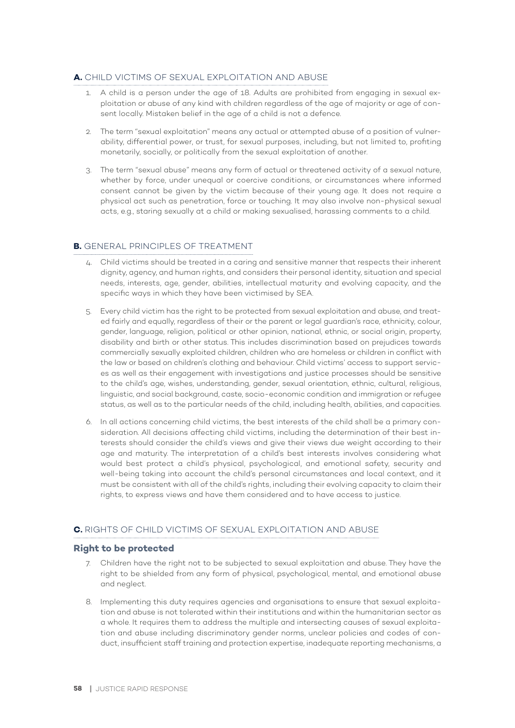# **A.** CHILD VICTIMS OF SEXUAL EXPLOITATION AND ABUSE

- 1. A child is a person under the age of 18. Adults are prohibited from engaging in sexual exploitation or abuse of any kind with children regardless of the age of majority or age of consent locally. Mistaken belief in the age of a child is not a defence.
- 2. The term "sexual exploitation" means any actual or attempted abuse of a position of vulnerability, differential power, or trust, for sexual purposes, including, but not limited to, profiting monetarily, socially, or politically from the sexual exploitation of another.
- 3. The term "sexual abuse" means any form of actual or threatened activity of a sexual nature, whether by force, under unequal or coercive conditions, or circumstances where informed consent cannot be given by the victim because of their young age. It does not require a physical act such as penetration, force or touching. It may also involve non-physical sexual acts, e.g., staring sexually at a child or making sexualised, harassing comments to a child.

# **B.** GENERAL PRINCIPLES OF TREATMENT

- 4. Child victims should be treated in a caring and sensitive manner that respects their inherent dignity, agency, and human rights, and considers their personal identity, situation and special needs, interests, age, gender, abilities, intellectual maturity and evolving capacity, and the specific ways in which they have been victimised by SEA.
- 5. Every child victim has the right to be protected from sexual exploitation and abuse, and treated fairly and equally, regardless of their or the parent or legal guardian's race, ethnicity, colour, gender, language, religion, political or other opinion, national, ethnic, or social origin, property, disability and birth or other status. This includes discrimination based on prejudices towards commercially sexually exploited children, children who are homeless or children in conflict with the law or based on children's clothing and behaviour. Child victims' access to support services as well as their engagement with investigations and justice processes should be sensitive to the child's age, wishes, understanding, gender, sexual orientation, ethnic, cultural, religious, linguistic, and social background, caste, socio-economic condition and immigration or refugee status, as well as to the particular needs of the child, including health, abilities, and capacities.
- 6. In all actions concerning child victims, the best interests of the child shall be a primary consideration. All decisions affecting child victims, including the determination of their best interests should consider the child's views and give their views due weight according to their age and maturity. The interpretation of a child's best interests involves considering what would best protect a child's physical, psychological, and emotional safety, security and well-being taking into account the child's personal circumstances and local context, and it must be consistent with all of the child's rights, including their evolving capacity to claim their rights, to express views and have them considered and to have access to justice.

## **C.** RIGHTS OF CHILD VICTIMS OF SEXUAL EXPLOITATION AND ABUSE

## **Right to be protected**

- 7. Children have the right not to be subjected to sexual exploitation and abuse. They have the right to be shielded from any form of physical, psychological, mental, and emotional abuse and neglect.
- 8. Implementing this duty requires agencies and organisations to ensure that sexual exploitation and abuse is not tolerated within their institutions and within the humanitarian sector as a whole. It requires them to address the multiple and intersecting causes of sexual exploitation and abuse including discriminatory gender norms, unclear policies and codes of conduct, insufficient staff training and protection expertise, inadequate reporting mechanisms, a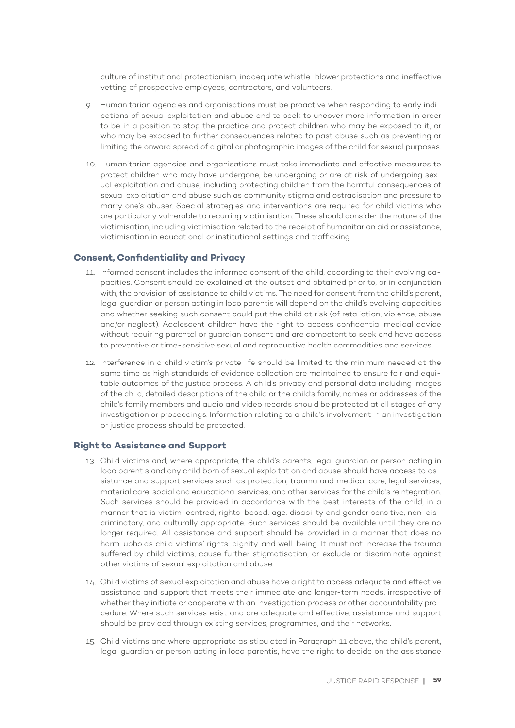culture of institutional protectionism, inadequate whistle-blower protections and ineffective vetting of prospective employees, contractors, and volunteers.

- 9. Humanitarian agencies and organisations must be proactive when responding to early indications of sexual exploitation and abuse and to seek to uncover more information in order to be in a position to stop the practice and protect children who may be exposed to it, or who may be exposed to further consequences related to past abuse such as preventing or limiting the onward spread of digital or photographic images of the child for sexual purposes.
- 10. Humanitarian agencies and organisations must take immediate and effective measures to protect children who may have undergone, be undergoing or are at risk of undergoing sexual exploitation and abuse, including protecting children from the harmful consequences of sexual exploitation and abuse such as community stigma and ostracisation and pressure to marry one's abuser. Special strategies and interventions are required for child victims who are particularly vulnerable to recurring victimisation. These should consider the nature of the victimisation, including victimisation related to the receipt of humanitarian aid or assistance, victimisation in educational or institutional settings and trafficking.

#### **Consent, Confidentiality and Privacy**

- 11. Informed consent includes the informed consent of the child, according to their evolving capacities. Consent should be explained at the outset and obtained prior to, or in conjunction with, the provision of assistance to child victims. The need for consent from the child's parent, legal guardian or person acting in loco parentis will depend on the child's evolving capacities and whether seeking such consent could put the child at risk (of retaliation, violence, abuse and/or neglect). Adolescent children have the right to access confidential medical advice without requiring parental or guardian consent and are competent to seek and have access to preventive or time-sensitive sexual and reproductive health commodities and services.
- 12. Interference in a child victim's private life should be limited to the minimum needed at the same time as high standards of evidence collection are maintained to ensure fair and equitable outcomes of the justice process. A child's privacy and personal data including images of the child, detailed descriptions of the child or the child's family, names or addresses of the child's family members and audio and video records should be protected at all stages of any investigation or proceedings. Information relating to a child's involvement in an investigation or justice process should be protected.

#### **Right to Assistance and Support**

- 13. Child victims and, where appropriate, the child's parents, legal guardian or person acting in loco parentis and any child born of sexual exploitation and abuse should have access to assistance and support services such as protection, trauma and medical care, legal services, material care, social and educational services, and other services for the child's reintegration. Such services should be provided in accordance with the best interests of the child, in a manner that is victim-centred, rights-based, age, disability and gender sensitive, non-discriminatory, and culturally appropriate. Such services should be available until they are no longer required. All assistance and support should be provided in a manner that does no harm, upholds child victims' rights, dignity, and well-being. It must not increase the trauma suffered by child victims, cause further stigmatisation, or exclude or discriminate against other victims of sexual exploitation and abuse.
- 14. Child victims of sexual exploitation and abuse have a right to access adequate and effective assistance and support that meets their immediate and longer-term needs, irrespective of whether they initiate or cooperate with an investigation process or other accountability procedure. Where such services exist and are adequate and effective, assistance and support should be provided through existing services, programmes, and their networks.
- 15. Child victims and where appropriate as stipulated in Paragraph 11 above, the child's parent, legal guardian or person acting in loco parentis, have the right to decide on the assistance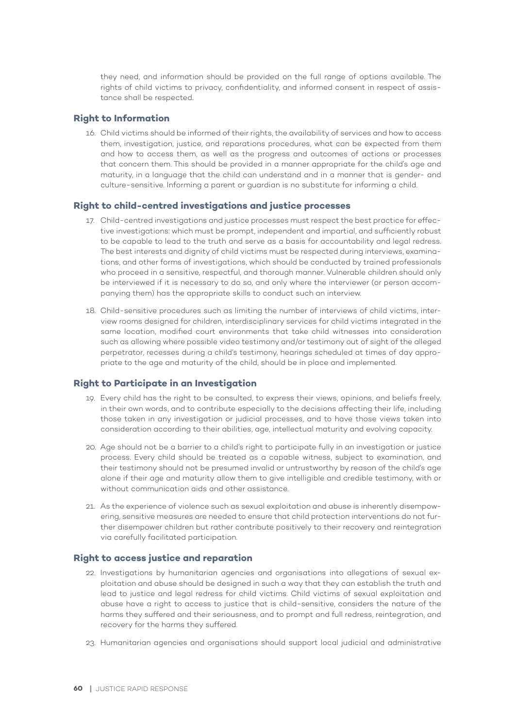they need, and information should be provided on the full range of options available. The rights of child victims to privacy, confidentiality, and informed consent in respect of assistance shall be respected.

#### **Right to Information**

16. Child victims should be informed of their rights, the availability of services and how to access them, investigation, justice, and reparations procedures, what can be expected from them and how to access them, as well as the progress and outcomes of actions or processes that concern them. This should be provided in a manner appropriate for the child's age and maturity, in a language that the child can understand and in a manner that is gender- and culture-sensitive. Informing a parent or guardian is no substitute for informing a child.

#### **Right to child-centred investigations and justice processes**

- 17. Child-centred investigations and justice processes must respect the best practice for effective investigations: which must be prompt, independent and impartial, and sufficiently robust to be capable to lead to the truth and serve as a basis for accountability and legal redress. The best interests and dignity of child victims must be respected during interviews, examinations, and other forms of investigations, which should be conducted by trained professionals who proceed in a sensitive, respectful, and thorough manner. Vulnerable children should only be interviewed if it is necessary to do so, and only where the interviewer (or person accompanying them) has the appropriate skills to conduct such an interview.
- 18. Child-sensitive procedures such as limiting the number of interviews of child victims, interview rooms designed for children, interdisciplinary services for child victims integrated in the same location, modified court environments that take child witnesses into consideration such as allowing where possible video testimony and/or testimony out of sight of the alleged perpetrator, recesses during a child's testimony, hearings scheduled at times of day appropriate to the age and maturity of the child, should be in place and implemented.

### **Right to Participate in an Investigation**

- 19. Every child has the right to be consulted, to express their views, opinions, and beliefs freely, in their own words, and to contribute especially to the decisions affecting their life, including those taken in any investigation or judicial processes, and to have those views taken into consideration according to their abilities, age, intellectual maturity and evolving capacity.
- 20. Age should not be a barrier to a child's right to participate fully in an investigation or justice process. Every child should be treated as a capable witness, subject to examination, and their testimony should not be presumed invalid or untrustworthy by reason of the child's age alone if their age and maturity allow them to give intelligible and credible testimony, with or without communication aids and other assistance.
- 21. As the experience of violence such as sexual exploitation and abuse is inherently disempowering, sensitive measures are needed to ensure that child protection interventions do not further disempower children but rather contribute positively to their recovery and reintegration via carefully facilitated participation.

#### **Right to access justice and reparation**

- 22. Investigations by humanitarian agencies and organisations into allegations of sexual exploitation and abuse should be designed in such a way that they can establish the truth and lead to justice and legal redress for child victims. Child victims of sexual exploitation and abuse have a right to access to justice that is child-sensitive, considers the nature of the harms they suffered and their seriousness, and to prompt and full redress, reintegration, and recovery for the harms they suffered.
- 23. Humanitarian agencies and organisations should support local judicial and administrative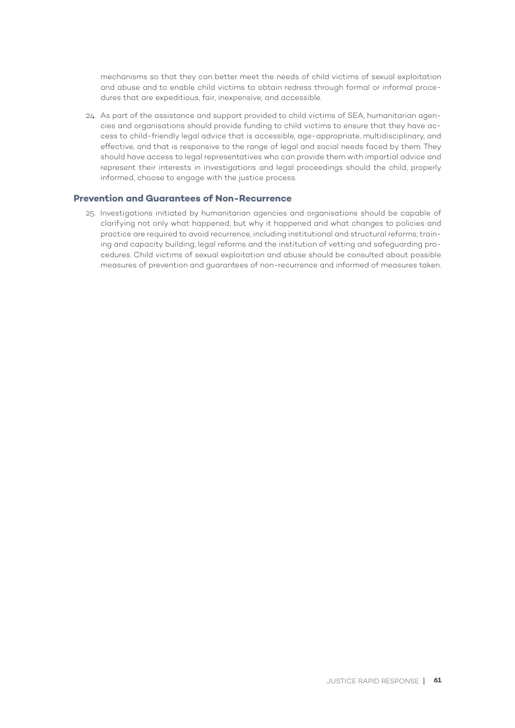mechanisms so that they can better meet the needs of child victims of sexual exploitation and abuse and to enable child victims to obtain redress through formal or informal procedures that are expeditious, fair, inexpensive, and accessible.

24. As part of the assistance and support provided to child victims of SEA, humanitarian agencies and organisations should provide funding to child victims to ensure that they have access to child-friendly legal advice that is accessible, age-appropriate, multidisciplinary, and effective, and that is responsive to the range of legal and social needs faced by them. They should have access to legal representatives who can provide them with impartial advice and represent their interests in investigations and legal proceedings should the child, properly informed, choose to engage with the justice process.

# **Prevention and Guarantees of Non-Recurrence**

25. Investigations initiated by humanitarian agencies and organisations should be capable of clarifying not only what happened, but why it happened and what changes to policies and practice are required to avoid recurrence, including institutional and structural reforms; training and capacity building; legal reforms and the institution of vetting and safeguarding procedures. Child victims of sexual exploitation and abuse should be consulted about possible measures of prevention and guarantees of non-recurrence and informed of measures taken.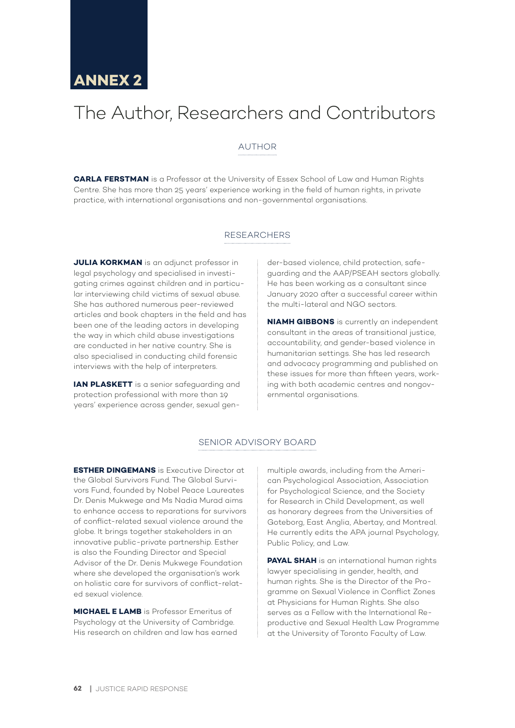# The Author, Researchers and Contributors

# AUTHOR

**CARLA FERSTMAN** is a Professor at the University of Essex School of Law and Human Rights Centre. She has more than 25 years' experience working in the field of human rights, in private practice, with international organisations and non-governmental organisations.

#### RESEARCHERS

**JULIA KORKMAN** is an adjunct professor in legal psychology and specialised in investigating crimes against children and in particular interviewing child victims of sexual abuse. She has authored numerous peer-reviewed articles and book chapters in the field and has been one of the leading actors in developing the way in which child abuse investigations are conducted in her native country. She is also specialised in conducting child forensic interviews with the help of interpreters.

**IAN PLASKETT** is a senior safeguarding and protection professional with more than 19 years' experience across gender, sexual gen-

der-based violence, child protection, safeguarding and the AAP/PSEAH sectors globally. He has been working as a consultant since January 2020 after a successful career within the multi-lateral and NGO sectors.

**NIAMH GIBBONS** is currently an independent consultant in the areas of transitional justice, accountability, and gender-based violence in humanitarian settings. She has led research and advocacy programming and published on these issues for more than fifteen years, working with both academic centres and nongovernmental organisations.

# SENIOR ADVISORY BOARD

**ESTHER DINGEMANS** is Executive Director at the Global Survivors Fund. The Global Survivors Fund, founded by Nobel Peace Laureates Dr. Denis Mukwege and Ms Nadia Murad aims to enhance access to reparations for survivors of conflict-related sexual violence around the globe. It brings together stakeholders in an innovative public-private partnership. Esther is also the Founding Director and Special Advisor of the Dr. Denis Mukwege Foundation where she developed the organisation's work on holistic care for survivors of conflict-related sexual violence.

**MICHAEL E LAMB** is Professor Emeritus of Psychology at the University of Cambridge. His research on children and law has earned multiple awards, including from the American Psychological Association, Association for Psychological Science, and the Society for Research in Child Development, as well as honorary degrees from the Universities of Goteborg, East Anglia, Abertay, and Montreal. He currently edits the APA journal Psychology, Public Policy, and Law.

**PAYAL SHAH** is an international human rights lawyer specialising in gender, health, and human rights. She is the Director of the Programme on Sexual Violence in Conflict Zones at Physicians for Human Rights. She also serves as a Fellow with the International Reproductive and Sexual Health Law Programme at the University of Toronto Faculty of Law.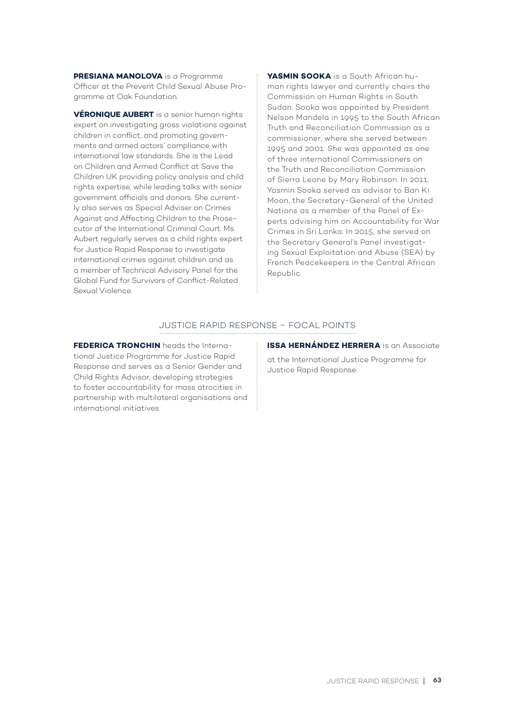**PRESIANA MANOLOVA** is a Programme Officer at the Prevent Child Sexual Abuse Programme at Oak Foundation.

**VÉRONIQUE AUBERT** is a senior human rights expert on investigating gross violations against children in conflict, and promoting governments and armed actors' compliance with international law standards. She is the Lead on Children and Armed Conflict at Save the Children UK providing policy analysis and child rights expertise, while leading talks with senior government officials and donors. She currently also serves as Special Adviser on Crimes Against and Affecting Children to the Prosecutor of the International Criminal Court. Ms. Aubert regularly serves as a child rights expert for Justice Rapid Response to investigate international crimes against children and as a member of Technical Advisory Panel for the Global Fund for Survivors of Conflict-Related Sexual Violence.

**YASMIN SOOKA** is a South African human rights lawyer and currently chairs the Commission on Human Rights in South Sudan. Sooka was appointed by President Nelson Mandela in 1995 to the South African Truth and Reconciliation Commission as a commissioner, where she served between 1995 and 2001. She was appointed as one of three international Commissioners on the Truth and Reconciliation Commission of Sierra Leone by Mary Robinson. In 2011, Yasmin Sooka served as advisor to Ban Ki Moon, the Secretary-General of the United Nations as a member of the Panel of Experts advising him on Accountability for War Crimes in Sri Lanka. In 2015, she served on the Secretary General's Panel investigating Sexual Exploitation and Abuse (SEA) by French Peacekeepers in the Central African Republic.

#### JUSTICE RAPID RESPONSE – FOCAL POINTS

**FEDERICA TRONCHIN** heads the International Justice Programme for Justice Rapid Response and serves as a Senior Gender and Child Rights Advisor, developing strategies to foster accountability for mass atrocities in partnership with multilateral organisations and international initiatives.

**ISSA HERNÁNDEZ HERRERA** is an Associate

at the International Justice Programme for Justice Rapid Response.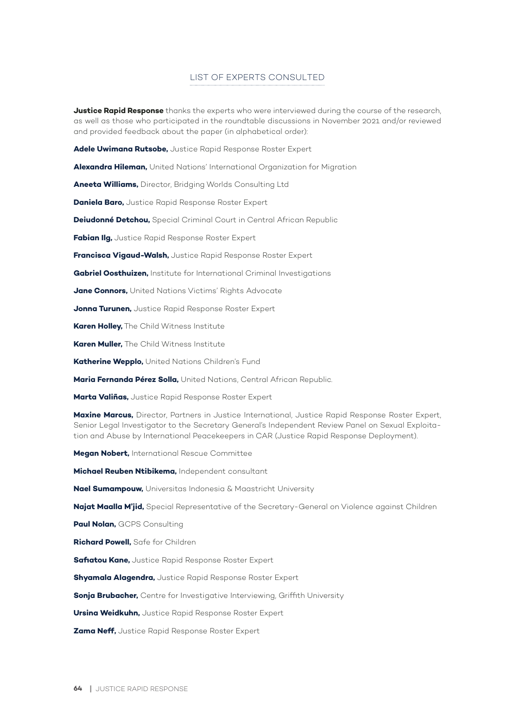# LIST OF EXPERTS CONSULTED

**Justice Rapid Response** thanks the experts who were interviewed during the course of the research, as well as those who participated in the roundtable discussions in November 2021 and/or reviewed and provided feedback about the paper (in alphabetical order):

**Adele Uwimana Rutsobe,** Justice Rapid Response Roster Expert

**Alexandra Hileman,** United Nations' International Organization for Migration

**Aneeta Williams,** Director, Bridging Worlds Consulting Ltd

**Daniela Baro,** Justice Rapid Response Roster Expert

**Deiudonné Detchou,** Special Criminal Court in Central African Republic

**Fabian Ilg,** Justice Rapid Response Roster Expert

**Francisca Vigaud-Walsh,** Justice Rapid Response Roster Expert

**Gabriel Oosthuizen,** Institute for International Criminal Investigations

**Jane Connors,** United Nations Victims' Rights Advocate

**Jonna Turunen,** Justice Rapid Response Roster Expert

**Karen Holley,** The Child Witness Institute

**Karen Muller,** The Child Witness Institute

**Katherine Wepplo,** United Nations Children's Fund

**Maria Fernanda Pérez Solla,** United Nations, Central African Republic.

**Marta Valiñas,** Justice Rapid Response Roster Expert

**Maxine Marcus,** Director, Partners in Justice International, Justice Rapid Response Roster Expert, Senior Legal Investigator to the Secretary General's Independent Review Panel on Sexual Exploitation and Abuse by International Peacekeepers in CAR (Justice Rapid Response Deployment).

**Megan Nobert,** International Rescue Committee

**Michael Reuben Ntibikema,** Independent consultant

**Nael Sumampouw,** Universitas Indonesia & Maastricht University

**Najat Maalla M'jid,** Special Representative of the Secretary-General on Violence against Children

**Paul Nolan,** GCPS Consulting

**Richard Powell,** Safe for Children

**Safiatou Kane,** Justice Rapid Response Roster Expert

**Shyamala Alagendra,** Justice Rapid Response Roster Expert

**Sonja Brubacher,** Centre for Investigative Interviewing, Griffith University

**Ursina Weidkuhn,** Justice Rapid Response Roster Expert

**Zama Neff,** Justice Rapid Response Roster Expert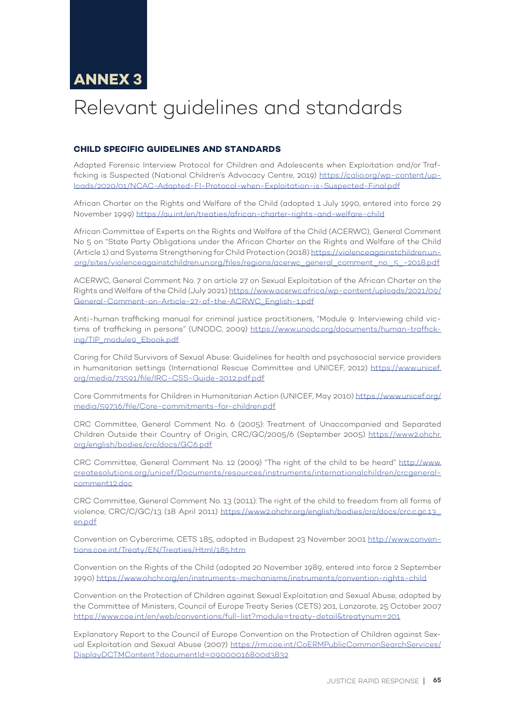# Relevant guidelines and standards

# **CHILD SPECIFIC GUIDELINES AND STANDARDS**

Adapted Forensic Interview Protocol for Children and Adolescents when Exploitation and/or Trafficking is Suspected (National Children's Advocacy Centre, 2019) https://calio.org/wp-content/uploads/2020/01/NCAC-Adapted-FI-Protocol-when-Exploitation-is-Suspected-Final.pdf

African Charter on the Rights and Welfare of the Child (adopted 1 July 1990, entered into force 29 November 1999) https://au.int/en/treaties/african-charter-rights-and-welfare-child

African Committee of Experts on the Rights and Welfare of the Child (ACERWC), General Comment No 5 on "State Party Obligations under the African Charter on the Rights and Welfare of the Child (Article 1) and Systems Strengthening for Child Protection (2018) https://violenceagainstchildren.un- .org/sites/violenceagainstchildren.un.org/files/regions/acerwc\_general\_comment\_no.\_5\_-2018.pdf

ACERWC, General Comment No. 7 on article 27 on Sexual Exploitation of the African Charter on the Rights and Welfare of the Child (July 2021) https://www.acerwc.africa/wp-content/uploads/2021/09/ General-Comment-on-Article-27-of-the-ACRWC\_English-1.pdf

Anti-human trafficking manual for criminal justice practitioners, "Module 9: Interviewing child victims of trafficking in persons" (UNODC, 2009) https://www.unodc.org/documents/human-trafficking/TIP\_module9\_Ebook.pdf

Caring for Child Survivors of Sexual Abuse: Guidelines for health and psychosocial service providers in humanitarian settings (International Rescue Committee and UNICEF, 2012) https://www.unicef. org/media/73591/file/IRC-CSS-Guide-2012.pdf.pdf

Core Commitments for Children in Humanitarian Action (UNICEF, May 2010) https://www.unicef.org/ media/59736/file/Core-commitments-for-children.pdf

CRC Committee, General Comment No. 6 (2005): Treatment of Unaccompanied and Separated Children Outside their Country of Origin, CRC/GC/2005/6 (September 2005) https://www2.ohchr. org/english/bodies/crc/docs/GC6.pdf

CRC Committee, General Comment No. 12 (2009) "The right of the child to be heard" http://www. createsolutions.org/unicef/Documents/resources/instruments/internationalchildren/crcgeneralcomment12.doc

CRC Committee, General Comment No. 13 (2011): The right of the child to freedom from all forms of violence, CRC/C/GC/13 (18 April 2011) https://www2.ohchr.org/english/bodies/crc/docs/crc.c.gc.13\_ en.pdf

Convention on Cybercrime, CETS 185, adopted in Budapest 23 November 2001 http://www.conventions.coe.int/Treaty/EN/Treaties/Html/185.htm

Convention on the Rights of the Child (adopted 20 November 1989, entered into force 2 September 1990) https://www.ohchr.org/en/instruments-mechanisms/instruments/convention-rights-child

Convention on the Protection of Children against Sexual Exploitation and Sexual Abuse, adopted by the Committee of Ministers, Council of Europe Treaty Series (CETS) 201, Lanzarote, 25 October 2007 https://www.coe.int/en/web/conventions/full-list?module=treaty-detail&treatynum=201

Explanatory Report to the Council of Europe Convention on the Protection of Children against Sexual Exploitation and Sexual Abuse (2007) https://rm.coe.int/CoERMPublicCommonSearchServices/ DisplayDCTMContent?documentId=09000016800d3832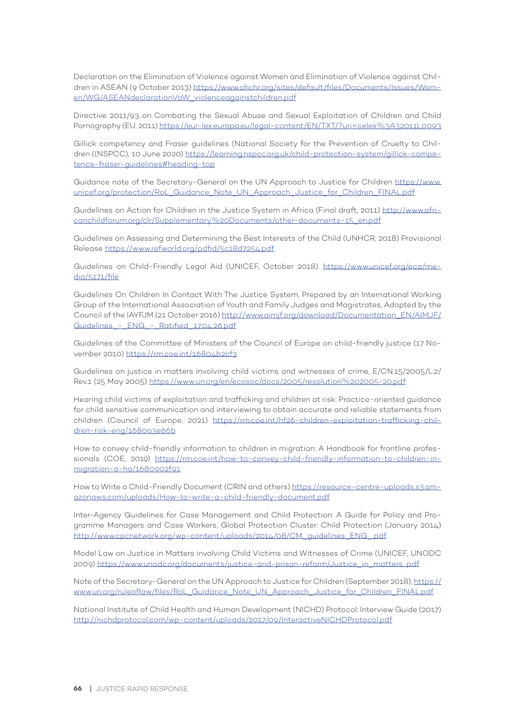Declaration on the Elimination of Violence against Women and Elimination of Violence against Children in ASEAN (9 October 2013) https://www.ohchr.org/sites/default/files/Documents/Issues/Women/WG/ASEANdeclarationVaW\_violenceagainstchildren.pdf

Directive 2011/93 on Combating the Sexual Abuse and Sexual Exploitation of Children and Child Pornography (EU, 2011) https://eur-lex.europa.eu/legal-content/EN/TXT/?uri=celex%3A32011L0093

Gillick competency and Fraser guidelines (National Society for the Prevention of Cruelty to Children ((NSPCC), 10 June 2020) https://learning.nspcc.org.uk/child-protection-system/gillick-competence-fraser-guidelines#heading-top

Guidance note of the Secretary-General on the UN Approach to Justice for Children https://www. unicef.org/protection/RoL\_Guidance\_Note\_UN\_Approach\_Justice\_for\_Children\_FINAL.pdf

Guidelines on Action for Children in the Justice System in Africa (Final draft, 2011) http://www.africanchildforum.org/clr/Supplementary%20Documents/other-documents-15\_en.pdf

Guidelines on Assessing and Determining the Best Interests of the Child (UNHCR, 2018) Provisional Release https://www.refworld.org/pdfid/5c18d7254.pdf

Guidelines on Child-Friendly Legal Aid (UNICEF, October 2018). https://www.unicef.org/eca/media/5171/file

Guidelines On Children In Contact With The Justice System, Prepared by an International Working Group of the International Association of Youth and Family Judges and Magistrates, Adopted by the Council of the IAYFJM (21 October 2016) http://www.aimjf.org/download/Documentation\_EN/AIMJF/ Guidelines - ENG - Ratified 17.04.26.pdf

Guidelines of the Committee of Ministers of the Council of Europe on child-friendly justice (17 November 2010) https://rm.coe.int/16804b2cf3

Guidelines on justice in matters involving child victims and witnesses of crime, E/CN.15/2005/L.2/ Rev.1 (25 May 2005) https://www.un.org/en/ecosoc/docs/2005/resolution%202005-20.pdf

Hearing child victims of exploitation and trafficking and children at risk: Practice-oriented guidance for child sensitive communication and interviewing to obtain accurate and reliable statements from children (Council of Europe, 2021) https://rm.coe.int/hf26-children-exploitation-trafficking-children-risk-eng/1680a3e66b

How to convey child-friendly information to children in migration: A Handbook for frontline professionals (COE, 2019) https://rm.coe.int/how-to-convey-child-friendly-information-to-children-inmigration-a-ha/1680902f91

How to Write a Child-Friendly Document (CRIN and others) https://resource-centre-uploads.s3.amazonaws.com/uploads/How-to-write-a-child-friendly-document.pdf

Inter-Agency Guidelines for Case Management and Child Protection: A Guide for Policy and Programme Managers and Case Workers, Global Protection Cluster: Child Protection (January 2014) http://www.cpcnetwork.org/wp-content/uploads/2014/08/CM\_guidelines\_ENG\_.pdf

Model Law on Justice in Matters involving Child Victims and Witnesses of Crime (UNICEF, UNODC 2009) https://www.unodc.org/documents/justice-and-prison-reform/Justice\_in\_matters...pdf

Note of the Secretary-General on the UN Approach to Justice for Children (September 2018), https:// www.un.org/ruleoflaw/files/RoL\_Guidance\_Note\_UN\_Approach\_Justice\_for\_Children\_FINAL.pdf

National Institute of Child Health and Human Development (NICHD) Protocol: Interview Guide (2017) http://nichdprotocol.com/wp-content/uploads/2017/09/InteractiveNICHDProtocol.pdf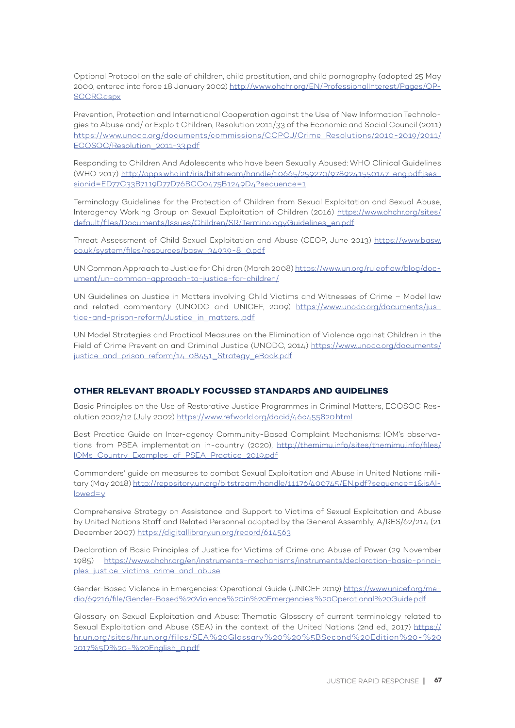Optional Protocol on the sale of children, child prostitution, and child pornography (adopted 25 May 2000, entered into force 18 January 2002) http://www.ohchr.org/EN/ProfessionalInterest/Pages/OP-SCCRC.aspx

Prevention, Protection and International Cooperation against the Use of New Information Technologies to Abuse and/ or Exploit Children, Resolution 2011/33 of the Economic and Social Council (2011) https://www.unodc.org/documents/commissions/CCPCJ/Crime\_Resolutions/2010-2019/2011/ ECOSOC/Resolution\_2011-33.pdf

Responding to Children And Adolescents who have been Sexually Abused: WHO Clinical Guidelines (WHO 2017) http://apps.who.int/iris/bitstream/handle/10665/259270/9789241550147-eng.pdf;jsessionid=ED77C33B7119D77D76BCC0475B1249D4?sequence=1

Terminology Guidelines for the Protection of Children from Sexual Exploitation and Sexual Abuse, Interagency Working Group on Sexual Exploitation of Children (2016) https://www.ohchr.org/sites/ default/files/Documents/Issues/Children/SR/TerminologyGuidelines\_en.pdf

Threat Assessment of Child Sexual Exploitation and Abuse (CEOP, June 2013) https://www.basw. co.uk/system/files/resources/basw\_34939-8\_0.pdf

UN Common Approach to Justice for Children (March 2008) https://www.un.org/ruleoflaw/blog/document/un-common-approach-to-justice-for-children/

UN Guidelines on Justice in Matters involving Child Victims and Witnesses of Crime – Model law and related commentary (UNODC and UNICEF, 2009) https://www.unodc.org/documents/justice-and-prison-reform/Justice\_in\_matters...pdf

UN Model Strategies and Practical Measures on the Elimination of Violence against Children in the Field of Crime Prevention and Criminal Justice (UNODC, 2014) https://www.unodc.org/documents/ justice-and-prison-reform/14-08451\_Strategy\_eBook.pdf

#### **OTHER RELEVANT BROADLY FOCUSSED STANDARDS AND GUIDELINES**

Basic Principles on the Use of Restorative Justice Programmes in Criminal Matters, ECOSOC Resolution 2002/12 (July 2002) https://www.refworld.org/docid/46c455820.html

Best Practice Guide on Inter-agency Community-Based Complaint Mechanisms: IOM's observations from PSEA implementation in-country (2020), http://themimu.info/sites/themimu.info/files/ IOMs\_Country\_Examples\_of\_PSEA\_Practice\_2019.pdf

Commanders' guide on measures to combat Sexual Exploitation and Abuse in United Nations military (May 2018) http://repository.un.org/bitstream/handle/11176/400745/EN.pdf?sequence=1&isAllowed=y

Comprehensive Strategy on Assistance and Support to Victims of Sexual Exploitation and Abuse by United Nations Staff and Related Personnel adopted by the General Assembly, A/RES/62/214 (21 December 2007) https://digitallibrary.un.org/record/614563

Declaration of Basic Principles of Justice for Victims of Crime and Abuse of Power (29 November 1985) https://www.ohchr.org/en/instruments-mechanisms/instruments/declaration-basic-principles-justice-victims-crime-and-abuse

Gender-Based Violence in Emergencies: Operational Guide (UNICEF 2019) https://www.unicef.org/media/69216/file/Gender-Based%20Violence%20in%20Emergencies:%20Operational%20Guide.pdf

Glossary on Sexual Exploitation and Abuse: Thematic Glossary of current terminology related to Sexual Exploitation and Abuse (SEA) in the context of the United Nations (2nd ed., 2017) https:// hr.un.org/sites/hr.un.org/files/SEA%20Glossary%20%20%5BSecond%20Edition%20-%20 2017%5D%20-%20English\_0.pdf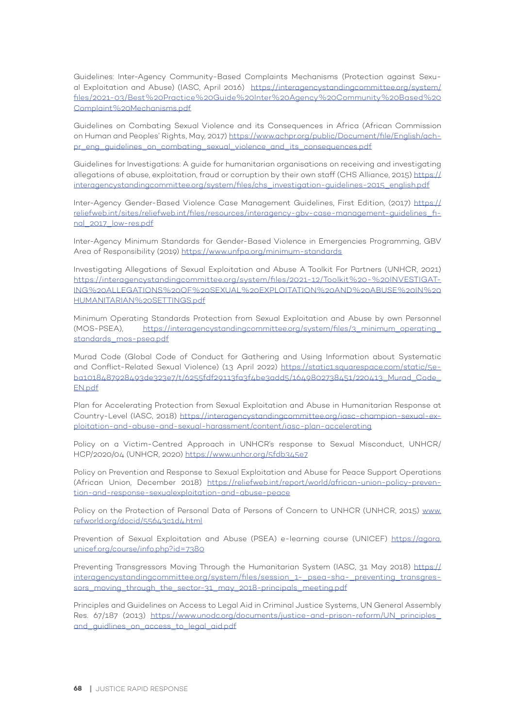Guidelines: Inter-Agency Community-Based Complaints Mechanisms (Protection against Sexual Exploitation and Abuse) (IASC, April 2016) https://interagencystandingcommittee.org/system/ files/2021-03/Best%20Practice%20Guide%20Inter%20Agency%20Community%20Based%20 Complaint%20Mechanisms.pdf

Guidelines on Combating Sexual Violence and its Consequences in Africa (African Commission on Human and Peoples' Rights, May, 2017) https://www.achpr.org/public/Document/file/English/achpr\_eng\_guidelines\_on\_combating\_sexual\_violence\_and\_its\_consequences.pdf

Guidelines for Investigations: A guide for humanitarian organisations on receiving and investigating allegations of abuse, exploitation, fraud or corruption by their own staff (CHS Alliance, 2015) https:// interagencystandingcommittee.org/system/files/chs\_investigation-guidelines-2015\_english.pdf

Inter-Agency Gender-Based Violence Case Management Guidelines, First Edition, (2017) https:// reliefweb.int/sites/reliefweb.int/files/resources/interagency-gbv-case-management-guidelines\_final\_2017\_low-res.pdf

Inter-Agency Minimum Standards for Gender-Based Violence in Emergencies Programming, GBV Area of Responsibility (2019) https://www.unfpa.org/minimum-standards

Investigating Allegations of Sexual Exploitation and Abuse A Toolkit For Partners (UNHCR, 2021) https://interagencystandingcommittee.org/system/files/2021-12/Toolkit%20-%20INVESTIGAT-ING%20ALLEGATIONS%20OF%20SEXUAL%20EXPLOITATION%20AND%20ABUSE%20IN%20 HUMANITARIAN%20SETTINGS.pdf

Minimum Operating Standards Protection from Sexual Exploitation and Abuse by own Personnel (MOS-PSEA), https://interagencystandingcommittee.org/system/files/3\_minimum\_operating\_ standards\_mos-psea.pdf

Murad Code (Global Code of Conduct for Gathering and Using Information about Systematic and Conflict-Related Sexual Violence) (13 April 2022) https://static1.squarespace.com/static/5eba1018487928493de323e7/t/6255fdf29113fa3f4be3add5/1649802738451/220413\_Murad\_Code\_ EN.pdf

Plan for Accelerating Protection from Sexual Exploitation and Abuse in Humanitarian Response at Country-Level (IASC, 2018) https://interagencystandingcommittee.org/iasc-champion-sexual-exploitation-and-abuse-and-sexual-harassment/content/iasc-plan-accelerating

Policy on a Victim-Centred Approach in UNHCR's response to Sexual Misconduct, UNHCR/ HCP/2020/04 (UNHCR, 2020) https://www.unhcr.org/5fdb345e7

Policy on Prevention and Response to Sexual Exploitation and Abuse for Peace Support Operations (African Union, December 2018) https://reliefweb.int/report/world/african-union-policy-prevention-and-response-sexualexploitation-and-abuse-peace

Policy on the Protection of Personal Data of Persons of Concern to UNHCR (UNHCR, 2015) www. refworld.org/docid/55643c1d4.html

Prevention of Sexual Exploitation and Abuse (PSEA) e-learning course (UNICEF) https://agora. unicef.org/course/info.php?id=7380

Preventing Transgressors Moving Through the Humanitarian System (IASC, 31 May 2018) https:// interagencystandingcommittee.org/system/files/session\_1-\_pseg-shg-\_preventing\_transgressors\_moving\_through\_the\_sector-31\_may\_2018-principals\_meeting.pdf

Principles and Guidelines on Access to Legal Aid in Criminal Justice Systems, UN General Assembly Res. 67/187 (2013) https://www.unodc.org/documents/justice-and-prison-reform/UN\_principles\_ and quidlines on access to legal aid.pdf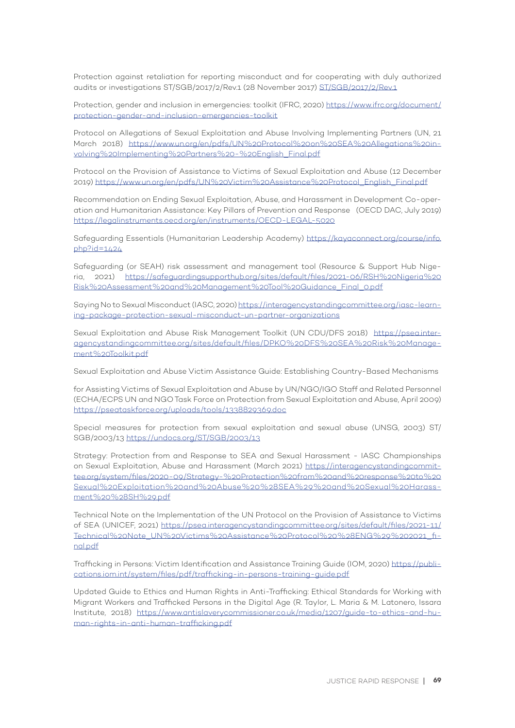Protection against retaliation for reporting misconduct and for cooperating with duly authorized audits or investigations ST/SGB/2017/2/Rev.1 (28 November 2017) ST/SGB/2017/2/Rev.1

Protection, gender and inclusion in emergencies: toolkit (IFRC, 2020) https://www.ifrc.org/document/ protection-gender-and-inclusion-emergencies-toolkit

Protocol on Allegations of Sexual Exploitation and Abuse Involving Implementing Partners (UN, 21 March 2018) https://www.un.org/en/pdfs/UN%20Protocol%20on%20SEA%20Allegations%20involving%20Implementing%20Partners%20-%20English\_Final.pdf

Protocol on the Provision of Assistance to Victims of Sexual Exploitation and Abuse (12 December 2019) https://www.un.org/en/pdfs/UN%20Victim%20Assistance%20Protocol\_English\_Final.pdf

Recommendation on Ending Sexual Exploitation, Abuse, and Harassment in Development Co-operation and Humanitarian Assistance: Key Pillars of Prevention and Response (OECD DAC, July 2019) https://legalinstruments.oecd.org/en/instruments/OECD-LEGAL-5020

Safeguarding Essentials (Humanitarian Leadership Academy) https://kayaconnect.org/course/info. php?id=1424

Safeguarding (or SEAH) risk assessment and management tool (Resource & Support Hub Nigeria, 2021) https://safeguardingsupporthub.org/sites/default/files/2021-06/RSH%20Nigeria%20 Risk%20Assessment%20and%20Management%20Tool%20Guidance\_Final\_0.pdf

Saying No to Sexual Misconduct (IASC, 2020) https://interagencystandingcommittee.org/iasc-learning-package-protection-sexual-misconduct-un-partner-organizations

Sexual Exploitation and Abuse Risk Management Toolkit (UN CDU/DFS 2018) https://psea.interagencystandingcommittee.org/sites/default/files/DPKO%20DFS%20SEA%20Risk%20Management%20Toolkit.pdf

Sexual Exploitation and Abuse Victim Assistance Guide: Establishing Country-Based Mechanisms

for Assisting Victims of Sexual Exploitation and Abuse by UN/NGO/IGO Staff and Related Personnel (ECHA/ECPS UN and NGO Task Force on Protection from Sexual Exploitation and Abuse, April 2009) https://pseataskforce.org/uploads/tools/1338829369.doc

Special measures for protection from sexual exploitation and sexual abuse (UNSG, 2003) ST/ SGB/2003/13 https://undocs.org/ST/SGB/2003/13

Strategy: Protection from and Response to SEA and Sexual Harassment - IASC Championships on Sexual Exploitation, Abuse and Harassment (March 2021) https://interagencystandingcommittee.org/system/files/2020-09/Strategy-%20Protection%20from%20and%20response%20to%20 Sexual%20Exploitation%20and%20Abuse%20%28SEA%29%20and%20Sexual%20Harassment%20%28SH%29.pdf

Technical Note on the Implementation of the UN Protocol on the Provision of Assistance to Victims of SEA (UNICEF, 2021) https://psea.interagencystandingcommittee.org/sites/default/files/2021-11/ Technical%20Note\_UN%20Victims%20Assistance%20Protocol%20%28ENG%29%202021\_final.pdf

Trafficking in Persons: Victim Identification and Assistance Training Guide (IOM, 2020) https://publications.iom.int/system/files/pdf/trafficking-in-persons-training-guide.pdf

Updated Guide to Ethics and Human Rights in Anti-Trafficking: Ethical Standards for Working with Migrant Workers and Trafficked Persons in the Digital Age (R. Taylor, L. Maria & M. Latonero, Issara Institute, 2018) https://www.antislaverycommissioner.co.uk/media/1207/guide-to-ethics-and-human-rights-in-anti-human-trafficking.pdf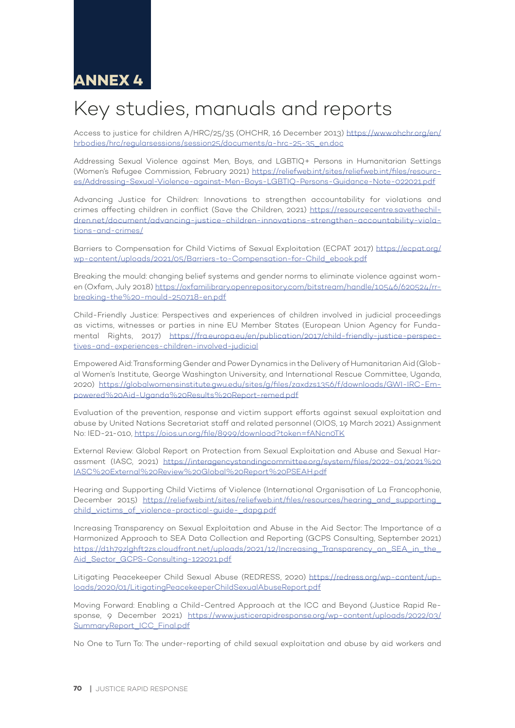# Key studies, manuals and reports

Access to justice for children A/HRC/25/35 (OHCHR, 16 December 2013) https://www.ohchr.org/en/ hrbodies/hrc/regularsessions/session25/documents/a-hrc-25-35\_en.doc

Addressing Sexual Violence against Men, Boys, and LGBTIQ+ Persons in Humanitarian Settings (Women's Refugee Commission, February 2021) https://reliefweb.int/sites/reliefweb.int/files/resources/Addressing-Sexual-Violence-against-Men-Boys-LGBTIQ-Persons-Guidance-Note-022021.pdf

Advancing Justice for Children: Innovations to strengthen accountability for violations and crimes affecting children in conflict (Save the Children, 2021) https://resourcecentre.savethechildren.net/document/advancing-justice-children-innovations-strengthen-accountability-violations-and-crimes/

Barriers to Compensation for Child Victims of Sexual Exploitation (ECPAT 2017) https://ecpat.org/ wp-content/uploads/2021/05/Barriers-to-Compensation-for-Child\_ebook.pdf

Breaking the mould: changing belief systems and gender norms to eliminate violence against women (Oxfam, July 2018) https://oxfamilibrary.openrepository.com/bitstream/handle/10546/620524/rrbreaking-the%20-mould-250718-en.pdf

Child-Friendly Justice: Perspectives and experiences of children involved in judicial proceedings as victims, witnesses or parties in nine EU Member States (European Union Agency for Fundamental Rights, 2017) https://fra.europa.eu/en/publication/2017/child-friendly-justice-perspectives-and-experiences-children-involved-judicial

Empowered Aid: Transforming Gender and Power Dynamics in the Delivery of Humanitarian Aid (Global Women's Institute, George Washington University, and International Rescue Committee, Uganda, 2020) https://globalwomensinstitute.gwu.edu/sites/g/files/zaxdzs1356/f/downloads/GWI-IRC-Empowered%20Aid-Uganda%20Results%20Report-remed.pdf

Evaluation of the prevention, response and victim support efforts against sexual exploitation and abuse by United Nations Secretariat staff and related personnel (OIOS, 19 March 2021) Assignment No: IED-21-010, https://oios.un.org/file/8999/download?token=fANcn0TK

External Review: Global Report on Protection from Sexual Exploitation and Abuse and Sexual Harassment (IASC, 2021) https://interagencystandingcommittee.org/system/files/2022-01/2021%20 IASC%20External%20Review%20Global%20Report%20PSEAH.pdf

Hearing and Supporting Child Victims of Violence (International Organisation of La Francophonie, December 2015) https://reliefweb.int/sites/reliefweb.int/files/resources/hearing and supporting child\_victims\_of\_violence-practical-guide-\_dapg.pdf

Increasing Transparency on Sexual Exploitation and Abuse in the Aid Sector: The Importance of a Harmonized Approach to SEA Data Collection and Reporting (GCPS Consulting, September 2021) https://d1h79zlghft2zs.cloudfront.net/uploads/2021/12/Increasing\_Transparency\_on\_SEA\_in\_the\_ Aid\_Sector\_GCPS-Consulting-122021.pdf

Litigating Peacekeeper Child Sexual Abuse (REDRESS, 2020) https://redress.org/wp-content/uploads/2020/01/LitigatingPeacekeeperChildSexualAbuseReport.pdf

Moving Forward: Enabling a Child-Centred Approach at the ICC and Beyond (Justice Rapid Response, 9 December 2021) https://www.justicerapidresponse.org/wp-content/uploads/2022/03/ SummaryReport\_ICC\_Final.pdf

No One to Turn To: The under-reporting of child sexual exploitation and abuse by aid workers and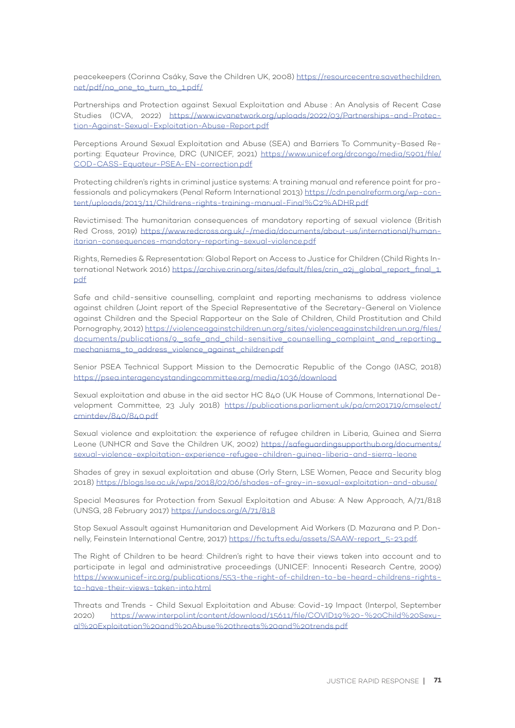peacekeepers (Corinna Csáky, Save the Children UK, 2008) https://resourcecentre.savethechildren. net/pdf/no\_one\_to\_turn\_to\_1.pdf/

Partnerships and Protection against Sexual Exploitation and Abuse : An Analysis of Recent Case Studies (ICVA, 2022) https://www.icvanetwork.org/uploads/2022/03/Partnerships-and-Protection-Against-Sexual-Exploitation-Abuse-Report.pdf

Perceptions Around Sexual Exploitation and Abuse (SEA) and Barriers To Community-Based Reporting: Equateur Province, DRC (UNICEF, 2021) https://www.unicef.org/drcongo/media/5901/file/ COD-CASS-Equateur-PSEA-EN-correction.pdf

Protecting children's rights in criminal justice systems: A training manual and reference point for professionals and policymakers (Penal Reform International 2013) https://cdn.penalreform.org/wp-content/uploads/2013/11/Childrens-rights-training-manual-Final%C2%ADHR.pdf

Revictimised: The humanitarian consequences of mandatory reporting of sexual violence (British Red Cross, 2019) https://www.redcross.org.uk/-/media/documents/about-us/international/humanitarian-consequences-mandatory-reporting-sexual-violence.pdf

Rights, Remedies & Representation: Global Report on Access to Justice for Children (Child Rights International Network 2016) https://archive.crin.org/sites/default/files/crin\_a2j\_global\_report\_final\_1. pdf

Safe and child-sensitive counselling, complaint and reporting mechanisms to address violence against children (Joint report of the Special Representative of the Secretary-General on Violence against Children and the Special Rapporteur on the Sale of Children, Child Prostitution and Child Pornography, 2012) https://violenceagainstchildren.un.org/sites/violenceagainstchildren.un.org/files/ documents/publications/9. safe\_and\_child-sensitive\_counselling\_complaint\_and\_reporting\_ mechanisms\_to\_address\_violence\_against\_children.pdf

Senior PSEA Technical Support Mission to the Democratic Republic of the Congo (IASC, 2018) https://psea.interagencystandingcommittee.org/media/1036/download

Sexual exploitation and abuse in the aid sector HC 840 (UK House of Commons, International Development Committee, 23 July 2018) https://publications.parliament.uk/pa/cm201719/cmselect/ cmintdev/840/840.pdf

Sexual violence and exploitation: the experience of refugee children in Liberia, Guinea and Sierra Leone (UNHCR and Save the Children UK, 2002) https://safeguardingsupporthub.org/documents/ sexual-violence-exploitation-experience-refugee-children-guinea-liberia-and-sierra-leone

Shades of grey in sexual exploitation and abuse (Orly Stern, LSE Women, Peace and Security blog 2018) https://blogs.lse.ac.uk/wps/2018/02/06/shades-of-grey-in-sexual-exploitation-and-abuse/

Special Measures for Protection from Sexual Exploitation and Abuse: A New Approach, A/71/818 (UNSG, 28 February 2017) https://undocs.org/A/71/818

Stop Sexual Assault against Humanitarian and Development Aid Workers (D. Mazurana and P. Donnelly, Feinstein International Centre, 2017) https://fic.tufts.edu/assets/SAAW-report\_5-23.pdf.

The Right of Children to be heard: Children's right to have their views taken into account and to participate in legal and administrative proceedings (UNICEF: Innocenti Research Centre, 2009) https://www.unicef-irc.org/publications/553-the-right-of-children-to-be-heard-childrens-rightsto-have-their-views-taken-into.html

Threats and Trends - Child Sexual Exploitation and Abuse: Covid-19 Impact (Interpol, September 2020) https://www.interpol.int/content/download/15611/file/COVID19%20-%20Child%20Sexual%20Exploitation%20and%20Abuse%20threats%20and%20trends.pdf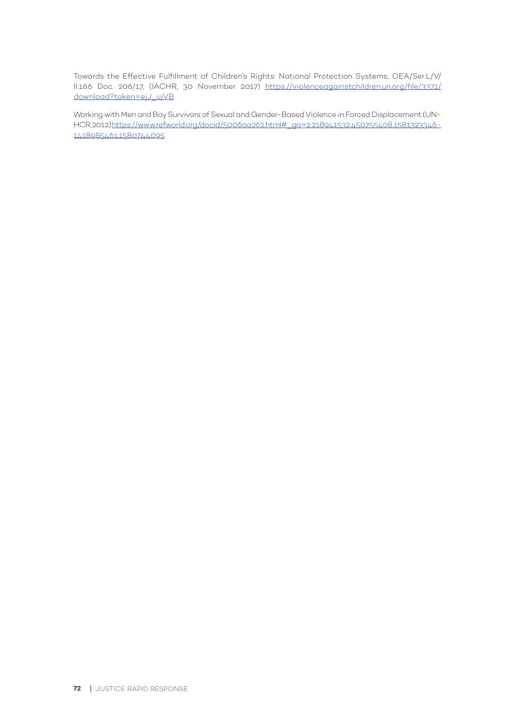Towards the Effective Fulfillment of Children's Rights: National Protection Systems, OEA/Ser.L/V/ II.166 Doc. 206/17, (IACHR, 30 November 2017) https://violenceagainstchildren.un.org/file/3371/ download?token=ejJ\_ujVB

Working with Men and Boy Survivors of Sexual and Gender-Based Violence in Forced Displacement (UN-HCR, 2012) https://www.refworld.org/docid/5006aa262.html#\_ga=2.218941532.450755408.1581323346- 1418985461.1580744095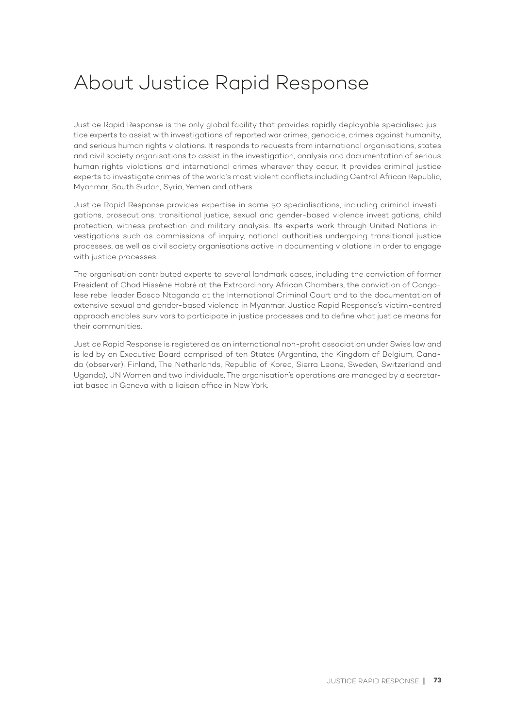## About Justice Rapid Response

Justice Rapid Response is the only global facility that provides rapidly deployable specialised justice experts to assist with investigations of reported war crimes, genocide, crimes against humanity, and serious human rights violations. It responds to requests from international organisations, states and civil society organisations to assist in the investigation, analysis and documentation of serious human rights violations and international crimes wherever they occur. It provides criminal justice experts to investigate crimes of the world's most violent conflicts including Central African Republic, Myanmar, South Sudan, Syria, Yemen and others.

Justice Rapid Response provides expertise in some 50 specialisations, including criminal investigations, prosecutions, transitional justice, sexual and gender-based violence investigations, child protection, witness protection and military analysis. Its experts work through United Nations investigations such as commissions of inquiry, national authorities undergoing transitional justice processes, as well as civil society organisations active in documenting violations in order to engage with justice processes.

The organisation contributed experts to several landmark cases, including the conviction of former President of Chad Hissène Habré at the Extraordinary African Chambers, the conviction of Congolese rebel leader Bosco Ntaganda at the International Criminal Court and to the documentation of extensive sexual and gender-based violence in Myanmar. Justice Rapid Response's victim-centred approach enables survivors to participate in justice processes and to define what justice means for their communities.

Justice Rapid Response is registered as an international non-profit association under Swiss law and is led by an Executive Board comprised of ten States (Argentina, the Kingdom of Belgium, Canada (observer), Finland, The Netherlands, Republic of Korea, Sierra Leone, Sweden, Switzerland and Uganda), UN Women and two individuals. The organisation's operations are managed by a secretariat based in Geneva with a liaison office in New York.